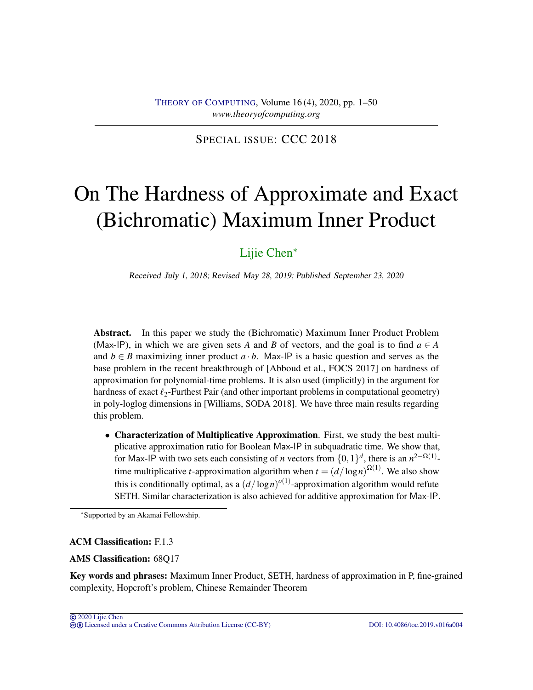SPECIAL ISSUE: CCC 2018

# On The Hardness of Approximate and Exact (Bichromatic) Maximum Inner Product

# [Lijie Chen](#page-49-0)<sup>∗</sup>

Received July 1, 2018; Revised May 28, 2019; Published September 23, 2020

Abstract. In this paper we study the (Bichromatic) Maximum Inner Product Problem (Max-IP), in which we are given sets *A* and *B* of vectors, and the goal is to find  $a \in A$ and  $b \in B$  maximizing inner product  $a \cdot b$ . Max-IP is a basic question and serves as the base problem in the recent breakthrough of [Abboud et al., FOCS 2017] on hardness of approximation for polynomial-time problems. It is also used (implicitly) in the argument for hardness of exact  $\ell_2$ -Furthest Pair (and other important problems in computational geometry) in poly-loglog dimensions in [Williams, SODA 2018]. We have three main results regarding this problem.

• Characterization of Multiplicative Approximation. First, we study the best multiplicative approximation ratio for Boolean Max-IP in subquadratic time. We show that, for Max-IP with two sets each consisting of *n* vectors from  $\{0,1\}^d$ , there is an  $n^{2-\Omega(1)}$ time multiplicative *t*-approximation algorithm when  $t = (d/\log n)^{\Omega(1)}$ . We also show this is conditionally optimal, as a  $(d/\log n)^{o(1)}$ -approximation algorithm would refute SETH. Similar characterization is also achieved for additive approximation for Max-IP.

# ACM Classification: F.1.3

# AMS Classification: 68Q17

Key words and phrases: Maximum Inner Product, SETH, hardness of approximation in P, fine-grained complexity, Hopcroft's problem, Chinese Remainder Theorem

<sup>∗</sup>Supported by an Akamai Fellowship.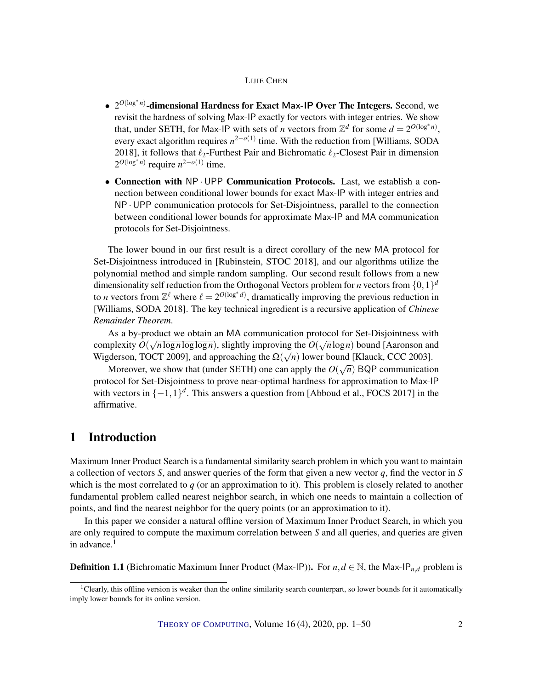- 2<sup>O(log\*n)</sup>-dimensional Hardness for Exact Max-IP Over The Integers. Second, we revisit the hardness of solving Max-IP exactly for vectors with integer entries. We show that, under SETH, for Max-IP with sets of *n* vectors from  $\mathbb{Z}^d$  for some  $d = 2^{O(\log^* n)}$ , every exact algorithm requires *n* 2−*o*(1) time. With the reduction from [Williams, SODA 2018], it follows that  $\ell_2$ -Furthest Pair and Bichromatic  $\ell_2$ -Closest Pair in dimension  $2^{O(\log^* n)}$  require  $n^{2-o(1)}$  time.
- Connection with NP · UPP Communication Protocols. Last, we establish a connection between conditional lower bounds for exact Max-IP with integer entries and NP·UPP communication protocols for Set-Disjointness, parallel to the connection between conditional lower bounds for approximate Max-IP and MA communication protocols for Set-Disjointness.

The lower bound in our first result is a direct corollary of the new MA protocol for Set-Disjointness introduced in [Rubinstein, STOC 2018], and our algorithms utilize the polynomial method and simple random sampling. Our second result follows from a new dimensionality self reduction from the Orthogonal Vectors problem for *n* vectors from  $\{0,1\}^d$ to *n* vectors from  $\mathbb{Z}^{\ell}$  where  $\ell = 2^{O(\log^* d)}$ , dramatically improving the previous reduction in [Williams, SODA 2018]. The key technical ingredient is a recursive application of *Chinese Remainder Theorem*.

As a by-product we obtain an MA communication protocol for Set-Disjointness with complexity  $O(\sqrt{n \log n \log \log n})$ , slightly improving the  $O(\sqrt{n \log n})$  bound [Aaronson and Wigderson, TOCT 2009], and approaching the  $\Omega(\sqrt{n})$  lower bound [Klauck, CCC 2003].

Moreover, we show that (under SETH) one can apply the  $O(\sqrt{n})$  BQP communication protocol for Set-Disjointness to prove near-optimal hardness for approximation to Max-IP with vectors in  $\{-1,1\}^d$ . This answers a question from [Abboud et al., FOCS 2017] in the affirmative.

# 1 Introduction

Maximum Inner Product Search is a fundamental similarity search problem in which you want to maintain a collection of vectors *S*, and answer queries of the form that given a new vector *q*, find the vector in *S* which is the most correlated to *q* (or an approximation to it). This problem is closely related to another fundamental problem called nearest neighbor search, in which one needs to maintain a collection of points, and find the nearest neighbor for the query points (or an approximation to it).

In this paper we consider a natural offline version of Maximum Inner Product Search, in which you are only required to compute the maximum correlation between *S* and all queries, and queries are given in advance. $<sup>1</sup>$ </sup>

**Definition 1.1** (Bichromatic Maximum Inner Product (Max-IP)). For  $n, d \in \mathbb{N}$ , the Max-IP<sub>n,d</sub> problem is

 ${}^{1}$ Clearly, this offline version is weaker than the online similarity search counterpart, so lower bounds for it automatically imply lower bounds for its online version.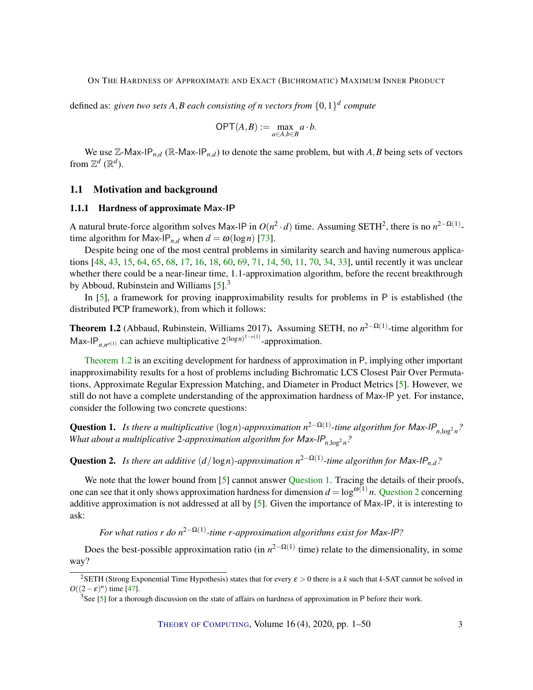<span id="page-2-3"></span>defined as: *given two sets A*,*B each consisting of n vectors from* {0,1} *d compute*

$$
\mathsf{OPT}(A,B):=\max_{a\in A,b\in B}a\cdot b.
$$

We use  $\mathbb{Z}-$  Max-IP<sub>*n*,*d*</sub> ( $\mathbb{R}-$  Max-IP<sub>*n*,*d*) to denote the same problem, but with *A*, *B* being sets of vectors</sub> from  $\mathbb{Z}^d$  ( $\mathbb{R}^d$ ).

#### 1.1 Motivation and background

#### 1.1.1 Hardness of approximate Max-IP

A natural brute-force algorithm solves Max-IP in  $O(n^2 \cdot d)$  time. Assuming SETH<sup>2</sup>, there is no  $n^{2-\Omega(1)}$ time algorithm for Max-IP<sub>n,d</sub> when  $d = \omega(\log n)$  [\[73\]](#page-49-1).

Despite being one of the most central problems in similarity search and having numerous applications [\[48,](#page-47-0) [43,](#page-46-0) [15,](#page-44-0) [64,](#page-48-0) [65,](#page-48-1) [68,](#page-48-2) [17,](#page-44-1) [16,](#page-44-2) [18,](#page-44-3) [60,](#page-48-3) [69,](#page-48-4) [71,](#page-48-5) [14,](#page-44-4) [50,](#page-47-1) [11,](#page-43-0) [70,](#page-48-6) [34,](#page-45-0) [33\]](#page-45-1), until recently it was unclear whether there could be a near-linear time, 1.1-approximation algorithm, before the recent breakthrough by Abboud, Rubinstein and Williams  $[5]^3$  $[5]^3$ .

In [\[5\]](#page-43-1), a framework for proving inapproximability results for problems in P is established (the distributed PCP framework), from which it follows:

<span id="page-2-0"></span>Theorem 1.2 (Abbaud, Rubinstein, Williams 2017). Assuming SETH, no *n*<sup>2−Ω(1)</sup>-time algorithm for Max-IP<sub>*n*,*n*<sup>*o*(1)</sup> can achieve multiplicative  $2^{(\log n)^{1-o(1)}}$ -approximation.</sub>

[Theorem](#page-2-0) [1.2](#page-2-0) is an exciting development for hardness of approximation in P, implying other important inapproximability results for a host of problems including Bichromatic LCS Closest Pair Over Permutations, Approximate Regular Expression Matching, and Diameter in Product Metrics [\[5\]](#page-43-1). However, we still do not have a complete understanding of the approximation hardness of Max-IP yet. For instance, consider the following two concrete questions:

<span id="page-2-1"></span>Question 1. Is there a multiplicative (logn)-approximation  $n^{2-\Omega(1)}$ -time algorithm for Max-IP<sub>n,log</sub>2<sub>n</sub>? *What about a multiplicative 2-approximation algorithm for Max-IP<sub>n,log</sub><sup>2</sup><sub>n</sub>?* 

<span id="page-2-2"></span>**Question 2.** Is there an additive  $(d/\log n)$ -approximation  $n^{2-\Omega(1)}$ -time algorithm for Max-IP<sub>n,d</sub>?

We note that the lower bound from [\[5\]](#page-43-1) cannot answer [Question](#page-2-1) [1.](#page-2-1) Tracing the details of their proofs, one can see that it only shows approximation hardness for dimension  $d = \log^{\omega(1)} n$ . [Question](#page-2-2) [2](#page-2-2) concerning additive approximation is not addressed at all by [\[5\]](#page-43-1). Given the importance of Max-IP, it is interesting to ask:

*For what ratios r do n*<sup>2−Ω(1)</sup>-time *r*-approximation algorithms exist for Max-IP?

Does the best-possible approximation ratio (in  $n^{2-\Omega(1)}$  time) relate to the dimensionality, in some way?

<sup>&</sup>lt;sup>2</sup>SETH (Strong Exponential Time Hypothesis) states that for every  $\varepsilon > 0$  there is a *k* such that *k*-SAT cannot be solved in  $O((2 - \varepsilon)^n)$  time [\[47\]](#page-47-2).

 $3$ See [\[5\]](#page-43-1) for a thorough discussion on the state of affairs on hardness of approximation in P before their work.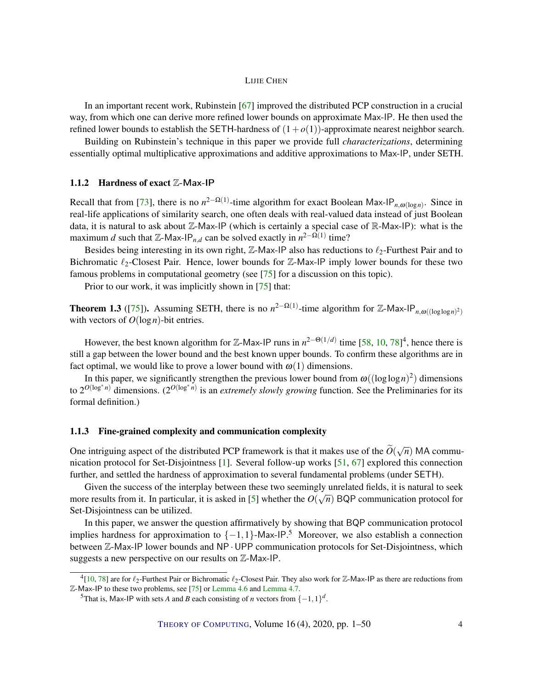<span id="page-3-0"></span>In an important recent work, Rubinstein [\[67\]](#page-48-7) improved the distributed PCP construction in a crucial way, from which one can derive more refined lower bounds on approximate Max-IP. He then used the refined lower bounds to establish the SETH-hardness of  $(1+o(1))$ -approximate nearest neighbor search.

Building on Rubinstein's technique in this paper we provide full *characterizations*, determining essentially optimal multiplicative approximations and additive approximations to Max-IP, under SETH.

# 1.1.2 Hardness of exact Z-Max-IP

Recall that from [\[73\]](#page-49-1), there is no  $n^{2-\Omega(1)}$ -time algorithm for exact Boolean Max-IP<sub>n, $\omega(\log n)$ </sub>. Since in real-life applications of similarity search, one often deals with real-valued data instead of just Boolean data, it is natural to ask about Z-Max-IP (which is certainly a special case of R-Max-IP): what is the maximum *d* such that  $\mathbb{Z}$ -Max-IP<sub>*n*,*d*</sub> can be solved exactly in  $n^{2-\Omega(1)}$  time?

Besides being interesting in its own right,  $\mathbb{Z}$ -Max-IP also has reductions to  $\ell_2$ -Furthest Pair and to Bichromatic  $\ell_2$ -Closest Pair. Hence, lower bounds for Z-Max-IP imply lower bounds for these two famous problems in computational geometry (see [\[75\]](#page-49-2) for a discussion on this topic).

Prior to our work, it was implicitly shown in [\[75\]](#page-49-2) that:

**Theorem 1.3** ([\[75\]](#page-49-2)). Assuming SETH, there is no  $n^{2-\Omega(1)}$ -time algorithm for Z-Max-IP<sub>n, $\omega((\log \log n)^2)$ </sub> with vectors of *O*(log*n*)-bit entries.

However, the best known algorithm for  $\mathbb{Z}$ -Max-IP runs in  $n^{2-\Theta(1/d)}$  time [\[58,](#page-47-3) [10,](#page-43-2) [78\]](#page-49-3)<sup>4</sup>, hence there is still a gap between the lower bound and the best known upper bounds. To confirm these algorithms are in fact optimal, we would like to prove a lower bound with  $\omega(1)$  dimensions.

In this paper, we significantly strengthen the previous lower bound from  $\omega((\log \log n)^2)$  dimensions to  $2^{O(\log^* n)}$  dimensions.  $(2^{O(\log^* n)}$  is an *extremely slowly growing* function. See the Preliminaries for its formal definition.)

#### 1.1.3 Fine-grained complexity and communication complexity

One intriguing aspect of the distributed PCP framework is that it makes use of the  $\tilde{O}(\sqrt{n})$  MA communication protocol for Set-Disjointness [\[1\]](#page-43-3). Several follow-up works [\[51,](#page-47-4) [67\]](#page-48-7) explored this connection further, and settled the hardness of approximation to several fundamental problems (under SETH).

Given the success of the interplay between these two seemingly unrelated fields, it is natural to seek more results from it. In particular, it is asked in [\[5\]](#page-43-1) whether the  $O(\sqrt{n})$  BQP communication protocol for the *O*( $\sqrt{n}$ ) BQP communication protocol for Set-Disjointness can be utilized.

In this paper, we answer the question affirmatively by showing that BQP communication protocol implies hardness for approximation to  $\{-1,1\}$ -Max-IP.<sup>5</sup> Moreover, we also establish a connection between Z-Max-IP lower bounds and NP · UPP communication protocols for Set-Disjointness, which suggests a new perspective on our results on Z-Max-IP.

<sup>&</sup>lt;sup>4</sup>[\[10,](#page-43-2) [78\]](#page-49-3) are for  $\ell_2$ -Furthest Pair or Bichromatic  $\ell_2$ -Closest Pair. They also work for Z-Max-IP as there are reductions from Z-Max-IP to these two problems, see [\[75\]](#page-49-2) or [Lemma](#page-31-0) [4.6](#page-31-0) and [Lemma](#page-32-0) [4.7.](#page-32-0)

<sup>&</sup>lt;sup>5</sup>That is, Max-IP with sets *A* and *B* each consisting of *n* vectors from  $\{-1,1\}^d$ .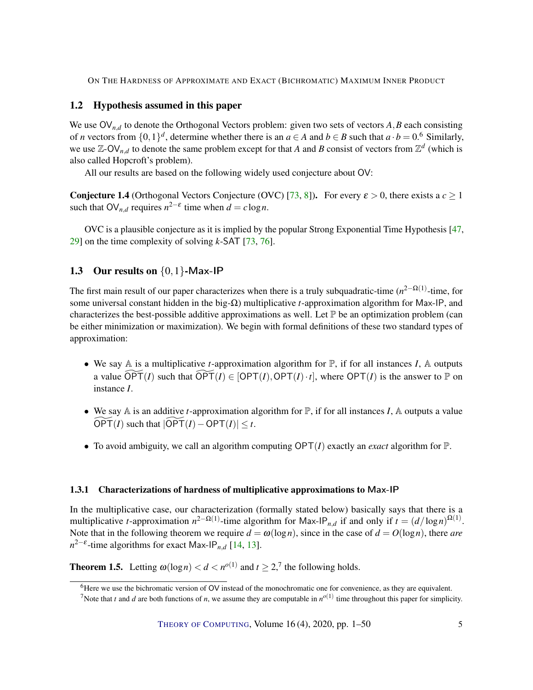# <span id="page-4-1"></span>1.2 Hypothesis assumed in this paper

We use  $\mathsf{OV}_{n,d}$  to denote the Orthogonal Vectors problem: given two sets of vectors  $A, B$  each consisting of *n* vectors from  $\{0,1\}^d$ , determine whether there is an  $a \in A$  and  $b \in B$  such that  $a \cdot b = 0.$ <sup>6</sup> Similarly, we use  $\mathbb{Z}-\text{OV}_{n,d}$  to denote the same problem except for that *A* and *B* consist of vectors from  $\mathbb{Z}^d$  (which is also called Hopcroft's problem).

All our results are based on the following widely used conjecture about OV:

**Conjecture 1.4** (Orthogonal Vectors Conjecture (OVC) [\[73,](#page-49-1) [8\]](#page-43-4)). For every  $\varepsilon > 0$ , there exists a  $c \ge 1$ such that  $\mathsf{OV}_{n,d}$  requires  $n^{2-\varepsilon}$  time when  $d = c \log n$ .

OVC is a plausible conjecture as it is implied by the popular Strong Exponential Time Hypothesis [\[47,](#page-47-2) [29\]](#page-45-2) on the time complexity of solving *k*-SAT [\[73,](#page-49-1) [76\]](#page-49-4).

# 1.3 Our results on  $\{0,1\}$ -Max-IP

The first main result of our paper characterizes when there is a truly subquadratic-time (*n*<sup>2−Ω(1)</sup>-time, for some universal constant hidden in the big-Ω) multiplicative *t*-approximation algorithm for Max-IP, and characterizes the best-possible additive approximations as well. Let  $\mathbb P$  be an optimization problem (can be either minimization or maximization). We begin with formal definitions of these two standard types of approximation:

- We say A is a multiplicative *t*-approximation algorithm for P, if for all instances *I*, A outputs a value  $\widetilde{\text{OPT}}(I)$  such that  $\widetilde{\text{OPT}}(I) \in [\text{OPT}(I), \text{OPT}(I) \cdot t]$ , where  $\text{OPT}(I)$  is the answer to P on instance *I*.
- We say  $\mathbb A$  is an additive *t*-approximation algorithm for  $\mathbb P$ , if for all instances *I*,  $\mathbb A$  outputs a value  $\overline{OPT(I)}$  such that  $|\overline{OPT(I)} - \overline{OPT(I)}| \leq t$ .
- To avoid ambiguity, we call an algorithm computing  $\text{OPT}(I)$  exactly an *exact* algorithm for  $\mathbb{P}$ .

#### 1.3.1 Characterizations of hardness of multiplicative approximations to Max-IP

In the multiplicative case, our characterization (formally stated below) basically says that there is a multiplicative *t*-approximation  $n^{2-\Omega(1)}$ -time algorithm for Max-IP<sub>*n*,*d*</sub> if and only if  $t = (d/\log n)^{\Omega(1)}$ . Note that in the following theorem we require  $d = \omega(\log n)$ , since in the case of  $d = O(\log n)$ , there *are*  $n^{2-\epsilon}$ -time algorithms for exact Max-IP<sub>*n*,*d*</sub> [\[14,](#page-44-4) [13\]](#page-44-5).

<span id="page-4-0"></span>**Theorem 1.5.** Letting  $\omega(\log n) < d < n^{o(1)}$  and  $t \ge 2$ ,<sup>7</sup> the following holds.

<sup>&</sup>lt;sup>6</sup>Here we use the bichromatic version of OV instead of the monochromatic one for convenience, as they are equivalent.

<sup>&</sup>lt;sup>7</sup>Note that *t* and *d* are both functions of *n*, we assume they are computable in  $n^{o(1)}$  time throughout this paper for simplicity.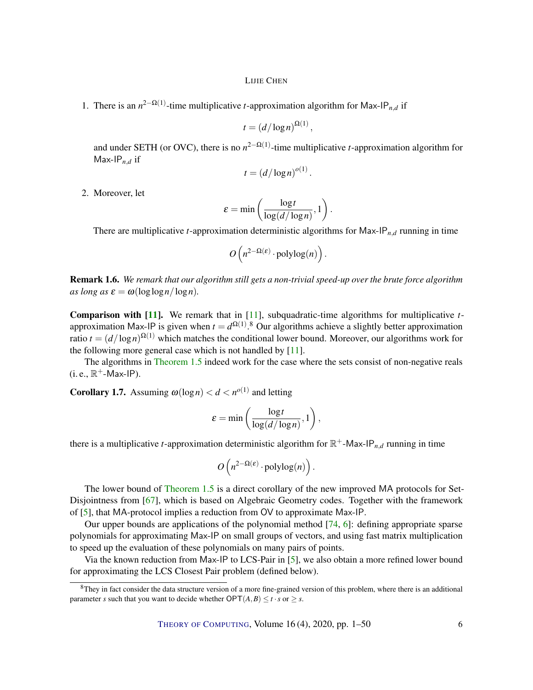<span id="page-5-0"></span>1. There is an  $n^{2-\Omega(1)}$ -time multiplicative *t*-approximation algorithm for Max-IP<sub>n,d</sub> if

$$
t=(d/\log n)^{\Omega(1)},
$$

and under SETH (or OVC), there is no  $n^{2-\Omega(1)}$ -time multiplicative *t*-approximation algorithm for Max-IP*n*,*<sup>d</sup>* if

$$
t = (d/\log n)^{o(1)}.
$$

2. Moreover, let

$$
\varepsilon = \min\left(\frac{\log t}{\log(d/\log n)}, 1\right).
$$

There are multiplicative *t*-approximation deterministic algorithms for Max-IP<sub>*n,d*</sub> running in time

$$
O\left(n^{2-\Omega(\varepsilon)}\cdot \mathrm{polylog}(n)\right).
$$

Remark 1.6. *We remark that our algorithm still gets a non-trivial speed-up over the brute force algorithm as long as*  $\varepsilon = \omega(\log \log n / \log n)$ .

Comparison with [\[11\]](#page-43-0). We remark that in [\[11\]](#page-43-0), subquadratic-time algorithms for multiplicative *t*approximation Max-IP is given when  $t = d^{\Omega(1)}$ .<sup>8</sup> Our algorithms achieve a slightly better approximation ratio  $t = (d/\log n)^{\Omega(1)}$  which matches the conditional lower bound. Moreover, our algorithms work for the following more general case which is not handled by [\[11\]](#page-43-0).

The algorithms in [Theorem](#page-4-0) [1.5](#page-4-0) indeed work for the case where the sets consist of non-negative reals  $(i.e., \mathbb{R}^+$ -Max-IP).

**Corollary 1.7.** Assuming  $\omega(\log n) < d < n^{o(1)}$  and letting

$$
\varepsilon = \min\left(\frac{\log t}{\log(d/\log n)}, 1\right),\,
$$

there is a multiplicative *t*-approximation deterministic algorithm for  $\mathbb{R}^+$ -Max-IP<sub>*n,d*</sub> running in time

$$
O\left(n^{2-\Omega(\varepsilon)}\cdot \mathrm{polylog}(n)\right).
$$

The lower bound of [Theorem](#page-4-0) [1.5](#page-4-0) is a direct corollary of the new improved MA protocols for Set-Disjointness from [\[67\]](#page-48-7), which is based on Algebraic Geometry codes. Together with the framework of [\[5\]](#page-43-1), that MA-protocol implies a reduction from OV to approximate Max-IP.

Our upper bounds are applications of the polynomial method [\[74,](#page-49-5) [6\]](#page-43-5): defining appropriate sparse polynomials for approximating Max-IP on small groups of vectors, and using fast matrix multiplication to speed up the evaluation of these polynomials on many pairs of points.

Via the known reduction from Max-IP to LCS-Pair in [\[5\]](#page-43-1), we also obtain a more refined lower bound for approximating the LCS Closest Pair problem (defined below).

 $8$ They in fact consider the data structure version of a more fine-grained version of this problem, where there is an additional parameter *s* such that you want to decide whether  $OPT(A, B) \le t \cdot s$  or  $\ge s$ .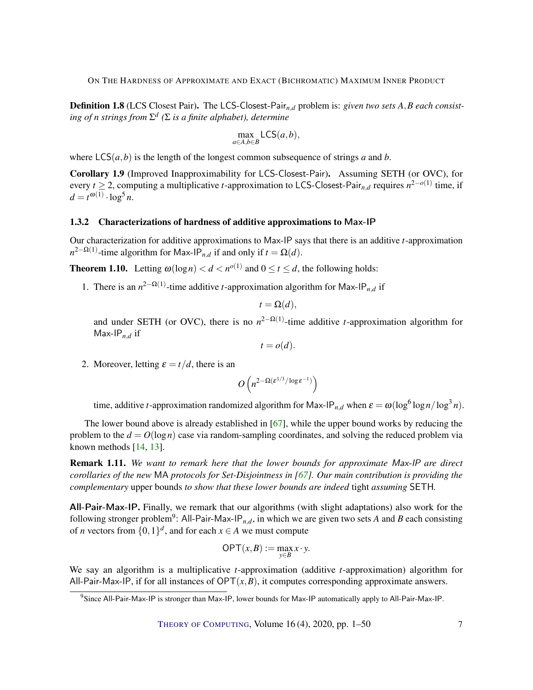<span id="page-6-2"></span>Definition 1.8 (LCS Closest Pair). The LCS-Closest-Pair*n*,*<sup>d</sup>* problem is: *given two sets A*,*B each consisting of n strings from* Σ *d (*Σ *is a finite alphabet), determine*

$$
\max_{a \in A, b \in B} \mathsf{LCS}(a, b),
$$

where  $LCS(a, b)$  is the length of the longest common subsequence of strings *a* and *b*.

<span id="page-6-1"></span>Corollary 1.9 (Improved Inapproximability for LCS-Closest-Pair). Assuming SETH (or OVC), for every *t* ≥ 2, computing a multiplicative *t*-approximation to LCS-Closest-Pair*n*,*<sup>d</sup>* requires *n* 2−*o*(1) time, if  $d = t^{\omega(1)} \cdot \log^5 n$ .

#### 1.3.2 Characterizations of hardness of additive approximations to Max-IP

Our characterization for additive approximations to Max-IP says that there is an additive *t*-approximation  $n^{2-\Omega(1)}$ -time algorithm for Max-IP<sub>*n*,*d*</sub> if and only if  $t = \Omega(d)$ .

<span id="page-6-0"></span>**Theorem 1.10.** Letting  $\omega(\log n) < d < n^{o(1)}$  and  $0 \le t \le d$ , the following holds:

1. There is an  $n^{2-\Omega(1)}$ -time additive *t*-approximation algorithm for Max-IP<sub>n,d</sub> if

$$
t = \Omega(d),
$$

and under SETH (or OVC), there is no  $n^{2-\Omega(1)}$ -time additive *t*-approximation algorithm for Max-IP*n*,*<sup>d</sup>* if

$$
t = o(d).
$$

2. Moreover, letting  $\varepsilon = t/d$ , there is an

$$
O\left(n^{2-\Omega(\varepsilon^{1/3}/\log \varepsilon^{-1})}\right)
$$

time, additive *t*-approximation randomized algorithm for Max-IP<sub>*n*,*d*</sub> when  $\varepsilon = \omega(\log^6 \log n / \log^3 n)$ .

The lower bound above is already established in [\[67\]](#page-48-7), while the upper bound works by reducing the problem to the  $d = O(\log n)$  case via random-sampling coordinates, and solving the reduced problem via known methods [\[14,](#page-44-4) [13\]](#page-44-5).

Remark 1.11. *We want to remark here that the lower bounds for approximate* Max-IP *are direct corollaries of the new* MA *protocols for Set-Disjointness in [\[67\]](#page-48-7). Our main contribution is providing the complementary* upper bounds *to show that these lower bounds are indeed* tight *assuming* SETH*.*

All-Pair-Max-IP. Finally, we remark that our algorithms (with slight adaptations) also work for the following stronger problem<sup>9</sup>: All-Pair-Max-IP<sub>*n,d*</sub>, in which we are given two sets *A* and *B* each consisting of *n* vectors from  $\{0,1\}^d$ , and for each  $x \in A$  we must compute

$$
\mathsf{OPT}(x,B) := \max_{y \in B} x \cdot y.
$$

We say an algorithm is a multiplicative *t*-approximation (additive *t*-approximation) algorithm for All-Pair-Max-IP, if for all instances of  $OPT(x, B)$ , it computes corresponding approximate answers.

<sup>9</sup>Since All-Pair-Max-IP is stronger than Max-IP, lower bounds for Max-IP automatically apply to All-Pair-Max-IP.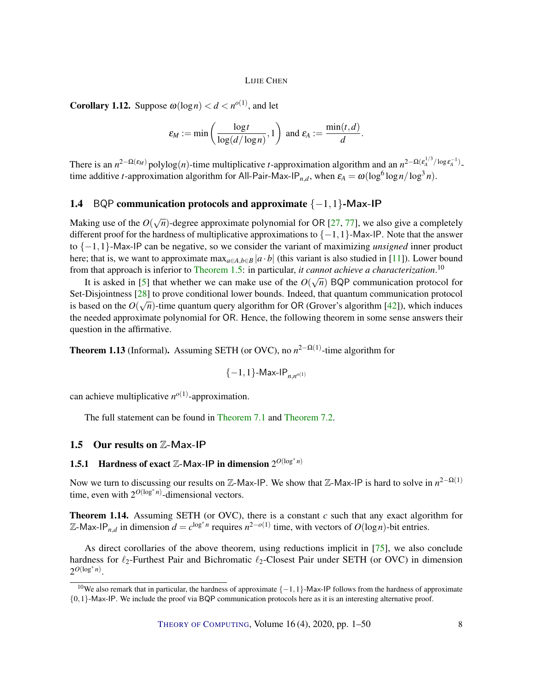<span id="page-7-2"></span><span id="page-7-0"></span>**Corollary 1.12.** Suppose  $\omega(\log n) < d < n^{o(1)}$ , and let

$$
\varepsilon_M := \min\left(\frac{\log t}{\log(d/\log n)}, 1\right) \text{ and } \varepsilon_A := \frac{\min(t, d)}{d}.
$$

There is an  $n^{2-\Omega(\varepsilon_M)}$  polylog(*n*)-time multiplicative *t*-approximation algorithm and an  $n^{2-\Omega(\varepsilon_A^{1/3}/\log \varepsilon_A^{-1})}$ . time additive *t*-approximation algorithm for All-Pair-Max-IP<sub>*n,d*</sub>, when  $\varepsilon_A = \omega(\log^6 \log n / \log^3 n)$ .

### 1.4 BQP communication protocols and approximate {−1,1}-Max-IP

Making use of the  $O(\sqrt{n})$ -degree approximate polynomial for OR [\[27,](#page-45-3) [77\]](#page-49-6), we also give a completely different proof for the hardness of multiplicative approximations to {−1,1}-Max-IP. Note that the answer to {−1,1}-Max-IP can be negative, so we consider the variant of maximizing *unsigned* inner product here; that is, we want to approximate max<sub>*a*∈*A*,*b*∈*B*  $|a \cdot b|$  (this variant is also studied in [\[11\]](#page-43-0)). Lower bound</sub> from that approach is inferior to [Theorem](#page-4-0) [1.5:](#page-4-0) in particular, *it cannot achieve a characterization*.<sup>10</sup>

It is asked in [\[5\]](#page-43-1) that whether we can make use of the  $O(\sqrt{n})$  BQP communication protocol for Set-Disjointness [\[28\]](#page-45-4) to prove conditional lower bounds. Indeed, that quantum communication protocol is based on the  $O(\sqrt{n})$ -time quantum query algorithm for OR (Grover's algorithm [\[42\]](#page-46-1)), which induces the needed approximate polynomial for OR. Hence, the following theorem in some sense answers their question in the affirmative.

**Theorem 1.13** (Informal). Assuming SETH (or OVC), no  $n^{2-\Omega(1)}$ -time algorithm for

$$
\{-1,1\}\text{-Max-IP}_{n,n^{o(1)}}
$$

can achieve multiplicative  $n^{o(1)}$ -approximation.

The full statement can be found in [Theorem](#page-38-0) [7.1](#page-38-0) and [Theorem](#page-41-0) [7.2.](#page-41-0)

#### 1.5 Our results on Z-Max-IP

# **1.5.1** Hardness of exact  $\mathbb{Z}-$ Max-IP in dimension  $2^{O(\log^* n)}$

Now we turn to discussing our results on  $\mathbb{Z}$ -Max-IP. We show that  $\mathbb{Z}$ -Max-IP is hard to solve in  $n^{2-\Omega(1)}$ time, even with  $2^{O(\log^* n)}$ -dimensional vectors.

<span id="page-7-1"></span>Theorem 1.14. Assuming SETH (or OVC), there is a constant *c* such that any exact algorithm for  $\mathbb{Z}$ -Max-IP<sub>*n*,*d*</sub> in dimension  $d = c^{\log^* n}$  requires  $n^{2-o(1)}$  time, with vectors of *O*(log*n*)-bit entries.

As direct corollaries of the above theorem, using reductions implicit in [\[75\]](#page-49-2), we also conclude hardness for  $\ell_2$ -Furthest Pair and Bichromatic  $\ell_2$ -Closest Pair under SETH (or OVC) in dimension  $2^{O(\log^* n)}$ .

<sup>&</sup>lt;sup>10</sup>We also remark that in particular, the hardness of approximate  $\{-1,1\}$ -Max-IP follows from the hardness of approximate {0,1}-Max-IP. We include the proof via BQP communication protocols here as it is an interesting alternative proof.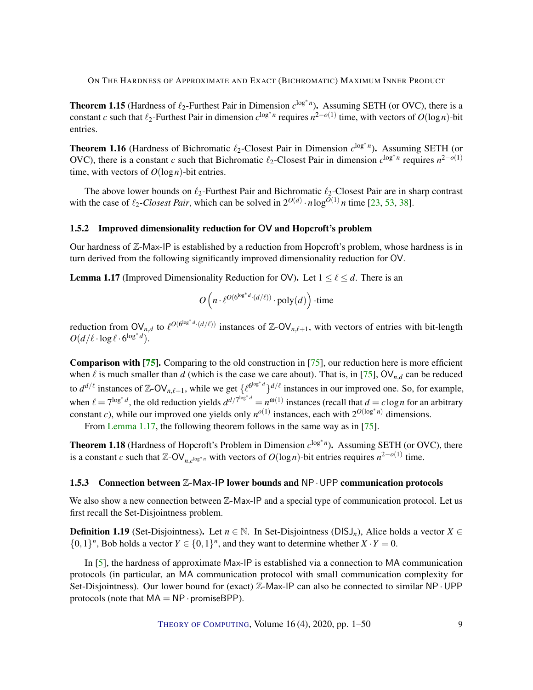<span id="page-8-4"></span><span id="page-8-2"></span>**Theorem 1.15** (Hardness of  $\ell_2$ -Furthest Pair in Dimension  $c^{\log^* n}$ ). Assuming SETH (or OVC), there is a constant *c* such that  $\ell_2$ -Furthest Pair in dimension  $c^{\log^* n}$  requires  $n^{2-o(1)}$  time, with vectors of  $O(\log n)$ -bit entries.

<span id="page-8-3"></span>Theorem 1.16 (Hardness of Bichromatic  $\ell_2$ -Closest Pair in Dimension  $c^{\log^* n}$ ). Assuming SETH (or OVC), there is a constant *c* such that Bichromatic  $\ell_2$ -Closest Pair in dimension  $c^{\log^* n}$  requires  $n^{2-o(1)}$ time, with vectors of  $O(\log n)$ -bit entries.

The above lower bounds on  $\ell_2$ -Furthest Pair and Bichromatic  $\ell_2$ -Closest Pair are in sharp contrast with the case of  $\ell_2$ -Closest Pair, which can be solved in  $2^{O(d)} \cdot n \log^{O(1)} n$  time [\[23,](#page-44-6) [53,](#page-47-5) [38\]](#page-46-2).

#### 1.5.2 Improved dimensionality reduction for OV and Hopcroft's problem

Our hardness of  $\mathbb{Z}-$ Max-IP is established by a reduction from Hopcroft's problem, whose hardness is in turn derived from the following significantly improved dimensionality reduction for OV.

<span id="page-8-0"></span>**Lemma 1.17** (Improved Dimensionality Reduction for OV). Let  $1 \leq \ell \leq d$ . There is an

$$
O\left(n \cdot \ell^{O(6^{\log^*d} \cdot (d/\ell))} \cdot \mathrm{poly}(d)\right) \text{-time}
$$

reduction from  $\mathsf{OV}_{n,d}$  to  $\ell^{O(6^{\log^*d} \cdot (d/\ell))}$  instances of  $\mathbb{Z}-\mathsf{OV}_{n,\ell+1}$ , with vectors of entries with bit-length  $O(d/\ell \cdot \log \ell \cdot 6^{\log^* d}).$ 

Comparison with [\[75\]](#page-49-2). Comparing to the old construction in [\[75\]](#page-49-2), our reduction here is more efficient when  $\ell$  is much smaller than *d* (which is the case we care about). That is, in [\[75\]](#page-49-2), OV<sub>n,*d*</sub> can be reduced to  $d^{d/\ell}$  instances of Z-OV<sub>n, $\ell+1$ </sub>, while we get  $\{\ell^{6^{\log^*d}}\}^{d/\ell}$  instances in our improved one. So, for example, when  $\ell = 7^{\log^* d}$ , the old reduction yields  $d^{d/7^{\log^* d}} = n^{\omega(1)}$  instances (recall that  $d = c \log n$  for an arbitrary constant *c*), while our improved one yields only  $n^{o(1)}$  instances, each with  $2^{O(\log^* n)}$  dimensions.

From [Lemma](#page-8-0) [1.17,](#page-8-0) the following theorem follows in the same way as in [\[75\]](#page-49-2).

<span id="page-8-1"></span>Theorem 1.18 (Hardness of Hopcroft's Problem in Dimension  $c^{\log^* n}$ ). Assuming SETH (or OVC), there is a constant *c* such that  $\mathbb{Z}-\text{OV}_{n,c^{\log^* n}}$  with vectors of  $O(\log n)$ -bit entries requires  $n^{2-o(1)}$  time.

#### 1.5.3 Connection between  $\mathbb{Z}-$  Max-IP lower bounds and NP  $\cdot$  UPP communication protocols

We also show a new connection between  $\mathbb{Z}-$ Max-IP and a special type of communication protocol. Let us first recall the Set-Disjointness problem.

**Definition 1.19** (Set-Disjointness). Let  $n \in \mathbb{N}$ . In Set-Disjointness (DISJ<sub>n</sub>), Alice holds a vector  $X \in$  $\{0,1\}^n$ , Bob holds a vector  $Y \in \{0,1\}^n$ , and they want to determine whether  $X \cdot Y = 0$ .

In [\[5\]](#page-43-1), the hardness of approximate Max-IP is established via a connection to MA communication protocols (in particular, an MA communication protocol with small communication complexity for Set-Disjointness). Our lower bound for (exact)  $\mathbb{Z}$ -Max-IP can also be connected to similar NP · UPP protocols (note that  $MA = NP \cdot \text{promiseBPP}$ ).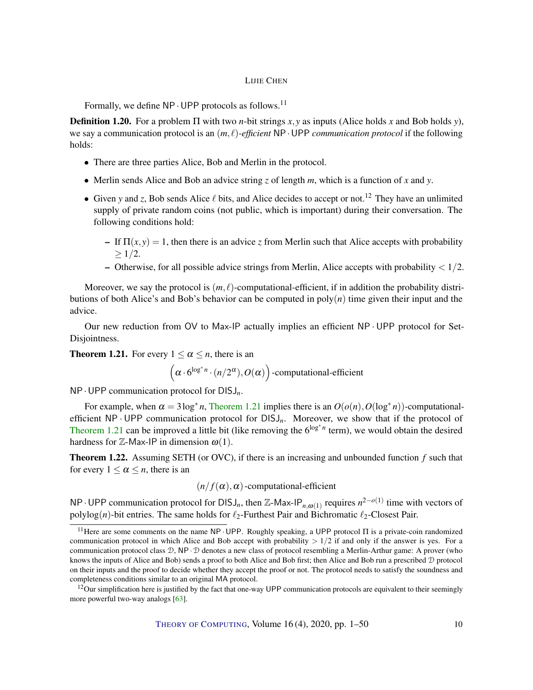<span id="page-9-2"></span>Formally, we define  $NP \cdot UPP$  protocols as follows.<sup>11</sup>

**Definition 1.20.** For a problem  $\Pi$  with two *n*-bit strings *x*, *y* as inputs (Alice holds *x* and Bob holds *y*), we say a communication protocol is an  $(m, \ell)$ -efficient NP · UPP *communication protocol* if the following holds:

- There are three parties Alice, Bob and Merlin in the protocol.
- Merlin sends Alice and Bob an advice string *z* of length *m*, which is a function of *x* and *y*.
- Given y and *z*, Bob sends Alice  $\ell$  bits, and Alice decides to accept or not.<sup>12</sup> They have an unlimited supply of private random coins (not public, which is important) during their conversation. The following conditions hold:
	- If  $\Pi(x, y) = 1$ , then there is an advice *z* from Merlin such that Alice accepts with probability  $> 1/2$ .
	- Otherwise, for all possible advice strings from Merlin, Alice accepts with probability  $\langle 1/2$ .

Moreover, we say the protocol is  $(m, \ell)$ -computational-efficient, if in addition the probability distributions of both Alice's and Bob's behavior can be computed in poly(*n*) time given their input and the advice.

Our new reduction from OV to Max-IP actually implies an efficient NP · UPP protocol for Set-Disjointness.

<span id="page-9-0"></span>**Theorem 1.21.** For every  $1 \le \alpha \le n$ , there is an

$$
(\alpha \cdot 6^{\log^* n} \cdot (n/2^{\alpha}), O(\alpha))
$$
-computational-efficient

NP·UPP communication protocol for DISJ*n*.

For example, when  $\alpha = 3\log^* n$ , [Theorem](#page-9-0) [1.21](#page-9-0) implies there is an  $O(o(n), O(\log^* n))$ -computationalefficient NP · UPP communication protocol for DISJ*n*. Moreover, we show that if the protocol of [Theorem](#page-9-0) [1.21](#page-9-0) can be improved a little bit (like removing the  $6^{\log^* n}$  term), we would obtain the desired hardness for  $\mathbb{Z}-$ Max-IP in dimension  $\omega(1)$ .

<span id="page-9-1"></span>Theorem 1.22. Assuming SETH (or OVC), if there is an increasing and unbounded function *f* such that for every  $1 \leq \alpha \leq n$ , there is an

 $(n/f(\alpha), \alpha)$ -computational-efficient

NP⋅UPP communication protocol for DISJ<sub>n</sub>, then Z-Max-IP<sub>n,ω(1)</sub> requires  $n^{2-o(1)}$  time with vectors of polylog(*n*)-bit entries. The same holds for  $\ell_2$ -Furthest Pair and Bichromatic  $\ell_2$ -Closest Pair.

<sup>&</sup>lt;sup>11</sup>Here are some comments on the name NP · UPP. Roughly speaking, a UPP protocol  $\Pi$  is a private-coin randomized communication protocol in which Alice and Bob accept with probability  $> 1/2$  if and only if the answer is yes. For a communication protocol class D, NP· D denotes a new class of protocol resembling a Merlin-Arthur game: A prover (who knows the inputs of Alice and Bob) sends a proof to both Alice and Bob first; then Alice and Bob run a prescribed D protocol on their inputs and the proof to decide whether they accept the proof or not. The protocol needs to satisfy the soundness and completeness conditions similar to an original MA protocol.

 $12$ Our simplification here is justified by the fact that one-way UPP communication protocols are equivalent to their seemingly more powerful two-way analogs [\[63\]](#page-48-8).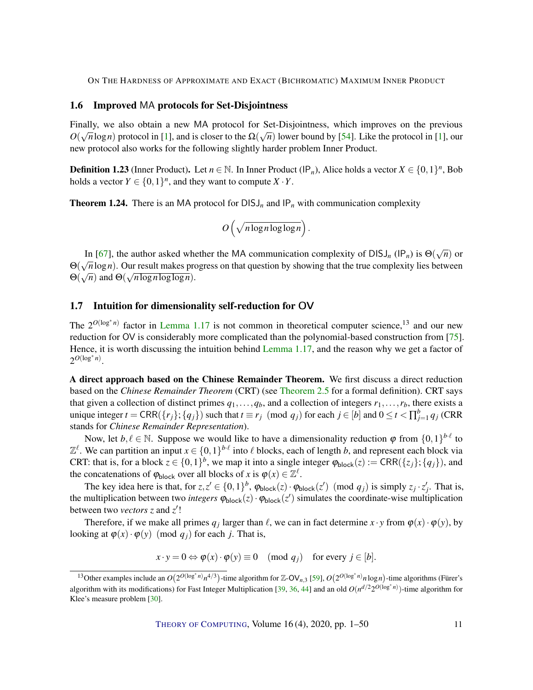#### <span id="page-10-1"></span>1.6 Improved MA protocols for Set-Disjointness

Finally, we also obtain a new MA protocol for Set-Disjointness, which improves on the previous  $\alpha(\sqrt{a})$  $O(\sqrt{n}\log n)$  protocol in [\[1\]](#page-43-3), and is closer to the  $\Omega(\sqrt{n})$  lower bound by [\[54\]](#page-47-6). Like the protocol in [1], our new protocol also works for the following slightly harder problem Inner Product.

**Definition 1.23** (Inner Product). Let  $n \in \mathbb{N}$ . In Inner Product (IP<sub>n</sub>), Alice holds a vector  $X \in \{0,1\}^n$ , Bob holds a vector  $Y \in \{0,1\}^n$ , and they want to compute  $X \cdot Y$ .

<span id="page-10-0"></span>**Theorem 1.24.** There is an MA protocol for  $DISJ_n$  and  $IP_n$  with communication complexity

$$
O\left(\sqrt{n \log n \log \log n}\right).
$$

In [\[67\]](#page-48-7), the author asked whether the MA communication complexity of DISJ<sub>n</sub> (IP<sub>n</sub>) is  $\Theta(\sqrt{n})$  or In [07], the author asked whether the MA communication complexity or Di33<sub>n</sub> (ir<sub>n</sub>) is  $\Theta(\sqrt{n})$  or  $\Theta(\sqrt{n})$  or  $\Theta(\sqrt{n})$  or  $\Theta(\sqrt{n})$  or  $\Theta(\sqrt{n})$ . Our result makes progress on that question by showing that the true comple  $\Theta(\sqrt{n})$  and  $\Theta(\sqrt{n \log n \log \log n})$ .

#### 1.7 Intuition for dimensionality self-reduction for OV

The  $2^{O(\log^* n)}$  factor in [Lemma](#page-8-0) [1.17](#page-8-0) is not common in theoretical computer science,<sup>13</sup> and our new reduction for OV is considerably more complicated than the polynomial-based construction from [\[75\]](#page-49-2). Hence, it is worth discussing the intuition behind [Lemma](#page-8-0) [1.17,](#page-8-0) and the reason why we get a factor of  $2^{O(\log^* n)}$ .

A direct approach based on the Chinese Remainder Theorem. We first discuss a direct reduction based on the *Chinese Remainder Theorem* (CRT) (see [Theorem](#page-14-0) [2.5](#page-14-0) for a formal definition). CRT says that given a collection of distinct primes  $q_1, \ldots, q_b$ , and a collection of integers  $r_1, \ldots, r_b$ , there exists a unique integer  $t = \text{CRR}(\{r_j\}; \{q_j\})$  such that  $t \equiv r_j \pmod{q_j}$  for each  $j \in [b]$  and  $0 \le t < \prod_{j=1}^b q_j$  (CRR stands for *Chinese Remainder Representation*).

Now, let  $b, \ell \in \mathbb{N}$ . Suppose we would like to have a dimensionality reduction  $\varphi$  from  $\{0,1\}^{b \cdot \ell}$  to  $\mathbb{Z}^{\ell}$ . We can partition an input  $x \in \{0,1\}^{b\cdot\ell}$  into  $\ell$  blocks, each of length *b*, and represent each block via CRT: that is, for a block  $z \in \{0,1\}^b$ , we map it into a single integer  $\varphi_{\text{block}}(z) := \text{CRR}(\{z_j\}; \{q_j\})$ , and the concatenations of  $\varphi_{\text{block}}$  over all blocks of *x* is  $\varphi(x) \in \mathbb{Z}^{\ell}$ .

The key idea here is that, for  $z, z' \in \{0, 1\}^b$ ,  $\varphi_{block}(z) \cdot \varphi_{block}(z') \pmod{q_j}$  is simply  $z_j \cdot z'_j$ . That is, the multiplication between two *integers*  $\varphi_{block}(z) \cdot \varphi_{block}(z')$  simulates the coordinate-wise multiplication between two *vectors z* and *z'*!

Therefore, if we make all primes  $q_j$  larger than  $\ell$ , we can in fact determine  $x \cdot y$  from  $\varphi(x) \cdot \varphi(y)$ , by looking at  $\varphi(x) \cdot \varphi(y)$  (mod  $q_i$ ) for each *j*. That is,

$$
x \cdot y = 0 \Leftrightarrow \varphi(x) \cdot \varphi(y) \equiv 0 \pmod{q_j} \text{ for every } j \in [b].
$$

THEORY OF C[OMPUTING](http://dx.doi.org/10.4086/toc), Volume  $16(4)$ , 2020, pp.  $1-50$  11

<sup>&</sup>lt;sup>13</sup>Other examples include an  $O(2^{O(\log^* n)}n^{4/3})$ -time algorithm for Z-OV<sub>n,3</sub> [\[59\]](#page-48-9),  $O(2^{O(\log^* n)}n \log n)$ -time algorithms (Fürer's algorithm with its modifications) for Fast Integer Multiplication [\[39,](#page-46-3) [36,](#page-46-4) [44\]](#page-46-5) and an old  $O(n^{d/2} 2^{O(\log^* n)})$ -time algorithm for Klee's measure problem [\[30\]](#page-45-5).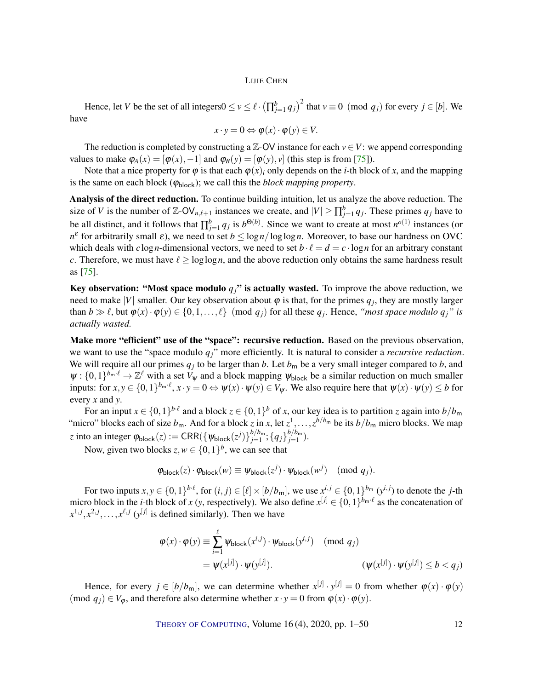<span id="page-11-0"></span>Hence, let *V* be the set of all integers $0 \le v \le \ell \cdot (\prod_{j=1}^{b} q_j)^2$  that  $v \equiv 0 \pmod{q_j}$  for every  $j \in [b]$ . We have

$$
x \cdot y = 0 \Leftrightarrow \varphi(x) \cdot \varphi(y) \in V.
$$

The reduction is completed by constructing a  $\mathbb{Z}$ -OV instance for each  $v \in V$ : we append corresponding values to make  $\varphi_A(x) = [\varphi(x), -1]$  and  $\varphi_B(y) = [\varphi(y), y]$  (this step is from [\[75\]](#page-49-2)).

Note that a nice property for  $\varphi$  is that each  $\varphi(x)$ *i* only depends on the *i*-th block of *x*, and the mapping is the same on each block ( $\varphi_{\text{block}}$ ); we call this the *block mapping property*.

Analysis of the direct reduction. To continue building intuition, let us analyze the above reduction. The size of *V* is the number of  $\mathbb{Z}-\mathsf{OV}_{n,\ell+1}$  instances we create, and  $|V| \ge \prod_{j=1}^{b} q_j$ . These primes  $q_j$  have to be all distinct, and it follows that  $\prod_{j=1}^{b} q_j$  is  $b^{\Theta(b)}$ . Since we want to create at most  $n^{o(1)}$  instances (or *n*<sup>ε</sup> for arbitrarily small  $\varepsilon$ ), we need to set  $b \le \log n / \log \log n$ . Moreover, to base our hardness on OVC which deals with  $c \log n$ -dimensional vectors, we need to set  $b \cdot \ell = d = c \cdot \log n$  for an arbitrary constant *c*. Therefore, we must have  $\ell > \log \log n$ , and the above reduction only obtains the same hardness result as [\[75\]](#page-49-2).

Key observation: "Most space modulo  $q_i$ " is actually wasted. To improve the above reduction, we need to make |*V*| smaller. Our key observation about  $\varphi$  is that, for the primes  $q_j$ , they are mostly larger than  $b \gg l$ , but  $\varphi(x) \cdot \varphi(y) \in \{0, 1, ..., l\}$  (mod  $q_j$ ) for all these  $q_j$ . Hence, *"most space modulo*  $q_j$ " is *actually wasted.*

Make more "efficient" use of the "space": recursive reduction. Based on the previous observation, we want to use the "space modulo *qj*" more efficiently. It is natural to consider a *recursive reduction*. We will require all our primes  $q_j$  to be larger than *b*. Let  $b_m$  be a very small integer compared to *b*, and  $\psi: \{0,1\}^{b_m \cdot \ell} \to \mathbb{Z}^{\ell}$  with a set  $V_{\psi}$  and a block mapping  $\psi_{\text{block}}$  be a similar reduction on much smaller inputs: for  $x, y \in \{0, 1\}^{b_m \cdot \ell}, x \cdot y = 0 \Leftrightarrow \psi(x) \cdot \psi(y) \in V_{\psi}$ . We also require here that  $\psi(x) \cdot \psi(y) \le b$  for every *x* and *y*.

For an input  $x \in \{0,1\}^{b\cdot\ell}$  and a block  $z \in \{0,1\}^b$  of *x*, our key idea is to partition *z* again into  $b/b_m$ "micro" blocks each of size  $b_m$ . And for a block *z* in *x*, let  $z^1, \ldots, z^{b/b_m}$  be its  $b/b_m$  micro blocks. We map *z* into an integer  $\varphi_{\text{block}}(z) := \text{CRR}(\{\psi_{\text{block}}(z^j)\}_{j=1}^{b/b_m})$  $_{j=1}^{b/b_{\sf m}}$  ;  $\{q_j\}_{j=1}^{b/b_{\sf m}}$  $_{j=1}^{\nu/\nu_{\rm m}}$ ).

Now, given two blocks  $z, w \in \{0, 1\}^b$ , we can see that

$$
\varphi_{\text{block}}(z) \cdot \varphi_{\text{block}}(w) \equiv \psi_{\text{block}}(z^j) \cdot \psi_{\text{block}}(w^j) \pmod{q_j}.
$$

For two inputs  $x, y \in \{0, 1\}^{b \cdot \ell}$ , for  $(i, j) \in [\ell] \times [b/b_m]$ , we use  $x^{i, j} \in \{0, 1\}^{b_m}$   $(y^{i, j})$  to denote the *j*-th micro block in the *i*-th block of *x* (*y*, respectively). We also define  $x^{[j]} \in \{0,1\}^{b_m \cdot \ell}$  as the concatenation of  $x^{1,j}, x^{2,j}, \ldots, x^{\ell,j}$  ( $y^{[j]}$  is defined similarly). Then we have

$$
\varphi(x) \cdot \varphi(y) \equiv \sum_{i=1}^{\ell} \psi_{\text{block}}(x^{i,j}) \cdot \psi_{\text{block}}(y^{i,j}) \pmod{q_j}
$$
  
=  $\psi(x^{[j]}) \cdot \psi(y^{[j]}).$   $(\psi(x^{[j]}) \cdot \psi(y^{[j]}) \le b < q_j)$ 

Hence, for every  $j \in [b/b_m]$ , we can determine whether  $x^{[j]} \cdot y^{[j]} = 0$  from whether  $\varphi(x) \cdot \varphi(y)$ (mod  $q_j$ )  $\in V_\varphi$ , and therefore also determine whether  $x \cdot y = 0$  from  $\varphi(x) \cdot \varphi(y)$ .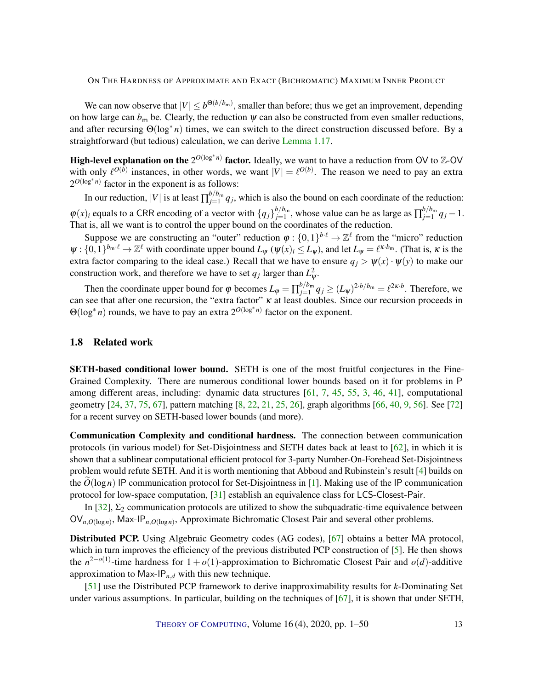<span id="page-12-0"></span>We can now observe that  $|V| \leq b^{\Theta(b/b_m)}$ , smaller than before; thus we get an improvement, depending on how large can  $b_m$  be. Clearly, the reduction  $\psi$  can also be constructed from even smaller reductions, and after recursing Θ(log<sup>∗</sup> *n*) times, we can switch to the direct construction discussed before. By a straightforward (but tedious) calculation, we can derive [Lemma](#page-8-0) [1.17.](#page-8-0)

High-level explanation on the  $2^{O(\log^* n)}$  factor. Ideally, we want to have a reduction from OV to Z-OV with only  $\ell^{O(b)}$  instances, in other words, we want  $|V| = \ell^{O(b)}$ . The reason we need to pay an extra  $2^{O(\log^* n)}$  factor in the exponent is as follows:

In our reduction,  $|V|$  is at least  $\prod_{j=1}^{b/b_m}$  $q_j \nu_{m}$   $q_j$ , which is also the bound on each coordinate of the reduction:  $\varphi(x)$  equals to a CRR encoding of a vector with  $\{q_j\}_{j=1}^{b/b_m}$  $\frac{b/b_m}{b=1}$ , whose value can be as large as  $\prod_{j=1}^{b/b_m}$  $j=1 \n q_j-1.$ That is, all we want is to control the upper bound on the coordinates of the reduction.

Suppose we are constructing an "outer" reduction  $\varphi: \{0,1\}^{b \cdot \ell} \to \mathbb{Z}^{\ell}$  from the "micro" reduction  $\psi: \{0,1\}^{b_m \cdot \ell} \to \mathbb{Z}^{\ell}$  with coordinate upper bound  $L_{\psi}$  ( $\psi(x)_i \le L_{\psi}$ ), and let  $L_{\psi} = \ell^{\kappa \cdot b_m}$ . (That is,  $\kappa$  is the extra factor comparing to the ideal case.) Recall that we have to ensure  $q_i > \psi(x) \cdot \psi(y)$  to make our construction work, and therefore we have to set  $q_j$  larger than  $L^2_{\psi}$ .

Then the coordinate upper bound for  $\varphi$  becomes  $L_{\varphi} = \prod_{j=1}^{b/b_m}$  $j_{j=1}^{b/b_m} q_j \ge (L_{\psi})^{2 \cdot b/b_m} = \ell^{2\kappa \cdot b}$ . Therefore, we can see that after one recursion, the "extra factor" κ at least doubles. Since our recursion proceeds in Θ(log<sup>∗</sup> *n*) rounds, we have to pay an extra 2*O*(log<sup>∗</sup> *n*) factor on the exponent.

#### 1.8 Related work

SETH-based conditional lower bound. SETH is one of the most fruitful conjectures in the Fine-Grained Complexity. There are numerous conditional lower bounds based on it for problems in P among different areas, including: dynamic data structures [\[61,](#page-48-10) [7,](#page-43-6) [45,](#page-46-6) [55,](#page-47-7) [3,](#page-43-7) [46,](#page-46-7) [41\]](#page-46-8), computational geometry [\[24,](#page-45-6) [37,](#page-46-9) [75,](#page-49-2) [67\]](#page-48-7), pattern matching [\[8,](#page-43-4) [22,](#page-44-7) [21,](#page-44-8) [25,](#page-45-7) [26\]](#page-45-8), graph algorithms [\[66,](#page-48-11) [40,](#page-46-10) [9,](#page-43-8) [56\]](#page-47-8). See [\[72\]](#page-49-7) for a recent survey on SETH-based lower bounds (and more).

Communication Complexity and conditional hardness. The connection between communication protocols (in various model) for Set-Disjointness and SETH dates back at least to [\[62\]](#page-48-12), in which it is shown that a sublinear computational efficient protocol for 3-party Number-On-Forehead Set-Disjointness problem would refute SETH. And it is worth mentioning that Abboud and Rubinstein's result [\[4\]](#page-43-9) builds on the  $O(\log n)$  IP communication protocol for Set-Disjointness in [\[1\]](#page-43-3). Making use of the IP communication protocol for low-space computation, [\[31\]](#page-45-9) establish an equivalence class for LCS-Closest-Pair.

In [\[32\]](#page-45-10),  $\Sigma_2$  communication protocols are utilized to show the subquadratic-time equivalence between OV*n*,*O*(log*n*) , Max-IP*n*,*O*(log*n*) , Approximate Bichromatic Closest Pair and several other problems.

Distributed PCP. Using Algebraic Geometry codes (AG codes), [\[67\]](#page-48-7) obtains a better MA protocol, which in turn improves the efficiency of the previous distributed PCP construction of [\[5\]](#page-43-1). He then shows the  $n^{2-o(1)}$ -time hardness for  $1+o(1)$ -approximation to Bichromatic Closest Pair and  $o(d)$ -additive approximation to Max-IP*n*,*<sup>d</sup>* with this new technique.

[\[51\]](#page-47-4) use the Distributed PCP framework to derive inapproximability results for *k*-Dominating Set under various assumptions. In particular, building on the techniques of  $[67]$ , it is shown that under SETH,

THEORY OF C[OMPUTING](http://dx.doi.org/10.4086/toc), Volume  $16(4)$ , 2020, pp.  $1-50$  13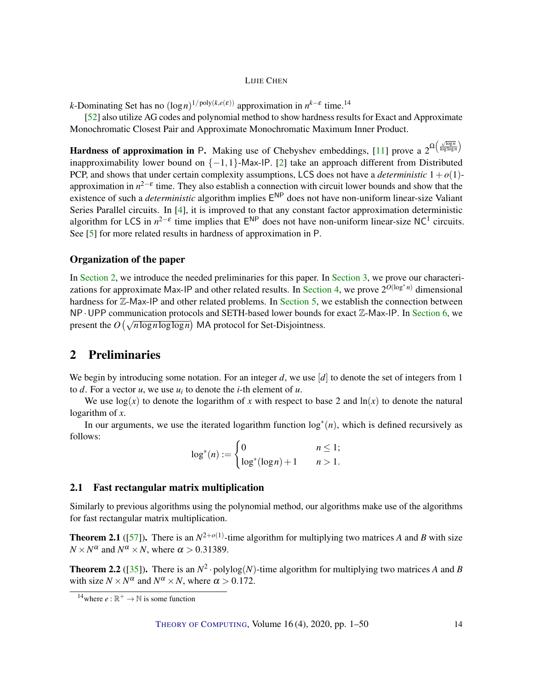<span id="page-13-3"></span>*k*-Dominating Set has no  $(\log n)^{1/poly(k,e(\varepsilon))}$  approximation in  $n^{k-\varepsilon}$  time.<sup>14</sup>

[\[52\]](#page-47-9) also utilize AG codes and polynomial method to show hardness results for Exact and Approximate Monochromatic Closest Pair and Approximate Monochromatic Maximum Inner Product.

Hardness of approximation in P. Making use of Chebyshev embeddings, [\[11\]](#page-43-0) prove a  $2^{\Omega\left(\frac{\sqrt{\log n}}{\log\log n}\right)}$ inapproximability lower bound on  $\{-1,1\}$ -Max-IP. [\[2\]](#page-43-10) take an approach different from Distributed PCP, and shows that under certain complexity assumptions, LCS does not have a *deterministic*  $1+o(1)$ approximation in  $n^{2-\epsilon}$  time. They also establish a connection with circuit lower bounds and show that the existence of such a *deterministic* algorithm implies E NP does not have non-uniform linear-size Valiant Series Parallel circuits. In [\[4\]](#page-43-9), it is improved to that any constant factor approximation deterministic algorithm for LCS in  $n^{2-\epsilon}$  time implies that  $E^{NP}$  does not have non-uniform linear-size NC<sup>1</sup> circuits. See [\[5\]](#page-43-1) for more related results in hardness of approximation in P.

#### Organization of the paper

In [Section](#page-13-0) [2,](#page-13-0) we introduce the needed preliminaries for this paper. In [Section](#page-15-0) [3,](#page-15-0) we prove our characteri-zations for approximate Max-IP and other related results. In [Section](#page-24-0) [4,](#page-24-0) we prove  $2^{O(\log^* n)}$  dimensional hardness for Z-Max-IP and other related problems. In [Section](#page-34-0) [5,](#page-34-0) we establish the connection between  $NP \cdot UPP$  communication protocols and SETH-based lower bounds for exact  $\mathbb{Z}-Max-IP$ . In [Section](#page-37-0) [6,](#page-37-0) we present the  $O(\sqrt{n \log n \log \log n})$  MA protocol for Set-Disjointness.

# <span id="page-13-0"></span>2 Preliminaries

We begin by introducing some notation. For an integer *d*, we use [*d*] to denote the set of integers from 1 to  $d$ . For a vector  $u$ , we use  $u_i$  to denote the *i*-th element of  $u$ .

We use  $log(x)$  to denote the logarithm of x with respect to base 2 and  $ln(x)$  to denote the natural logarithm of *x*.

In our arguments, we use the iterated logarithm function  $\log^*(n)$ , which is defined recursively as follows:

$$
\log^*(n) := \begin{cases} 0 & n \le 1; \\ \log^*(\log n) + 1 & n > 1. \end{cases}
$$

### 2.1 Fast rectangular matrix multiplication

Similarly to previous algorithms using the polynomial method, our algorithms make use of the algorithms for fast rectangular matrix multiplication.

<span id="page-13-1"></span>**Theorem 2.1** ([\[57\]](#page-47-10)). There is an  $N^{2+o(1)}$ -time algorithm for multiplying two matrices *A* and *B* with size  $N \times N^{\alpha}$  and  $N^{\alpha} \times N$ , where  $\alpha > 0.31389$ .

<span id="page-13-2"></span>**Theorem 2.2** ([\[35\]](#page-45-11)). There is an  $N^2 \cdot \text{polylog}(N)$ -time algorithm for multiplying two matrices *A* and *B* with size  $N \times N^{\alpha}$  and  $N^{\alpha} \times N$ , where  $\alpha > 0.172$ .

<sup>&</sup>lt;sup>14</sup>where  $e : \mathbb{R}^+ \to \mathbb{N}$  is some function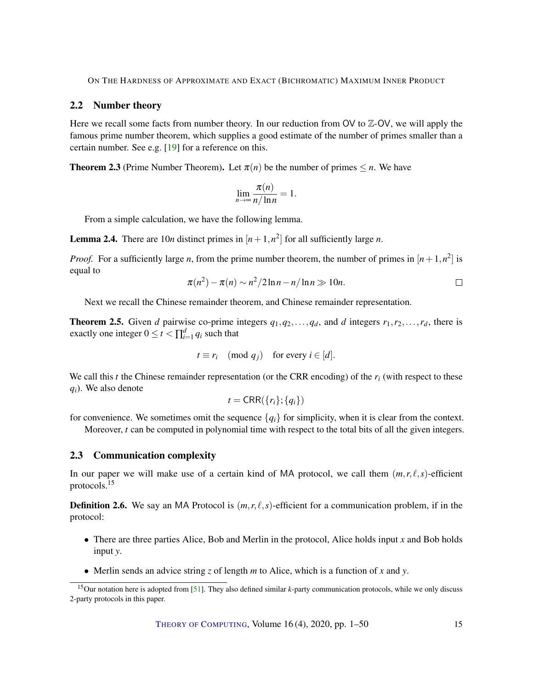# <span id="page-14-2"></span>2.2 Number theory

Here we recall some facts from number theory. In our reduction from OV to  $\mathbb{Z}-\mathsf{OV}$ , we will apply the famous prime number theorem, which supplies a good estimate of the number of primes smaller than a certain number. See e.g. [\[19\]](#page-44-9) for a reference on this.

**Theorem 2.3** (Prime Number Theorem). Let  $\pi(n)$  be the number of primes  $\leq n$ . We have

$$
\lim_{n\to\infty}\frac{\pi(n)}{n/\ln n}=1.
$$

From a simple calculation, we have the following lemma.

<span id="page-14-1"></span>**Lemma 2.4.** There are 10*n* distinct primes in  $[n+1,n^2]$  for all sufficiently large *n*.

*Proof.* For a sufficiently large *n*, from the prime number theorem, the number of primes in  $[n+1,n^2]$  is equal to

$$
\pi(n^2) - \pi(n) \sim n^2/2\ln n - n/\ln n \gg 10n.
$$

Next we recall the Chinese remainder theorem, and Chinese remainder representation.

<span id="page-14-0"></span>**Theorem 2.5.** Given *d* pairwise co-prime integers  $q_1, q_2, \ldots, q_d$ , and *d* integers  $r_1, r_2, \ldots, r_d$ , there is exactly one integer  $0 \le t < \prod_{i=1}^{d} q_i$  such that

$$
t \equiv r_i \pmod{q_j}
$$
 for every  $i \in [d]$ .

We call this  $t$  the Chinese remainder representation (or the CRR encoding) of the  $r_i$  (with respect to these *qi*). We also denote

$$
t = \mathsf{CRR}(\{r_i\}; \{q_i\})
$$

for convenience. We sometimes omit the sequence  ${q_i}$  for simplicity, when it is clear from the context. Moreover, *t* can be computed in polynomial time with respect to the total bits of all the given integers.

#### 2.3 Communication complexity

In our paper we will make use of a certain kind of MA protocol, we call them  $(m, r, \ell, s)$ -efficient protocols.<sup>15</sup>

**Definition 2.6.** We say an MA Protocol is  $(m, r, \ell, s)$ -efficient for a communication problem, if in the protocol:

- There are three parties Alice, Bob and Merlin in the protocol, Alice holds input *x* and Bob holds input *y*.
- Merlin sends an advice string *z* of length *m* to Alice, which is a function of *x* and *y*.

<sup>15</sup>Our notation here is adopted from [\[51\]](#page-47-4). They also defined similar *k*-party communication protocols, while we only discuss 2-party protocols in this paper.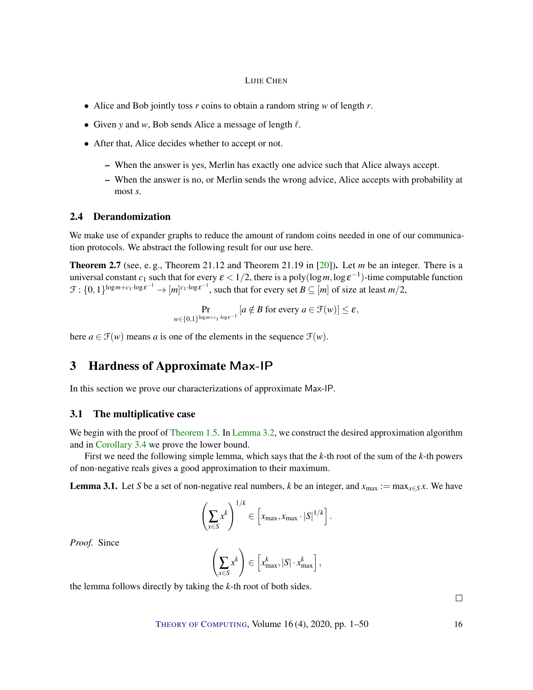- <span id="page-15-3"></span>• Alice and Bob jointly toss *r* coins to obtain a random string *w* of length *r*.
- Given *y* and *w*, Bob sends Alice a message of length  $\ell$ .
- After that, Alice decides whether to accept or not.
	- When the answer is yes, Merlin has exactly one advice such that Alice always accept.
	- When the answer is no, or Merlin sends the wrong advice, Alice accepts with probability at most *s*.

### 2.4 Derandomization

We make use of expander graphs to reduce the amount of random coins needed in one of our communication protocols. We abstract the following result for our use here.

<span id="page-15-2"></span>Theorem 2.7 (see, e. g., Theorem 21.12 and Theorem 21.19 in [\[20\]](#page-44-10)). Let *m* be an integer. There is a universal constant  $c_1$  such that for every  $\varepsilon < 1/2$ , there is a poly(log*m*, log  $\varepsilon^{-1}$ )-time computable function  $\mathcal{F}: \{0,1\}^{\log m + c_1 \cdot \log \varepsilon^{-1}} \to [m]^{c_1 \cdot \log \varepsilon^{-1}}$ , such that for every set  $B \subseteq [m]$  of size at least  $m/2$ ,

$$
\Pr_{w \in \{0,1\}^{\log m + c_1 \cdot \log \varepsilon^{-1}}} [a \notin B \text{ for every } a \in \mathcal{F}(w)] \leq \varepsilon,
$$

here  $a \in \mathcal{F}(w)$  means *a* is one of the elements in the sequence  $\mathcal{F}(w)$ .

# <span id="page-15-0"></span>3 Hardness of Approximate Max-IP

In this section we prove our characterizations of approximate Max-IP.

## 3.1 The multiplicative case

We begin with the proof of [Theorem](#page-4-0) [1.5.](#page-4-0) In [Lemma](#page-16-0) [3.2,](#page-16-0) we construct the desired approximation algorithm and in [Corollary](#page-19-0) [3.4](#page-19-0) we prove the lower bound.

First we need the following simple lemma, which says that the *k*-th root of the sum of the *k*-th powers of non-negative reals gives a good approximation to their maximum.

<span id="page-15-1"></span>**Lemma 3.1.** Let *S* be a set of non-negative real numbers, *k* be an integer, and  $x_{\text{max}} := \max_{x \in S} x$ . We have

$$
\left(\sum_{x\in S} x^k\right)^{1/k} \in \left[x_{\max}, x_{\max} \cdot |S|^{1/k}\right].
$$

*Proof.* Since

$$
\left(\sum_{x\in S} x^k\right) \in \left[x_{\max}^k, |S| \cdot x_{\max}^k\right],
$$

the lemma follows directly by taking the *k*-th root of both sides.

THEORY OF C[OMPUTING](http://dx.doi.org/10.4086/toc), Volume 16 (4), 2020, pp. 1–50 16

 $\Box$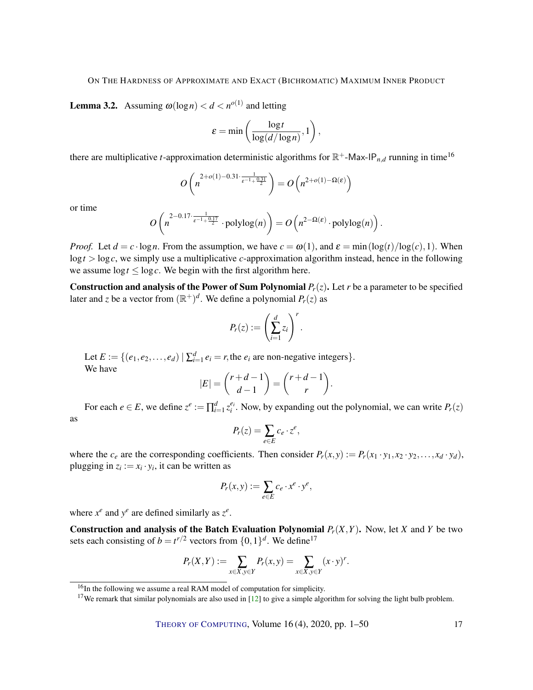<span id="page-16-1"></span><span id="page-16-0"></span>**Lemma 3.2.** Assuming  $\omega(\log n) < d < n^{o(1)}$  and letting

$$
\varepsilon = \min\left(\frac{\log t}{\log(d/\log n)}, 1\right),\,
$$

there are multiplicative *t*-approximation deterministic algorithms for  $\mathbb{R}^+$ -Max-IP<sub>n,d</sub> running in time<sup>16</sup>

$$
O\left(n^{\frac{2+o(1)-0.31\cdot\frac{1}{\varepsilon^{-1}+\frac{0.31}{2}}}}\right)=O\left(n^{2+o(1)-\Omega(\varepsilon)}\right)
$$

or time

$$
O\left(n^{\frac{2-0.17\cdot\frac{1}{\varepsilon^{-1}+\frac{0.17}{2}}}}\cdot \mathrm{polylog}(n)\right)=O\left(n^{2-\Omega(\varepsilon)}\cdot \mathrm{polylog}(n)\right).
$$

*Proof.* Let  $d = c \cdot \log n$ . From the assumption, we have  $c = \omega(1)$ , and  $\varepsilon = \min(\log(t)/\log(c), 1)$ . When  $\log t$  >  $\log c$ , we simply use a multiplicative *c*-approximation algorithm instead, hence in the following we assume  $\log t \leq \log c$ . We begin with the first algorithm here.

**Construction and analysis of the Power of Sum Polynomial**  $P_r(z)$ **.** Let *r* be a parameter to be specified later and *z* be a vector from  $(\mathbb{R}^+)^d$ . We define a polynomial  $P_r(z)$  as

$$
P_r(z) := \left(\sum_{i=1}^d z_i\right)^r.
$$

Let  $E := \{(e_1, e_2, \dots, e_d) \mid \sum_{i=1}^d e_i = r$ , the  $e_i$  are non-negative integers. We have

$$
|E| = {r+d-1 \choose d-1} = {r+d-1 \choose r}.
$$

For each  $e \in E$ , we define  $z^e := \prod_{i=1}^d z_i^{e_i}$ . Now, by expanding out the polynomial, we can write  $P_r(z)$ as

$$
P_r(z) = \sum_{e \in E} c_e \cdot z^e,
$$

where the  $c_e$  are the corresponding coefficients. Then consider  $P_r(x, y) := P_r(x_1 \cdot y_1, x_2 \cdot y_2, \dots, x_d \cdot y_d)$ , plugging in  $z_i := x_i \cdot y_i$ , it can be written as

$$
P_r(x,y) := \sum_{e \in E} c_e \cdot x^e \cdot y^e,
$$

where  $x^e$  and  $y^e$  are defined similarly as  $z^e$ .

**Construction and analysis of the Batch Evaluation Polynomial**  $P_r(X,Y)$ **.** Now, let *X* and *Y* be two sets each consisting of  $b = t^{r/2}$  vectors from  $\{0, 1\}^d$ . We define<sup>17</sup>

$$
P_r(X,Y) := \sum_{x \in X, y \in Y} P_r(x,y) = \sum_{x \in X, y \in Y} (x \cdot y)^r.
$$

<sup>&</sup>lt;sup>16</sup>In the following we assume a real RAM model of computation for simplicity.

<sup>&</sup>lt;sup>17</sup>We remark that similar polynomials are also used in  $[12]$  to give a simple algorithm for solving the light bulb problem.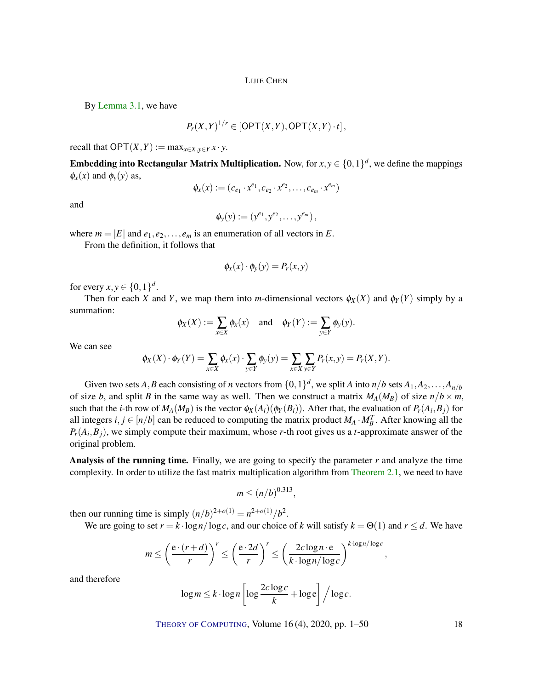By [Lemma](#page-15-1) [3.1,](#page-15-1) we have

$$
P_r(X,Y)^{1/r} \in \left[ \mathsf{OPT}(X,Y),\mathsf{OPT}(X,Y) \cdot t \right],
$$

recall that  $OPT(X, Y) := \max_{x \in X, y \in Y} x \cdot y$ .

**Embedding into Rectangular Matrix Multiplication.** Now, for  $x, y \in \{0, 1\}^d$ , we define the mappings  $\phi_x(x)$  and  $\phi_y(y)$  as,

$$
\phi_x(x) := (c_{e_1} \cdot x^{e_1}, c_{e_2} \cdot x^{e_2}, \dots, c_{e_m} \cdot x^{e_m})
$$

and

$$
\phi_y(y) := (y^{e_1}, y^{e_2}, \dots, y^{e_m}),
$$

where  $m = |E|$  and  $e_1, e_2, \ldots, e_m$  is an enumeration of all vectors in *E*.

From the definition, it follows that

$$
\phi_x(x) \cdot \phi_y(y) = P_r(x, y)
$$

for every  $x, y \in \{0, 1\}^d$ .

Then for each *X* and *Y*, we map them into *m*-dimensional vectors  $\phi_X(X)$  and  $\phi_Y(Y)$  simply by a summation:

$$
\phi_X(X) := \sum_{x \in X} \phi_x(x)
$$
 and  $\phi_Y(Y) := \sum_{y \in Y} \phi_y(y)$ .

We can see

$$
\phi_X(X) \cdot \phi_Y(Y) = \sum_{x \in X} \phi_x(x) \cdot \sum_{y \in Y} \phi_y(y) = \sum_{x \in X} \sum_{y \in Y} P_r(x, y) = P_r(X, Y).
$$

Given two sets  $A, B$  each consisting of *n* vectors from  $\{0,1\}^d$ , we split  $A$  into  $n/b$  sets  $A_1, A_2, \ldots, A_{n/b}$ of size *b*, and split *B* in the same way as well. Then we construct a matrix  $M_A(M_B)$  of size  $n/b \times m$ , such that the *i*-th row of  $M_A(M_B)$  is the vector  $\phi_X(A_i)(\phi_Y(B_i))$ . After that, the evaluation of  $P_r(A_i, B_j)$  for all integers  $i, j \in [n/b]$  can be reduced to computing the matrix product  $M_A \cdot M_B^T$ . After knowing all the *Pr*(*A<sup>i</sup>* ,*Bj*), we simply compute their maximum, whose *r*-th root gives us a *t*-approximate answer of the original problem.

**Analysis of the running time.** Finally, we are going to specify the parameter  $r$  and analyze the time complexity. In order to utilize the fast matrix multiplication algorithm from [Theorem](#page-13-1) [2.1,](#page-13-1) we need to have

$$
m \le (n/b)^{0.313},
$$

then our running time is simply  $(n/b)^{2+o(1)} = n^{2+o(1)}/b^2$ .

We are going to set  $r = k \cdot \log n / \log c$ , and our choice of k will satisfy  $k = \Theta(1)$  and  $r \le d$ . We have

$$
m \leq \left(\frac{e \cdot (r+d)}{r}\right)^r \leq \left(\frac{e \cdot 2d}{r}\right)^r \leq \left(\frac{2c \log n \cdot e}{k \cdot \log n / \log c}\right)^{k \cdot \log n / \log c},
$$

and therefore

$$
\log m \le k \cdot \log n \left[ \log \frac{2c \log c}{k} + \log e \right] / \log c.
$$

THEORY OF C[OMPUTING](http://dx.doi.org/10.4086/toc), Volume 16 (4), 2020, pp. 1–50 18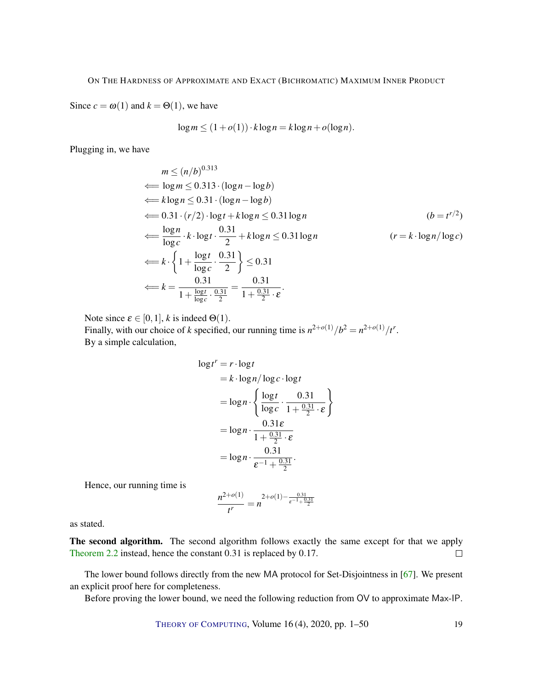<span id="page-18-0"></span>Since  $c = \omega(1)$  and  $k = \Theta(1)$ , we have

$$
\log m \le (1 + o(1)) \cdot k \log n = k \log n + o(\log n).
$$

Plugging in, we have

$$
m \le (n/b)^{0.313}
$$
  
\n
$$
\Leftarrow \log m \le 0.313 \cdot (\log n - \log b)
$$
  
\n
$$
\Leftarrow k \log n \le 0.31 \cdot (\log n - \log b)
$$
  
\n
$$
\Leftarrow 0.31 \cdot (r/2) \cdot \log t + k \log n \le 0.31 \log n \qquad (b = t^{r/2})
$$
  
\n
$$
\Leftarrow \frac{\log n}{\log c} \cdot k \cdot \log t \cdot \frac{0.31}{2} + k \log n \le 0.31 \log n \qquad (r = k \cdot \log n / \log c)
$$
  
\n
$$
\Leftarrow k \cdot \left\{ 1 + \frac{\log t}{\log c} \cdot \frac{0.31}{2} \right\} \le 0.31
$$
  
\n
$$
\Leftarrow k = \frac{0.31}{1 + \frac{\log t}{\log c} \cdot \frac{0.31}{2}} = \frac{0.31}{1 + \frac{0.31}{2} \cdot \varepsilon}.
$$

Note since  $\varepsilon \in [0,1]$ , *k* is indeed  $\Theta(1)$ .

Finally, with our choice of *k* specified, our running time is  $n^{2+o(1)}/b^2 = n^{2+o(1)}/t^r$ . By a simple calculation,

$$
\log t^r = r \cdot \log t
$$
  
=  $k \cdot \log n / \log c \cdot \log t$   
=  $\log n \cdot \left\{ \frac{\log t}{\log c} \cdot \frac{0.31}{1 + \frac{0.31}{2} \cdot \varepsilon} \right\}$   
=  $\log n \cdot \frac{0.31\varepsilon}{1 + \frac{0.31}{2} \cdot \varepsilon}$   
=  $\log n \cdot \frac{0.31}{\varepsilon^{-1} + \frac{0.31}{2}}$ .

Hence, our running time is

$$
\frac{n^{2+o(1)}}{t^r} = n^{2+o(1)-\frac{0.31}{\epsilon^{-1}+\frac{0.31}{2}}}
$$

as stated.

The second algorithm. The second algorithm follows exactly the same except for that we apply [Theorem](#page-13-2) [2.2](#page-13-2) instead, hence the constant 0.31 is replaced by 0.17.  $\Box$ 

The lower bound follows directly from the new MA protocol for Set-Disjointness in [\[67\]](#page-48-7). We present an explicit proof here for completeness.

Before proving the lower bound, we need the following reduction from OV to approximate Max-IP.

THEORY OF C[OMPUTING](http://dx.doi.org/10.4086/toc), Volume 16 (4), 2020, pp. 1–50 19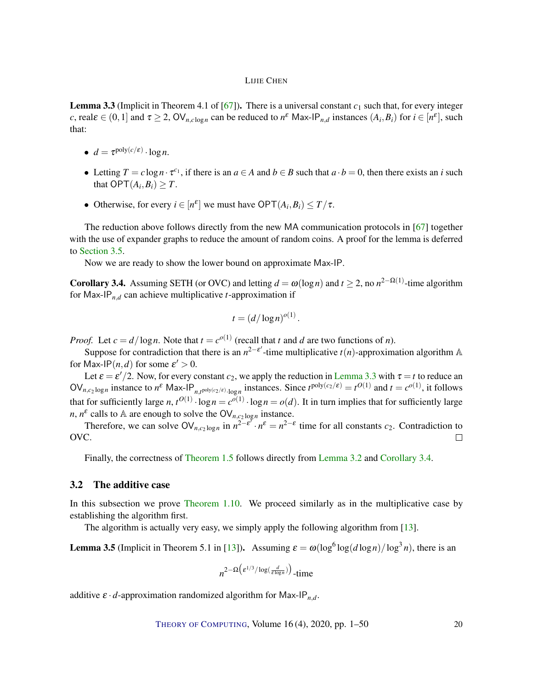<span id="page-19-3"></span><span id="page-19-1"></span>**Lemma 3.3** (Implicit in Theorem 4.1 of  $[67]$ ). There is a universal constant  $c_1$  such that, for every integer *c*, real $\varepsilon \in (0,1]$  and  $\tau \geq 2$ ,  $\text{OV}_{n,c \log n}$  can be reduced to  $n^{\varepsilon}$  Max-IP<sub>*n*,*d*</sub> instances  $(A_i, B_i)$  for  $i \in [n^{\varepsilon}]$ , such that:

- $d = \tau^{\text{poly}(c/\varepsilon)} \cdot \log n$ .
- Letting  $T = c \log n \cdot \tau^{c_1}$ , if there is an  $a \in A$  and  $b \in B$  such that  $a \cdot b = 0$ , then there exists an *i* such that  $\mathsf{OPT}(A_i,B_i)\geq T$ .
- Otherwise, for every  $i \in [n^{\varepsilon}]$  we must have  $\mathsf{OPT}(A_i, B_i) \leq T/\tau$ .

The reduction above follows directly from the new MA communication protocols in [\[67\]](#page-48-7) together with the use of expander graphs to reduce the amount of random coins. A proof for the lemma is deferred to [Section](#page-22-0) [3.5.](#page-22-0)

Now we are ready to show the lower bound on approximate Max-IP.

<span id="page-19-0"></span>**Corollary 3.4.** Assuming SETH (or OVC) and letting  $d = \omega(\log n)$  and  $t \ge 2$ , no  $n^{2-\Omega(1)}$ -time algorithm for Max-IP $_{n,d}$  can achieve multiplicative *t*-approximation if

$$
t = \left(\frac{d}{\log n}\right)^{o(1)}.
$$

*Proof.* Let  $c = d/\log n$ . Note that  $t = c^{o(1)}$  (recall that *t* and *d* are two functions of *n*).

Suppose for contradiction that there is an  $n^{2-\epsilon'}$ -time multiplicative  $t(n)$ -approximation algorithm A for Max-IP $(n, d)$  for some  $\varepsilon' > 0$ .

Let  $\varepsilon = \varepsilon'/2$ . Now, for every constant  $c_2$ , we apply the reduction in [Lemma](#page-19-1) [3.3](#page-19-1) with  $\tau = t$  to reduce an  $\text{OV}_{n,c_2 \log n}$  instance to  $n^{\varepsilon}$  Max-IP<sub>n,t</sub><sub>poly(c<sub>2</sub>/ $\varepsilon$ ).<sub>logn</sub> instances. Since  $t^{\text{poly}(c_2/\varepsilon)} = t^{O(1)}$  and  $t = c^{O(1)}$ , it follows</sub> that for sufficiently large *n*,  $t^{O(1)} \cdot \log n = c^{O(1)} \cdot \log n = o(d)$ . It in turn implies that for sufficiently large *n*,  $n^{\varepsilon}$  calls to A are enough to solve the OV<sub>*n*,*c*<sub>2</sub> log<sub>*n*</sub> instance.</sub>

Therefore, we can solve  $\text{OV}_{n,c_2 \log n}$  in  $n^{2-\epsilon^{\gamma}} \cdot n^{\epsilon} = n^{2-\epsilon}$  time for all constants  $c_2$ . Contradiction to OVC.  $\Box$ 

Finally, the correctness of [Theorem](#page-4-0) [1.5](#page-4-0) follows directly from [Lemma](#page-16-0) [3.2](#page-16-0) and [Corollary](#page-19-0) [3.4.](#page-19-0)

# 3.2 The additive case

In this subsection we prove [Theorem](#page-6-0) [1.10.](#page-6-0) We proceed similarly as in the multiplicative case by establishing the algorithm first.

The algorithm is actually very easy, we simply apply the following algorithm from [\[13\]](#page-44-5).

<span id="page-19-2"></span>**Lemma 3.5** (Implicit in Theorem 5.1 in [\[13\]](#page-44-5)). Assuming  $\varepsilon = \omega(\log^6 \log(d \log n)/\log^3 n)$ , there is an

$$
n^{2-\Omega\left(\varepsilon^{1/3}/\log\left(\frac{d}{\varepsilon\log n}\right)\right)}\text{-time}
$$

additive  $\varepsilon \cdot d$ -approximation randomized algorithm for Max-IP<sub>n,d</sub>.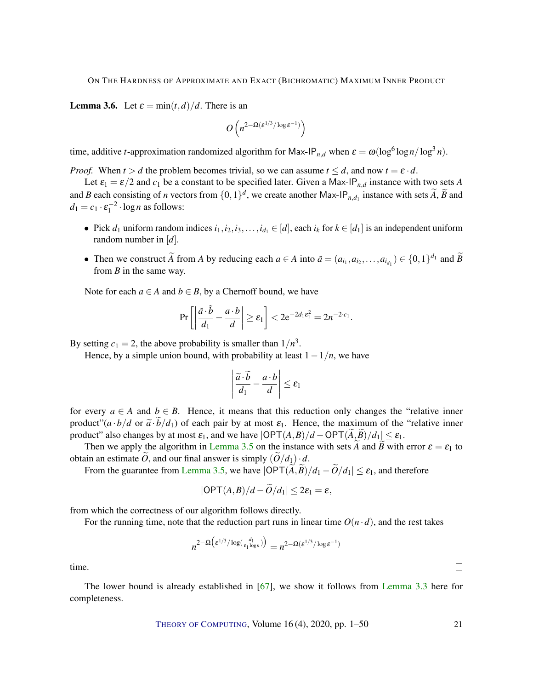<span id="page-20-1"></span><span id="page-20-0"></span>**Lemma 3.6.** Let  $\varepsilon = \min(t, d)/d$ . There is an

$$
O\left(n^{2-\Omega(\mathcal{E}^{1/3}/\log \mathcal{E}^{-1})}\right)
$$

time, additive *t*-approximation randomized algorithm for Max-IP<sub>*n*,*d*</sub> when  $\varepsilon = \omega(\log^6 \log n / \log^3 n)$ .

*Proof.* When  $t > d$  the problem becomes trivial, so we can assume  $t \leq d$ , and now  $t = \varepsilon \cdot d$ .

Let  $\varepsilon_1 = \varepsilon/2$  and  $c_1$  be a constant to be specified later. Given a Max-IP<sub>n,*d*</sub> instance with two sets *A* and *B* each consisting of *n* vectors from  $\{0,1\}^d$ , we create another Max-IP<sub>*n*, $d_1$ </sub> instance with sets  $\widetilde{A}$ ,  $\widetilde{B}$  and  $d_1 = c_1 \cdot \varepsilon_1^{-2} \cdot \log n$  as follows:

- Pick  $d_1$  uniform random indices  $i_1, i_2, i_3, \ldots, i_{d_1} \in [d]$ , each  $i_k$  for  $k \in [d_1]$  is an independent uniform random number in [*d*].
- Then we construct  $\widetilde{A}$  from  $A$  by reducing each  $a \in A$  into  $\widetilde{a} = (a_{i_1}, a_{i_2}, \dots, a_{i_{d_1}}) \in \{0, 1\}^{d_1}$  and  $\widetilde{B}$ from *B* in the same way.

Note for each  $a \in A$  and  $b \in B$ , by a Chernoff bound, we have

$$
\Pr\left[\left|\frac{\tilde{a}\cdot\tilde{b}}{d_1}-\frac{a\cdot b}{d}\right|\geq \varepsilon_1\right]<2e^{-2d_1\varepsilon_1^2}=2n^{-2\cdot c_1}.
$$

By setting  $c_1 = 2$ , the above probability is smaller than  $1/n<sup>3</sup>$ .

Hence, by a simple union bound, with probability at least  $1-1/n$ , we have

$$
\left|\frac{\widetilde{a}\cdot\widetilde{b}}{d_1}-\frac{a\cdot b}{d}\right|\leq \varepsilon_1
$$

for every  $a \in A$  and  $b \in B$ . Hence, it means that this reduction only changes the "relative inner product" $(a \cdot b/d \text{ or } \tilde{a} \cdot \tilde{b}/d_1)$  of each pair by at most  $\varepsilon_1$ . Hence, the maximum of the "relative inner product" also changes by at most  $\varepsilon_1$ , and we have  $|\text{OPT}(A, B)/d - \text{OPT}(A, B)/d_1| \leq \varepsilon_1$ .

Then we apply the algorithm in [Lemma](#page-19-2) [3.5](#page-19-2) on the instance with sets *A* and *B* with error  $\varepsilon = \varepsilon_1$  to obtain an estimate *O*, and our final answer is simply  $\left(\frac{O}{d_1}\right) \cdot d$ .

From the guarantee from [Lemma](#page-19-2) [3.5,](#page-19-2) we have  $|\text{OPT}(\widetilde{A}, \widetilde{B})/d_1 - \widetilde{O}/d_1| \leq \varepsilon_1$ , and therefore

$$
|\mathsf{OPT}(A,B)/d - O/d_1| \leq 2\varepsilon_1 = \varepsilon,
$$

from which the correctness of our algorithm follows directly.

For the running time, note that the reduction part runs in linear time  $O(n \cdot d)$ , and the rest takes

$$
n^{2-\Omega\left(\varepsilon^{1/3}/\log\left(\frac{d_1}{\varepsilon_1\log n}\right)\right)} = n^{2-\Omega(\varepsilon^{1/3}/\log \varepsilon^{-1})}
$$

time.

The lower bound is already established in [\[67\]](#page-48-7), we show it follows from [Lemma](#page-19-1) [3.3](#page-19-1) here for completeness.

THEORY OF C[OMPUTING](http://dx.doi.org/10.4086/toc), Volume 16 (4), 2020, pp. 1–50 21

 $\Box$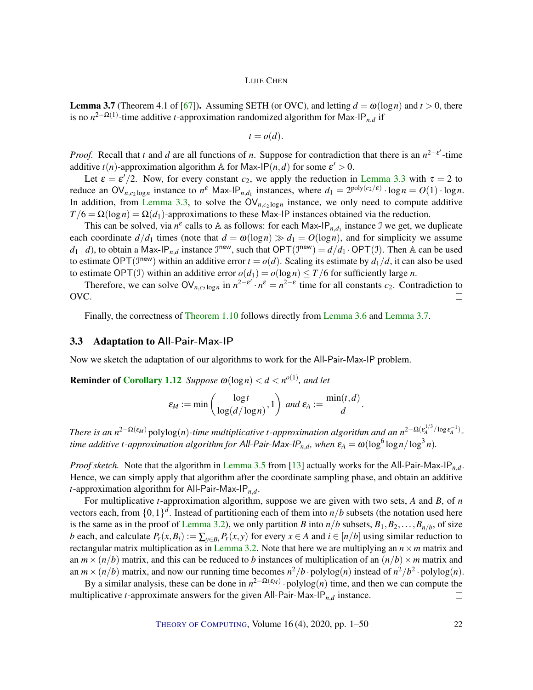<span id="page-21-1"></span><span id="page-21-0"></span>**Lemma 3.7** (Theorem 4.1 of [\[67\]](#page-48-7)). Assuming SETH (or OVC), and letting  $d = \omega(\log n)$  and  $t > 0$ , there is no *n* 2−Ω(1) -time additive *t*-approximation randomized algorithm for Max-IP*n*,*<sup>d</sup>* if

$$
t = o(d).
$$

*Proof.* Recall that *t* and *d* are all functions of *n*. Suppose for contradiction that there is an  $n^{2-\epsilon'}$ -time additive  $t(n)$ -approximation algorithm A for Max-IP $(n,d)$  for some  $\varepsilon' > 0$ .

Let  $\varepsilon = \varepsilon'/2$ . Now, for every constant  $c_2$ , we apply the reduction in [Lemma](#page-19-1) [3.3](#page-19-1) with  $\tau = 2$  to reduce an  $\text{OV}_{n,c_2 \log n}$  instance to  $n^{\varepsilon}$  Max-IP<sub>*n*,*d*<sub>1</sub></sub> instances, where  $d_1 = 2^{\text{poly}(c_2/\varepsilon)} \cdot \log n = O(1) \cdot \log n$ . In addition, from [Lemma](#page-19-1) [3.3,](#page-19-1) to solve the  $\overrightarrow{OV}_{n,c_2 \log n}$  instance, we only need to compute additive  $T/6 = \Omega(\log n) = \Omega(d_1)$ -approximations to these Max-IP instances obtained via the reduction.

This can be solved, via  $n^{\epsilon}$  calls to A as follows: for each Max-IP<sub>n,*d*1</sub> instance J we get, we duplicate each coordinate  $d/d_1$  times (note that  $d = \omega(\log n) \gg d_1 = O(\log n)$ , and for simplicity we assume  $d_1 | d$ , to obtain a Max-IP<sub>*n*,*d*</sub> instance  $\mathcal{I}^{new}$ , such that  $\mathsf{OPT}(\mathcal{I}^{new}) = d/d_1 \cdot \mathsf{OPT}(\mathcal{I})$ . Then A can be used to estimate OPT( $J^{new}$ ) within an additive error  $t = o(d)$ . Scaling its estimate by  $d_1/d$ , it can also be used to estimate OPT(I) within an additive error  $o(d_1) = o(\log n) \le T/6$  for sufficiently large *n*.

Therefore, we can solve  $\text{OV}_{n,c_2 \log n}$  in  $n^{2-\epsilon'} \cdot n^{\epsilon} = n^{2-\epsilon}$  time for all constants  $c_2$ . Contradiction to OVC.  $\Box$ 

Finally, the correctness of [Theorem](#page-6-0) [1.10](#page-6-0) follows directly from [Lemma](#page-20-0) [3.6](#page-20-0) and [Lemma](#page-21-0) [3.7.](#page-21-0)

#### 3.3 Adaptation to All-Pair-Max-IP

Now we sketch the adaptation of our algorithms to work for the All-Pair-Max-IP problem.

**Reminder of [Corollary](#page-7-0) [1.12](#page-7-0)** *Suppose*  $\omega(\log n) < d < n^{o(1)}$ *, and let* 

$$
\varepsilon_M := \min\left(\frac{\log t}{\log(d/\log n)}, 1\right) \text{ and } \varepsilon_A := \frac{\min(t, d)}{d}.
$$

*There is an*  $n^{2-\Omega(\varepsilon_M)}$  polylog(n)-time multiplicative *t*-approximation algorithm and an  $n^{2-\Omega(\varepsilon_A^{1/3}/\log \varepsilon_A^{-1})}$ . *time additive t-approximation algorithm for All-Pair-Max-IP<sub>n,d</sub>, when*  $\varepsilon_A = \omega(\log^6\log n/\log^3 n)$ *.* 

*Proof sketch.* Note that the algorithm in [Lemma](#page-19-2) [3.5](#page-19-2) from [\[13\]](#page-44-5) actually works for the All-Pair-Max-IP*n*,*d*. Hence, we can simply apply that algorithm after the coordinate sampling phase, and obtain an additive *t*-approximation algorithm for All-Pair-Max-IP*n*,*d*.

For multiplicative *t*-approximation algorithm, suppose we are given with two sets, *A* and *B*, of *n* vectors each, from  $\{0,1\}^d$ . Instead of partitioning each of them into  $n/b$  subsets (the notation used here is the same as in the proof of [Lemma](#page-16-0) [3.2\)](#page-16-0), we only partition *B* into  $n/b$  subsets,  $B_1, B_2, \ldots, B_{n/b}$ , of size b each, and calculate  $P_r(x, B_i) := \sum_{y \in B_i} P_r(x, y)$  for every  $x \in A$  and  $i \in [n/b]$  using similar reduction to rectangular matrix multiplication as in [Lemma](#page-16-0) [3.2.](#page-16-0) Note that here we are multiplying an  $n \times m$  matrix and an  $m \times (n/b)$  matrix, and this can be reduced to *b* instances of multiplication of an  $(n/b) \times m$  matrix and an  $m \times (n/b)$  matrix, and now our running time becomes  $n^2/b \cdot \text{polylog}(n)$  instead of  $n^2/b^2 \cdot \text{polylog}(n)$ .

By a similar analysis, these can be done in  $n^{2-\Omega(\varepsilon_M)} \cdot \text{polylog}(n)$  time, and then we can compute the multiplicative *t*-approximate answers for the given All-Pair-Max-IP*n*,*<sup>d</sup>* instance.  $\Box$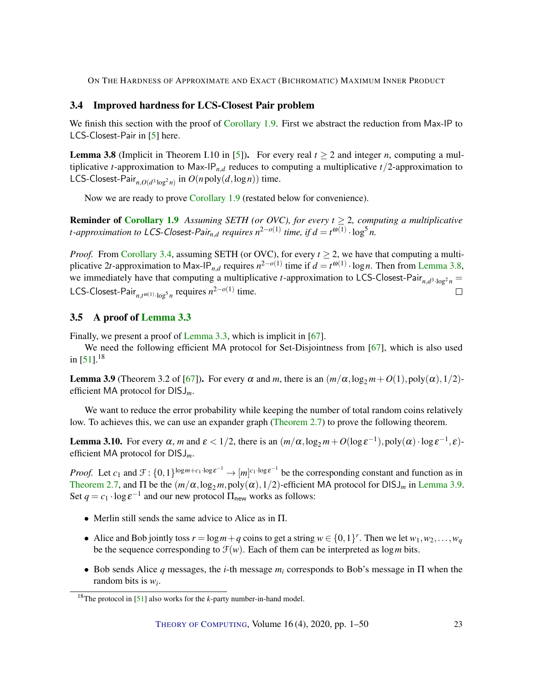# <span id="page-22-4"></span>3.4 Improved hardness for LCS-Closest Pair problem

We finish this section with the proof of [Corollary](#page-6-1) [1.9.](#page-6-1) First we abstract the reduction from Max-IP to LCS-Closest-Pair in [\[5\]](#page-43-1) here.

<span id="page-22-1"></span>**Lemma 3.8** (Implicit in Theorem I.10 in [\[5\]](#page-43-1)). For every real  $t \ge 2$  and integer *n*, computing a multiplicative *t*-approximation to Max-IP<sub>n,*d*</sub> reduces to computing a multiplicative  $t/2$ -approximation to LCS-Closest-Pair<sub>n, $O(d^3 \log^2 n)$ </sub> in  $O(n \text{poly}(d, \log n))$  time.

Now we are ready to prove [Corollary](#page-6-1) [1.9](#page-6-1) (restated below for convenience).

**Reminder of [Corollary](#page-6-1) [1.9](#page-6-1)** Assuming SETH (or OVC), for every  $t \geq 2$ , computing a multiplicative *t*-approximation to LCS-Closest-Pair<sub>n,d</sub> requires  $n^{2-o(1)}$  time, if  $d = t^{\omega(1)} \cdot \log^5 n$ .

*Proof.* From [Corollary](#page-19-0) [3.4,](#page-19-0) assuming SETH (or OVC), for every  $t \ge 2$ , we have that computing a multiplicative 2*t*-approximation to Max-IP<sub>*n*,*d*</sub> requires  $n^{2-o(1)}$  time if  $d = t^{\omega(1)} \cdot \log n$ . Then from [Lemma](#page-22-1) [3.8,](#page-22-1) we immediately have that computing a multiplicative *t*-approximation to LCS-Closest-Pair<sub>n,*d*3</sup>·log<sup>2</sup><sub>n</sub> =</sub> LCS-Closest-Pair<sub>n,t<sup> $\omega(1)$ </sup>· $\log^5 n$  requires  $n^{2-o(1)}$  time.</sub>  $\Box$ 

# <span id="page-22-0"></span>3.5 A proof of [Lemma](#page-19-1) [3.3](#page-19-1)

Finally, we present a proof of [Lemma](#page-19-1) [3.3,](#page-19-1) which is implicit in [\[67\]](#page-48-7).

We need the following efficient MA protocol for Set-Disjointness from [\[67\]](#page-48-7), which is also used in  $[51]$ .<sup>18</sup>

<span id="page-22-2"></span>**Lemma 3.9** (Theorem 3.2 of [\[67\]](#page-48-7)). For every  $\alpha$  and *m*, there is an  $(m/\alpha, \log_2 m + O(1), \text{poly}(\alpha), 1/2)$ efficient MA protocol for DISJ*m*.

We want to reduce the error probability while keeping the number of total random coins relatively low. To achieves this, we can use an expander graph [\(Theorem](#page-15-2) [2.7\)](#page-15-2) to prove the following theorem.

<span id="page-22-3"></span>Lemma 3.10. For every  $\alpha$ , *m* and  $\varepsilon < 1/2$ , there is an  $(m/\alpha, \log_2 m + O(\log \varepsilon^{-1}), \text{poly}(\alpha) \cdot \log \varepsilon^{-1}, \varepsilon)$ efficient MA protocol for DISJ*m*.

*Proof.* Let  $c_1$  and  $\mathcal{F}: \{0,1\}^{\log m + c_1 \cdot \log \varepsilon^{-1}} \to [m]^{c_1 \cdot \log \varepsilon^{-1}}$  be the corresponding constant and function as in [Theorem](#page-15-2) [2.7,](#page-15-2) and  $\Pi$  be the  $(m/\alpha, \log_2 m, \text{poly}(\alpha), 1/2)$ -efficient MA protocol for DISJ<sub>m</sub> in [Lemma](#page-22-2) [3.9.](#page-22-2) Set  $q = c_1 \cdot \log \varepsilon^{-1}$  and our new protocol  $\Pi_{\text{new}}$  works as follows:

- Merlin still sends the same advice to Alice as in Π.
- Alice and Bob jointly toss  $r = \log m + q$  coins to get a string  $w \in \{0, 1\}^r$ . Then we let  $w_1, w_2, \ldots, w_q$ be the sequence corresponding to  $\mathcal{F}(w)$ . Each of them can be interpreted as  $\log m$  bits.
- Bob sends Alice *q* messages, the *i*-th message *m<sup>i</sup>* corresponds to Bob's message in Π when the random bits is *w<sup>i</sup>* .

<sup>18</sup>The protocol in [\[51\]](#page-47-4) also works for the *k*-party number-in-hand model.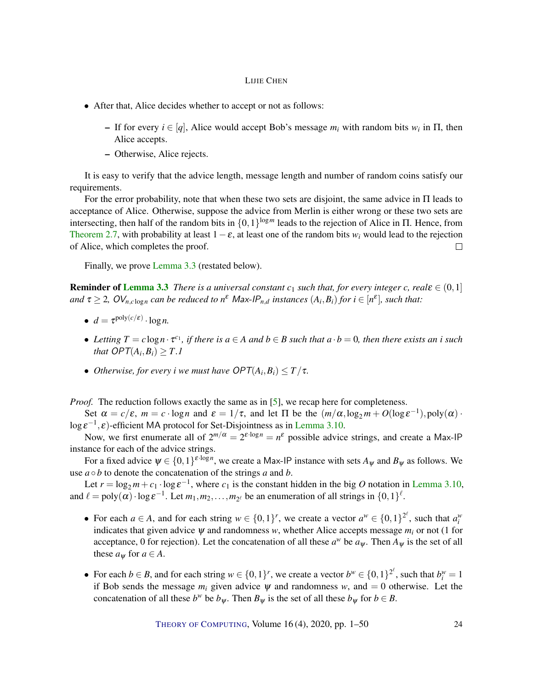- <span id="page-23-0"></span>• After that, Alice decides whether to accept or not as follows:
	- $−$  If for every *i* ∈ [*q*], Alice would accept Bob's message *m<sub>i</sub>* with random bits *w<sub>i</sub>* in Π, then Alice accepts.
	- Otherwise, Alice rejects.

It is easy to verify that the advice length, message length and number of random coins satisfy our requirements.

For the error probability, note that when these two sets are disjoint, the same advice in Π leads to acceptance of Alice. Otherwise, suppose the advice from Merlin is either wrong or these two sets are intersecting, then half of the random bits in  $\{0,1\}^{\log m}$  leads to the rejection of Alice in  $\Pi$ . Hence, from [Theorem](#page-15-2) [2.7,](#page-15-2) with probability at least  $1 - \varepsilon$ , at least one of the random bits  $w_i$  would lead to the rejection of Alice, which completes the proof.  $\Box$ 

Finally, we prove [Lemma](#page-19-1) [3.3](#page-19-1) (restated below).

**Reminder of [Lemma](#page-19-1) [3.3](#page-19-1)** *There is a universal constant*  $c_1$  *such that, for every integer c, real*ε  $\in (0,1]$ *and*  $\tau \geq 2$ ,  $OV_{n, c \log n}$  *can be reduced to n*<sup>ε</sup> Max-IP<sub>*n,d</sub> instances*  $(A_i, B_i)$  *for*  $i \in [n^{\varepsilon}]$ *, such that:*</sub>

- $d = \tau^{\text{poly}(c/\varepsilon)} \cdot \log n$ .
- Letting  $T = c \log n \cdot \tau^{c_1}$ , if there is  $a \in A$  and  $b \in B$  such that  $a \cdot b = 0$ , then there exists an i such *that*  $OPT(A_i, B_i) \geq T.1$
- *Otherwise, for every i we must have*  $\mathsf{OPT}(A_i,B_i) \leq T/\tau$ *.*

*Proof.* The reduction follows exactly the same as in [\[5\]](#page-43-1), we recap here for completeness.

Set  $\alpha = c/\varepsilon$ ,  $m = c \cdot \log n$  and  $\varepsilon = 1/\tau$ , and let  $\Pi$  be the  $(m/\alpha, \log_2 m + O(\log \varepsilon^{-1}), \text{poly}(\alpha) \cdot$  $\log \varepsilon^{-1}, \varepsilon$ )-efficient MA protocol for Set-Disjointness as in [Lemma](#page-22-3) [3.10.](#page-22-3)

Now, we first enumerate all of  $2^{m/\alpha} = 2^{\varepsilon \cdot \log n} = n^{\varepsilon}$  possible advice strings, and create a Max-IP instance for each of the advice strings.

For a fixed advice  $\psi \in \{0,1\}^{\varepsilon \cdot \log n}$ , we create a Max-IP instance with sets  $A_{\psi}$  and  $B_{\psi}$  as follows. We use  $a \circ b$  to denote the concatenation of the strings *a* and *b*.

Let  $r = \log_2 m + c_1 \cdot \log \varepsilon^{-1}$ , where  $c_1$  is the constant hidden in the big *O* notation in [Lemma](#page-22-3) [3.10,](#page-22-3) and  $\ell = \text{poly}(\alpha) \cdot \log \varepsilon^{-1}$ . Let  $m_1, m_2, \ldots, m_{2^{\ell}}$  be an enumeration of all strings in  $\{0, 1\}^{\ell}$ .

- For each  $a \in A$ , and for each string  $w \in \{0,1\}^r$ , we create a vector  $a^w \in \{0,1\}^{2^{\ell}}$ , such that  $a_i^w$ indicates that given advice  $\psi$  and randomness  $w$ , whether Alice accepts message  $m_i$  or not (1 for acceptance, 0 for rejection). Let the concatenation of all these  $a^w$  be  $a_\psi$ . Then  $A_\psi$  is the set of all these  $a_w$  for  $a \in A$ .
- For each  $b \in B$ , and for each string  $w \in \{0,1\}^r$ , we create a vector  $b^w \in \{0,1\}^{2^{\ell}}$ , such that  $b_i^w = 1$ if Bob sends the message  $m_i$  given advice  $\psi$  and randomness  $w$ , and  $= 0$  otherwise. Let the concatenation of all these  $b^w$  be  $b_\psi$ . Then  $B_\psi$  is the set of all these  $b_\psi$  for  $b \in B$ .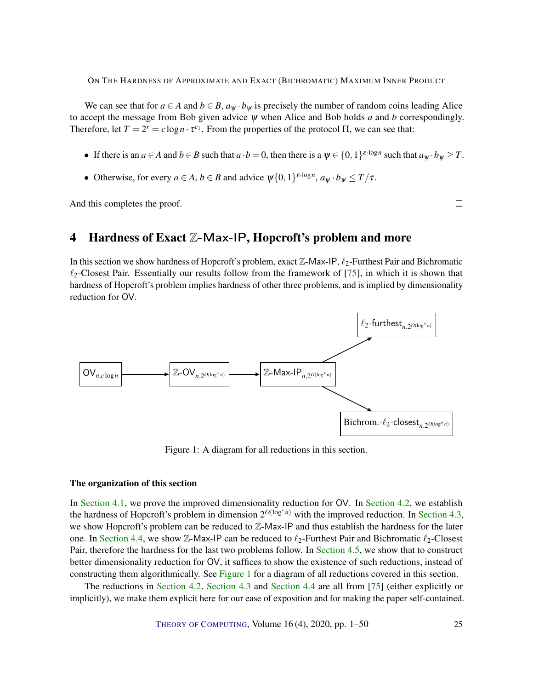<span id="page-24-2"></span>We can see that for  $a \in A$  and  $b \in B$ ,  $a_{\Psi} \cdot b_{\Psi}$  is precisely the number of random coins leading Alice to accept the message from Bob given advice ψ when Alice and Bob holds *a* and *b* correspondingly. Therefore, let  $T = 2^r = c \log n \cdot \tau^{c_1}$ . From the properties of the protocol  $\Pi$ , we can see that:

- If there is an *a* ∈ *A* and *b* ∈ *B* such that *a* · *b* = 0, then there is a  $\psi \in \{0, 1\}^{\varepsilon \cdot \log n}$  such that  $a_{\psi} \cdot b_{\psi} \geq T$ .
- Otherwise, for every  $a \in A$ ,  $b \in B$  and advice  $\psi\{0,1\}^{\varepsilon \cdot \log n}$ ,  $a_{\psi} \cdot b_{\psi} \leq T/\tau$ .

And this completes the proof.

# $\Box$

# <span id="page-24-0"></span>4 Hardness of Exact Z-Max-IP, Hopcroft's problem and more

In this section we show hardness of Hopcroft's problem, exact  $\mathbb{Z}$ -Max-IP,  $\ell_2$ -Furthest Pair and Bichromatic  $\ell_2$ -Closest Pair. Essentially our results follow from the framework of [\[75\]](#page-49-2), in which it is shown that hardness of Hopcroft's problem implies hardness of other three problems, and is implied by dimensionality reduction for OV.

<span id="page-24-1"></span>

Figure 1: A diagram for all reductions in this section.

#### The organization of this section

In [Section](#page-29-0) [4.1,](#page-25-0) we prove the improved dimensionality reduction for OV. In Section [4.2,](#page-29-0) we establish the hardness of Hopcroft's problem in dimension  $2^{O(\log^* n)}$  with the improved reduction. In [Section](#page-30-0) [4.3,](#page-30-0) we show Hopcroft's problem can be reduced to Z-Max-IP and thus establish the hardness for the later one. In [Section](#page-31-1) [4.4,](#page-31-1) we show Z-Max-IP can be reduced to  $\ell_2$ -Furthest Pair and Bichromatic  $\ell_2$ -Closest Pair, therefore the hardness for the last two problems follow. In [Section](#page-33-0) [4.5,](#page-33-0) we show that to construct better dimensionality reduction for OV, it suffices to show the existence of such reductions, instead of constructing them algorithmically. See [Figure](#page-24-1) [1](#page-24-1) for a diagram of all reductions covered in this section.

The reductions in [Section](#page-29-0) [4.2,](#page-29-0) [Section](#page-30-0) [4.3](#page-30-0) and [Section](#page-31-1) [4.4](#page-31-1) are all from [\[75\]](#page-49-2) (either explicitly or implicitly), we make them explicit here for our ease of exposition and for making the paper self-contained.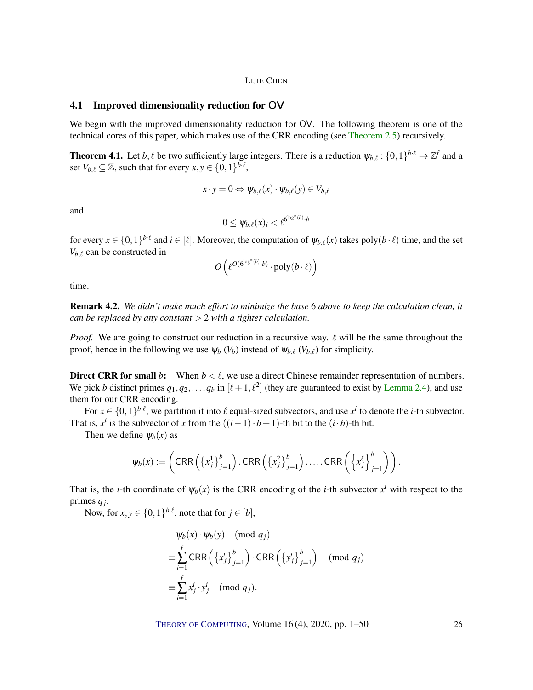### <span id="page-25-0"></span>4.1 Improved dimensionality reduction for OV

We begin with the improved dimensionality reduction for OV. The following theorem is one of the technical cores of this paper, which makes use of the CRR encoding (see [Theorem](#page-14-0) [2.5\)](#page-14-0) recursively.

<span id="page-25-1"></span>**Theorem 4.1.** Let  $b, \ell$  be two sufficiently large integers. There is a reduction  $\psi_{b,\ell} : \{0,1\}^{b \cdot \ell} \to \mathbb{Z}^{\ell}$  and a set  $V_{b,\ell} \subseteq \mathbb{Z}$ , such that for every  $x, y \in \{0,1\}^{b\cdot\ell}$ ,

$$
x \cdot y = 0 \Leftrightarrow \psi_{b,\ell}(x) \cdot \psi_{b,\ell}(y) \in V_{b,\ell}
$$

and

$$
0 \leq \psi_{b,\ell}(x)_i < \ell^{6^{\log^*(b)} \cdot b}
$$

for every  $x \in \{0,1\}^{b\cdot\ell}$  and  $i \in [\ell]$ . Moreover, the computation of  $\psi_{b,\ell}(x)$  takes poly $(b\cdot\ell)$  time, and the set  $V_{b,\ell}$  can be constructed in

$$
O\left(\ell^{O(\mathbf{G}^{\log^*(b)}\cdot b)}\cdot \mathrm{poly}(b\cdot\ell)\right)
$$

time.

Remark 4.2. *We didn't make much effort to minimize the base* 6 *above to keep the calculation clean, it can be replaced by any constant* > 2 *with a tighter calculation.*

*Proof.* We are going to construct our reduction in a recursive way.  $\ell$  will be the same throughout the proof, hence in the following we use  $\psi_b$  ( $V_b$ ) instead of  $\psi_{b,\ell}$  ( $V_{b,\ell}$ ) for simplicity.

**Direct CRR for small** *b***:** When  $b < l$ , we use a direct Chinese remainder representation of numbers. We pick *b* distinct primes  $q_1, q_2, \ldots, q_b$  in  $[\ell+1, \ell^2]$  (they are guaranteed to exist by [Lemma](#page-14-1) [2.4\)](#page-14-1), and use them for our CRR encoding.

For  $x \in \{0,1\}^{b\cdot\ell}$ , we partition it into  $\ell$  equal-sized subvectors, and use  $x^i$  to denote the *i*-th subvector. That is,  $x^i$  is the subvector of *x* from the  $((i-1) \cdot b + 1)$ -th bit to the  $(i \cdot b)$ -th bit.

Then we define  $\psi_b(x)$  as

$$
\psi_b(x) := \left( \text{CRR}\left( \left\{ x_j^1 \right\}_{j=1}^b \right), \text{CRR}\left( \left\{ x_j^2 \right\}_{j=1}^b \right), \dots, \text{CRR}\left( \left\{ x_j^{\ell} \right\}_{j=1}^b \right) \right).
$$

That is, the *i*-th coordinate of  $\psi_b(x)$  is the CRR encoding of the *i*-th subvector  $x^i$  with respect to the primes *q<sup>j</sup>* .

Now, for  $x, y \in \{0, 1\}^{b \cdot \ell}$ , note that for  $j \in [b]$ ,

$$
\psi_b(x) \cdot \psi_b(y) \pmod{q_j}
$$
  
\n
$$
\equiv \sum_{i=1}^{\ell} \text{CRR} \left( \{x_j^i\}_{j=1}^b \right) \cdot \text{CRR} \left( \{y_j^i\}_{j=1}^b \right) \pmod{q_j}
$$
  
\n
$$
\equiv \sum_{i=1}^{\ell} x_j^i \cdot y_j^i \pmod{q_j}.
$$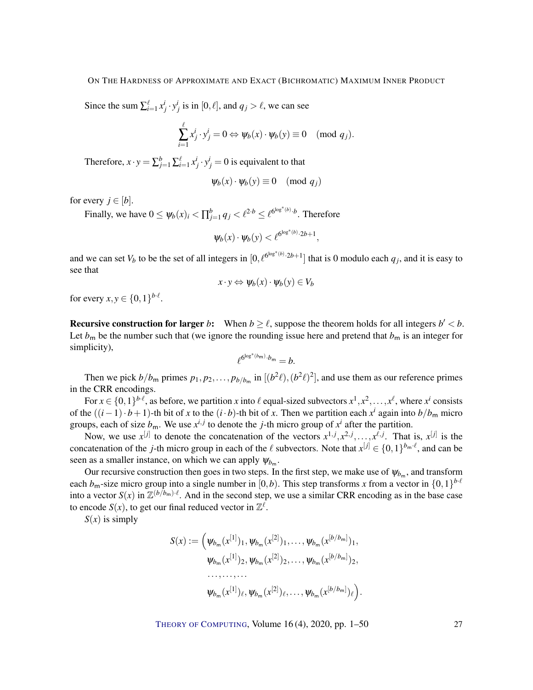Since the sum  $\sum_{i=1}^{\ell} x_j^i \cdot y_j^i$  is in [0,  $\ell$ ], and  $q_j > \ell$ , we can see

$$
\sum_{i=1}^{\ell} x_j^i \cdot y_j^i = 0 \Leftrightarrow \psi_b(x) \cdot \psi_b(y) \equiv 0 \pmod{q_j}.
$$

Therefore,  $x \cdot y = \sum_{j=1}^{b} \sum_{i=1}^{l} x_j^i \cdot y_j^i = 0$  is equivalent to that

$$
\psi_b(x) \cdot \psi_b(y) \equiv 0 \pmod{q_j}
$$

for every  $j \in [b]$ .

Finally, we have  $0 \leq \psi_b(x)_i < \prod_{j=1}^b q_j < \ell^{2 \cdot b} \leq \ell^{6^{\log^*(b)} \cdot b}$ . Therefore

$$
\psi_b(x)\cdot\psi_b(y)<\ell^{6^{\log^*(b)}\cdot 2b+1},
$$

and we can set  $V_b$  to be the set of all integers in  $[0, \ell^{6^{\log^*(b)} \cdot 2b+1}]$  that is 0 modulo each  $q_j$ , and it is easy to see that

$$
x \cdot y \Leftrightarrow \psi_b(x) \cdot \psi_b(y) \in V_b
$$

for every  $x, y \in \{0, 1\}^{b \cdot \ell}$ .

**Recursive construction for larger** *b*: When  $b \ge l$ , suppose the theorem holds for all integers  $b' < b$ . Let  $b_m$  be the number such that (we ignore the rounding issue here and pretend that  $b_m$  is an integer for simplicity),

$$
\ell^{6^{\log^*(b_{\sf m}).}b_{\sf m}}=b.
$$

Then we pick  $b/b_m$  primes  $p_1, p_2, \ldots, p_{b/b_m}$  in  $[(b^2\ell), (b^2\ell)^2]$ , and use them as our reference primes in the CRR encodings.

For  $x \in \{0,1\}^{b\cdot\ell}$ , as before, we partition *x* into  $\ell$  equal-sized subvectors  $x^1, x^2, \ldots, x^{\ell}$ , where  $x^i$  consists of the  $((i-1) \cdot b+1)$ -th bit of *x* to the  $(i \cdot b)$ -th bit of *x*. Then we partition each  $x^i$  again into  $b/b_m$  micro groups, each of size  $b_m$ . We use  $x^{i,j}$  to denote the *j*-th micro group of  $x^i$  after the partition.

Now, we use  $x^{[j]}$  to denote the concatenation of the vectors  $x^{1,j}, x^{2,j}, \ldots, x^{\ell,j}$ . That is,  $x^{[j]}$  is the concatenation of the *j*-th micro group in each of the  $\ell$  subvectors. Note that  $x^{[j]} \in \{0,1\}^{b_m \cdot \ell}$ , and can be seen as a smaller instance, on which we can apply  $\psi_{b_m}$ .

Our recursive construction then goes in two steps. In the first step, we make use of  $\psi_{b_m}$ , and transform each  $b_m$ -size micro group into a single number in  $[0,b)$ . This step transforms *x* from a vector in  $\{0,1\}^{b \cdot \ell}$ into a vector  $S(x)$  in  $\mathbb{Z}^{(b/b_m)\cdot \ell}$ . And in the second step, we use a similar CRR encoding as in the base case to encode  $S(x)$ , to get our final reduced vector in  $\mathbb{Z}^{\ell}$ .

 $S(x)$  is simply

$$
S(x) := \left(\psi_{b_m}(x^{[1]})_1, \psi_{b_m}(x^{[2]})_1, \dots, \psi_{b_m}(x^{[b/b_m]})_1, \psi_{b_m}(x^{[1]})_2, \psi_{b_m}(x^{[2]})_2, \dots, \psi_{b_m}(x^{[b/b_m]})_2, \dots, \dots, \dots
$$

$$
\psi_{b_m}(x^{[1]})_\ell, \psi_{b_m}(x^{[2]})_\ell, \dots, \psi_{b_m}(x^{[b/b_m]})_\ell\right).
$$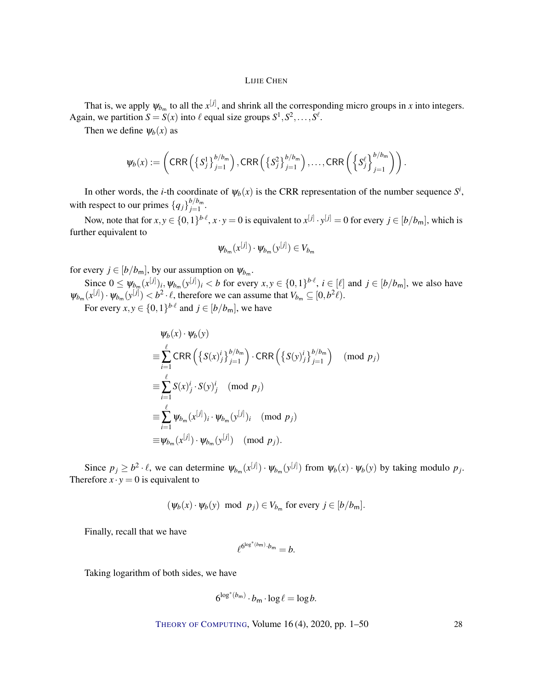That is, we apply  $\psi_{b_m}$  to all the  $x^{[j]}$ , and shrink all the corresponding micro groups in *x* into integers. Again, we partition  $S = S(x)$  into  $\ell$  equal size groups  $S^1, S^2, \ldots, S^{\ell}$ .

Then we define  $\psi_b(x)$  as

$$
\psi_b(x) := \left( \text{CRR}\left( \left\{ S_j^1 \right\}_{j=1}^{b/b_m} \right), \text{CRR}\left( \left\{ S_j^2 \right\}_{j=1}^{b/b_m} \right), \dots, \text{CRR}\left( \left\{ S_j^{\ell} \right\}_{j=1}^{b/b_m} \right) \right).
$$

In other words, the *i*-th coordinate of  $\psi_b(x)$  is the CRR representation of the number sequence  $S^i$ , with respect to our primes  ${q_j}_{j=1}^{b/b_m}$  $j=1$  .

Now, note that for  $x, y \in \{0, 1\}^{b \cdot \ell}, x \cdot y = 0$  is equivalent to  $x^{[j]} \cdot y^{[j]} = 0$  for every  $j \in [b/b_m]$ , which is further equivalent to

$$
\psi_{b_m}(x^{[j]})\cdot\psi_{b_m}(y^{[j]})\in V_{b_m}
$$

for every  $j \in [b/b_m]$ , by our assumption on  $\psi_{b_m}$ .

Since  $0 \leq \psi_{b_m}(x^{[j]})_i, \psi_{b_m}(y^{[j]})_i < b$  for every  $x, y \in \{0, 1\}^{b \cdot \ell}, i \in [\ell]$  and  $j \in [b/b_m]$ , we also have  $\psi_{b_m}(x^{[j]}) \cdot \psi_{b_m}(y^{[j]}) < b^2 \cdot \ell$ , therefore we can assume that  $V_{b_m} \subseteq [0, b^2 \ell)$ .

For every  $x, y \in \{0, 1\}^{b \cdot \ell}$  and  $j \in [b/b_m]$ , we have

$$
\Psi_b(x) \cdot \Psi_b(y)
$$
\n
$$
\equiv \sum_{i=1}^{\ell} \text{CRR}\left(\left\{S(x)^i_j\right\}_{j=1}^{b/b_m}\right) \cdot \text{CRR}\left(\left\{S(y)^i_j\right\}_{j=1}^{b/b_m}\right) \pmod{p_j}
$$
\n
$$
\equiv \sum_{i=1}^{\ell} S(x)^i_j \cdot S(y)^i_j \pmod{p_j}
$$
\n
$$
\equiv \sum_{i=1}^{\ell} \Psi_{b_m}(x^{[j]})_i \cdot \Psi_{b_m}(y^{[j]})_i \pmod{p_j}
$$
\n
$$
\equiv \Psi_{b_m}(x^{[j]}) \cdot \Psi_{b_m}(y^{[j]}) \pmod{p_j}.
$$

Since  $p_j \ge b^2 \cdot \ell$ , we can determine  $\psi_{b_m}(x^{[j]}) \cdot \psi_{b_m}(y^{[j]})$  from  $\psi_b(x) \cdot \psi_b(y)$  by taking modulo  $p_j$ . Therefore  $x \cdot y = 0$  is equivalent to

$$
(\psi_b(x) \cdot \psi_b(y) \mod p_j) \in V_{b_m}
$$
 for every  $j \in [b/b_m]$ .

Finally, recall that we have

$$
\ell^{6^{\log^*(b_{\sf m}).}b_{\sf m}}=b.
$$

Taking logarithm of both sides, we have

$$
6^{\log^*(b_{\mathsf{m}})}\cdot b_{\mathsf{m}}\cdot \log \ell = \log b.
$$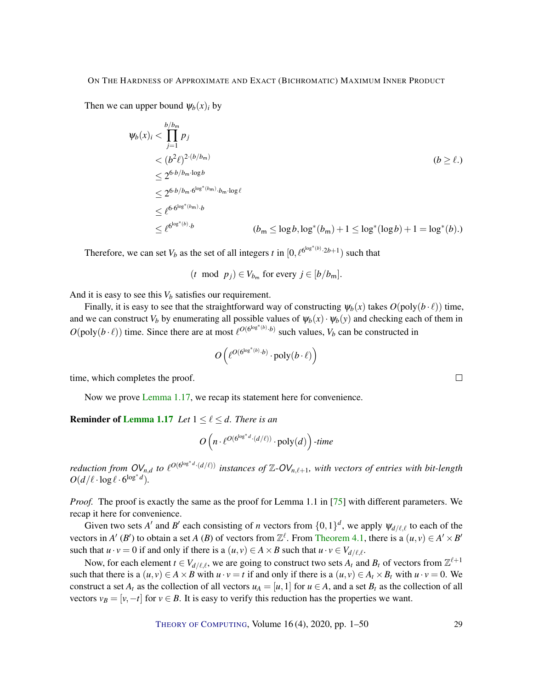<span id="page-28-0"></span>Then we can upper bound  $\psi_b(x)$  by

$$
\psi_b(x)_i < \prod_{j=1}^{b/b_m} p_j \\
&< (b^2 \ell)^{2 \cdot (b/b_m)} \\
&\leq 2^{6 \cdot b/b_m \cdot \log b} \\
&\leq 2^{6 \cdot b/b_m \cdot \log b} \\
&\leq \ell^{6 \cdot 6^{\log^*(b_m)} \cdot b} \\
&\leq \ell^{6 \cdot 6^{\log^*(b_m)} \cdot b} \\
&< \ell^{6^{\log^*(b)} \cdot b} \\
&< \ell^{6^{\log^*(b)} \cdot b} \\
&< \ell^{6^{\log^*(b)} \cdot b} \\
&< \ell^{6^{\log^*(b)} \cdot b} \\
&< \ell^{6^{\log^*(b)} \cdot b} \\
\leq \ell^{6^{\log^*(b)} \cdot b} \\
\leq \ell^{6^{\log^*(b)} \cdot b} \\
\leq \ell^{6^{\log^*(b)} \cdot b} \\
\leq \ell^{6^{\log^*(b)} \cdot b} \\
\leq \ell^{6^{\log^*(b)} \cdot b} \\
\leq \ell^{6^{\log^*(b)} \cdot b} \\
\leq \ell^{6^{\log^*(b)} \cdot b} \\
\leq \ell^{6^{\log^*(b)} \cdot b} \\
\leq \ell^{6^{\log^*(b)} \cdot b} \\
\leq \ell^{6^{\log^*(b)} \cdot b} \\
\leq \ell^{6^{\log^*(b)} \cdot b} \\
\leq \ell^{6^{\log^*(b)} \cdot b} \\
\leq \ell^{6^{\log^*(b)} \cdot b} \\
\leq \ell^{6^{\log^*(b)} \cdot b} \\
\leq \ell^{6^{\log^*(b)} \cdot b} \\
\leq \ell^{6^{\log^*(b)} \cdot b} \\
\leq \ell^{6^{\log^*(b)} \cdot b} \\
\leq \ell^{6^{\log^*(b)} \cdot b} \\
\leq \ell^{6^{\log^*(b)} \cdot b} \\
\leq \ell^{6^{\log^*(b)} \cdot b} \\
\leq \ell^{6^{\log^*(b)} \cdot b} \\
\leq \ell^{6^{\log^*(b)} \cdot b} \\
\leq \ell^{6^{\log^*(b)} \cdot b} \\
\leq \ell^{6^{\log^*(b)} \cdot b} \\
\leq \ell^{6^{\log^*(b)} \cdot b} \\
\leq \ell^{6^{\log^*(b)} \cdot b} \\
\leq \ell^{6^{\log^*(b)} \cdot b} \\
\leq \ell^{6^{\log^*(
$$

Therefore, we can set  $V_b$  as the set of all integers *t* in  $[0, \ell^{6^{\log^*(b)} \cdot 2b+1})$  such that

$$
(t \mod p_j) \in V_{b_m} \text{ for every } j \in [b/b_m].
$$

And it is easy to see this  $V_b$  satisfies our requirement.

Finally, it is easy to see that the straightforward way of constructing  $\psi_b(x)$  takes  $O(\text{poly}(b \cdot \ell))$  time, and we can construct  $V_b$  by enumerating all possible values of  $\psi_b(x) \cdot \psi_b(y)$  and checking each of them in  $O(\text{poly}(b \cdot \ell))$  time. Since there are at most  $\ell^{O(\text{log}^*(b) \cdot b)}$  such values,  $V_b$  can be constructed in

$$
O\left(\ell^{O(\log^*(b)} \cdot b) \cdot \text{poly}(b \cdot \ell)\right)
$$

time, which completes the proof.

Now we prove [Lemma](#page-8-0) [1.17,](#page-8-0) we recap its statement here for convenience.

#### **Reminder of [Lemma](#page-8-0) [1.17](#page-8-0)** *Let*  $1 \leq \ell \leq d$ *. There is an*

 $O(n \cdot \ell^{O(6^{\log^* d} \cdot (d/\ell))} \cdot \text{poly}(d))$  -time

*reduction from*  $OV_{n,d}$  *to*  $\ell^{O(6^{\log^*d} \cdot (d/\ell))}$  *instances of*  $\mathbb{Z}\text{-}OV_{n,\ell+1}$ *, with vectors of entries with bit-length*  $O(d/\ell \cdot \log \ell \cdot 6^{\log^* d}).$ 

*Proof.* The proof is exactly the same as the proof for Lemma 1.1 in [\[75\]](#page-49-2) with different parameters. We recap it here for convenience.

Given two sets *A'* and *B'* each consisting of *n* vectors from  $\{0,1\}^d$ , we apply  $\psi_{d/\ell,\ell}$  to each of the vectors in *A'* (*B'*) to obtain a set *A* (*B*) of vectors from  $\mathbb{Z}^{\ell}$ . From [Theorem](#page-25-1) [4.1,](#page-25-1) there is a  $(u, v) \in A' \times B'$ such that  $u \cdot v = 0$  if and only if there is a  $(u, v) \in A \times B$  such that  $u \cdot v \in V_{d/\ell,\ell}$ .

Now, for each element  $t \in V_{d/\ell,\ell}$ , we are going to construct two sets  $A_t$  and  $B_t$  of vectors from  $\mathbb{Z}^{\ell+1}$ such that there is a  $(u, v) \in A \times B$  with  $u \cdot v = t$  if and only if there is a  $(u, v) \in A_t \times B_t$  with  $u \cdot v = 0$ . We construct a set  $A_t$  as the collection of all vectors  $u_A = [u, 1]$  for  $u \in A$ , and a set  $B_t$  as the collection of all vectors  $v_B = [v, -t]$  for  $v \in B$ . It is easy to verify this reduction has the properties we want.

THEORY OF C[OMPUTING](http://dx.doi.org/10.4086/toc), Volume 16 (4), 2020, pp. 1–50 29

 $\Box$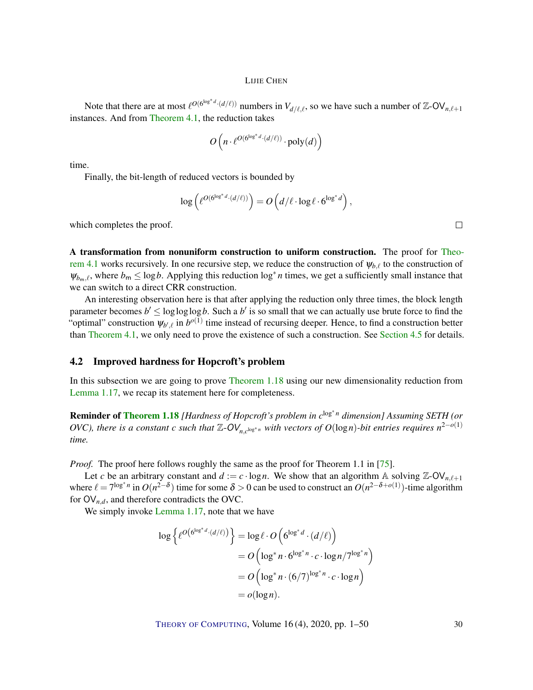<span id="page-29-1"></span>Note that there are at most  $\ell^{O(6^{\log^*d} \cdot (d/\ell))}$  numbers in  $V_{d/\ell,\ell}$ , so we have such a number of Z-OV<sub>n, $\ell+1$ </sub> instances. And from [Theorem](#page-25-1) [4.1,](#page-25-1) the reduction takes

$$
O\left(n\cdot \ell^{O(6^{\log^*d}\cdot (d/\ell))}\cdot \mathrm{poly}(d)\right)
$$

time.

Finally, the bit-length of reduced vectors is bounded by

$$
\log \left( \ell^{O(6^{\log^* d} \cdot (d/\ell))} \right) = O\left( d/\ell \cdot \log \ell \cdot 6^{\log^* d} \right),
$$

which completes the proof.

A transformation from nonuniform construction to uniform construction. The proof for [Theo](#page-25-1)[rem](#page-25-1) [4.1](#page-25-1) works recursively. In one recursive step, we reduce the construction of  $\psi_{b,\ell}$  to the construction of  $\psi_{b_m,\ell}$ , where  $b_m \leq \log b$ . Applying this reduction  $\log^* n$  times, we get a sufficiently small instance that we can switch to a direct CRR construction.

An interesting observation here is that after applying the reduction only three times, the block length parameter becomes  $b' \le \log \log \log b$ . Such a  $b'$  is so small that we can actually use brute force to find the "optimal" construction  $\psi_{b',\ell}$  in  $b^{o(1)}$  time instead of recursing deeper. Hence, to find a construction better than [Theorem](#page-25-1) [4.1,](#page-25-1) we only need to prove the existence of such a construction. See [Section](#page-33-0) [4.5](#page-33-0) for details.

#### <span id="page-29-0"></span>4.2 Improved hardness for Hopcroft's problem

In this subsection we are going to prove [Theorem](#page-8-1) [1.18](#page-8-1) using our new dimensionality reduction from [Lemma](#page-8-0) [1.17,](#page-8-0) we recap its statement here for completeness.

**Reminder of [Theorem](#page-8-1) [1.18](#page-8-1)** [Hardness of Hopcroft's problem in c<sup>log∗n</sup> dimension] Assuming SETH (or *OVC*), there is a constant *c* such that  $\mathbb{Z}$ - $OV_{n,c^{\log^* n}}$  with vectors of  $O(\log n)$ -bit entries requires  $n^{2-o(1)}$ *time.*

*Proof.* The proof here follows roughly the same as the proof for Theorem 1.1 in [\[75\]](#page-49-2).

Let *c* be an arbitrary constant and  $d := c \cdot \log n$ . We show that an algorithm A solving Z-OV<sub>n, $\ell+1$ </sub> where  $\ell = 7^{\log^* n}$  in  $O(n^{2-\delta})$  time for some  $\delta > 0$  can be used to construct an  $O(n^{2-\delta+o(1)})$ -time algorithm for  $\mathsf{OV}_{n,d}$ , and therefore contradicts the OVC.

We simply invoke [Lemma](#page-8-0) [1.17,](#page-8-0) note that we have

$$
\log \left\{ \ell^{O\left(6^{\log^* d} \cdot (d/\ell)\right)} \right\} = \log \ell \cdot O\left(6^{\log^* d} \cdot (d/\ell)\right)
$$
  
= 
$$
O\left(\log^* n \cdot 6^{\log^* n} \cdot c \cdot \log n / 7^{\log^* n}\right)
$$
  
= 
$$
O\left(\log^* n \cdot (6/7)^{\log^* n} \cdot c \cdot \log n\right)
$$
  
= 
$$
o(\log n).
$$

THEORY OF C[OMPUTING](http://dx.doi.org/10.4086/toc), Volume 16 (4), 2020, pp. 1–50 30

 $\Box$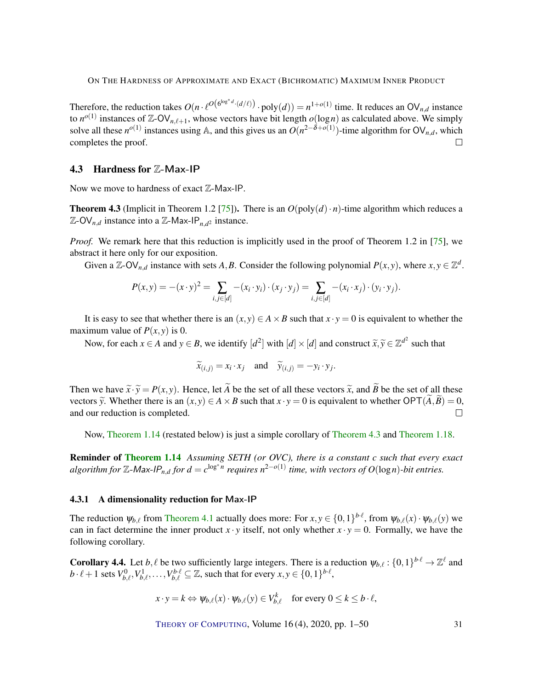<span id="page-30-3"></span>Therefore, the reduction takes  $O(n \cdot \ell^{O(\log^* d \cdot (d/\ell))} \cdot \text{poly}(d)) = n^{1+o(1)}$  time. It reduces an  $\text{OV}_{n,d}$  instance to  $n^{o(1)}$  instances of Z-OV<sub>n, $\ell+1$ </sub>, whose vectors have bit length  $o(\log n)$  as calculated above. We simply solve all these  $n^{o(1)}$  instances using A, and this gives us an  $O(n^{2-\delta+o(1)})$ -time algorithm for  $O(V_{n,d},$  which completes the proof.  $\Box$ 

#### <span id="page-30-0"></span>4.3 Hardness for Z-Max-IP

Now we move to hardness of exact  $\mathbb{Z}-$ Max-IP.

<span id="page-30-1"></span>**Theorem 4.3** (Implicit in Theorem 1.2 [\[75\]](#page-49-2)). There is an  $O(\text{poly}(d) \cdot n)$ -time algorithm which reduces a  $\mathbb{Z}-\text{OV}_{n,d}$  instance into a  $\mathbb{Z}-\text{Max-IP}_{n,d^2}$  instance.

*Proof.* We remark here that this reduction is implicitly used in the proof of Theorem 1.2 in [\[75\]](#page-49-2), we abstract it here only for our exposition.

Given a  $\mathbb{Z}$ -OV<sub>n,d</sub> instance with sets A, B. Consider the following polynomial  $P(x, y)$ , where  $x, y \in \mathbb{Z}^d$ .

$$
P(x, y) = -(x \cdot y)^2 = \sum_{i, j \in [d]} -(x_i \cdot y_i) \cdot (x_j \cdot y_j) = \sum_{i, j \in [d]} -(x_i \cdot x_j) \cdot (y_i \cdot y_j).
$$

It is easy to see that whether there is an  $(x, y) \in A \times B$  such that  $x \cdot y = 0$  is equivalent to whether the maximum value of  $P(x, y)$  is 0.

Now, for each  $x \in A$  and  $y \in B$ , we identify  $[d^2]$  with  $[d] \times [d]$  and construct  $\widetilde{x}, \widetilde{y} \in \mathbb{Z}^{d^2}$  such that

$$
\widetilde{x}_{(i,j)} = x_i \cdot x_j
$$
 and  $\widetilde{y}_{(i,j)} = -y_i \cdot y_j$ .

Then we have  $\tilde{x} \cdot \tilde{y} = P(x, y)$ . Hence, let  $\tilde{A}$  be the set of all these vectors  $\tilde{x}$ , and  $\tilde{B}$  be the set of all these vectors  $\tilde{y}$ . Whether there is an  $(x, y) \in A \times B$  such that  $x \cdot y = 0$  is equivalent to whether  $\text{OPT}(A, \tilde{B}) = 0$ , and our reduction is completed. and our reduction is completed.

Now, [Theorem](#page-7-1) [1.14](#page-7-1) (restated below) is just a simple corollary of [Theorem](#page-30-1) [4.3](#page-30-1) and [Theorem](#page-8-1) [1.18.](#page-8-1)

Reminder of [Theorem](#page-7-1) [1.14](#page-7-1) *Assuming SETH (or OVC), there is a constant c such that every exact*  $a$ lgorithm for  $\mathbb{Z}$ -Max-IP<sub>n,d</sub> for  $d = c^{\log^* n}$  requires  $n^{2-o(1)}$  time, with vectors of  $O(\log n)$ -bit entries.

#### 4.3.1 A dimensionality reduction for Max-IP

The reduction  $\psi_{b,\ell}$  from [Theorem](#page-25-1) [4.1](#page-25-1) actually does more: For  $x, y \in \{0,1\}^{b\cdot\ell}$ , from  $\psi_{b,\ell}(x) \cdot \psi_{b,\ell}(y)$  we can in fact determine the inner product  $x \cdot y$  itself, not only whether  $x \cdot y = 0$ . Formally, we have the following corollary.

<span id="page-30-2"></span>**Corollary 4.4.** Let  $b, \ell$  be two sufficiently large integers. There is a reduction  $\psi_{b,\ell} : \{0,1\}^{b \cdot \ell} \to \mathbb{Z}^{\ell}$  and  $b \cdot \ell+1$  sets  $V_{b,\ell}^0, V_{b,\ell}^1, \ldots, V_{b,\ell}^{b\cdot \ell} \subseteq \mathbb{Z}$ , such that for every  $x, y \in \{0,1\}^{b\cdot \ell}$ ,

$$
x \cdot y = k \Leftrightarrow \psi_{b,\ell}(x) \cdot \psi_{b,\ell}(y) \in V_{b,\ell}^k \quad \text{for every } 0 \le k \le b \cdot \ell,
$$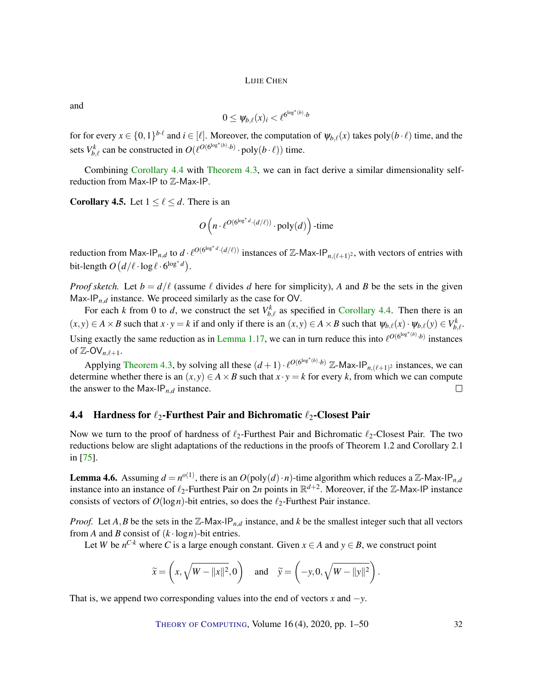<span id="page-31-2"></span>and

$$
0 \leq \psi_{b,\ell}(x)_i < \ell^{6^{\log^*(b)} \cdot b}
$$

for for every  $x \in \{0,1\}^{b\cdot\ell}$  and  $i \in [\ell]$ . Moreover, the computation of  $\psi_{b,\ell}(x)$  takes poly $(b\cdot\ell)$  time, and the sets  $V_{b,\ell}^k$  can be constructed in  $O(\ell^{O(6^{\log^*(b)} \cdot b)} \cdot \text{poly}(b \cdot \ell))$  time.

Combining [Corollary](#page-30-2) [4.4](#page-30-2) with [Theorem](#page-30-1) [4.3,](#page-30-1) we can in fact derive a similar dimensionality selfreduction from Max-IP to  $\mathbb Z$ -Max-IP.

**Corollary 4.5.** Let  $1 \leq \ell \leq d$ . There is an

$$
O\left(n\cdot \ell^{O(\mathbf{G}^{\log^*d}\cdot (d/\ell))}\cdot \mathrm{poly}(d)\right)\text{-time}
$$

reduction from Max-IP<sub>*n,d*</sub> to  $d \cdot \ell^{O(6^{\log^*d} \cdot (d/\ell))}$  instances of Z-Max-IP<sub>*n,(t+1)*<sup>2</sup>, with vectors of entries with</sub> bit-length  $O(d/\ell \cdot \log \ell \cdot 6^{\log^* d})$ .

*Proof sketch.* Let  $b = d/\ell$  (assume  $\ell$  divides *d* here for simplicity), *A* and *B* be the sets in the given Max-IP $_{n,d}$  instance. We proceed similarly as the case for OV.

For each *k* from 0 to *d*, we construct the set  $V_{b,\ell}^k$  as specified in [Corollary](#page-30-2) [4.4.](#page-30-2) Then there is an  $(x,y) \in A \times B$  such that  $x \cdot y = k$  if and only if there is an  $(x,y) \in A \times B$  such that  $\psi_{b,\ell}(x) \cdot \psi_{b,\ell}(y) \in V_{b,\ell}^k$ . Using exactly the same reduction as in [Lemma](#page-8-0) [1.17,](#page-8-0) we can in turn reduce this into  $\ell^{O(6^{\log^*(b)} \cdot b)}$  instances of  $\mathbb{Z}$ -OV<sub>n, $\ell+1$ </sub>.

Applying [Theorem](#page-30-1) [4.3,](#page-30-1) by solving all these  $(d+1) \cdot \ell^{O(6^{\log^*(b)} \cdot b)}$  Z-Max-IP<sub>n,( $\ell+1$ )</sub> instances, we can determine whether there is an  $(x, y) \in A \times B$  such that  $x \cdot y = k$  for every *k*, from which we can compute the answer to the Max-IP $_{n,d}$  instance.  $\Box$ 

#### <span id="page-31-1"></span>4.4 Hardness for  $\ell_2$ -Furthest Pair and Bichromatic  $\ell_2$ -Closest Pair

Now we turn to the proof of hardness of  $\ell_2$ -Furthest Pair and Bichromatic  $\ell_2$ -Closest Pair. The two reductions below are slight adaptations of the reductions in the proofs of Theorem 1.2 and Corollary 2.1 in [\[75\]](#page-49-2).

<span id="page-31-0"></span>**Lemma 4.6.** Assuming  $d = n^{o(1)}$ , there is an  $O(\text{poly}(d) \cdot n)$ -time algorithm which reduces a Z-Max-IP<sub>*n,d*</sub> instance into an instance of  $\ell_2$ -Furthest Pair on 2*n* points in  $\mathbb{R}^{d+2}$ . Moreover, if the Z-Max-IP instance consists of vectors of  $O(log n)$ -bit entries, so does the  $\ell_2$ -Furthest Pair instance.

*Proof.* Let  $A$ ,  $B$  be the sets in the  $\mathbb{Z}$ -Max-IP<sub>n,*d*</sub> instance, and  $k$  be the smallest integer such that all vectors from *A* and *B* consist of  $(k \cdot \log n)$ -bit entries.

Let *W* be  $n^{C \cdot k}$  where *C* is a large enough constant. Given  $x \in A$  and  $y \in B$ , we construct point

$$
\widetilde{x} = \left(x, \sqrt{W - ||x||^2}, 0\right)
$$
 and  $\widetilde{y} = \left(-y, 0, \sqrt{W - ||y||^2}\right).$ 

That is, we append two corresponding values into the end of vectors  $x$  and  $-y$ .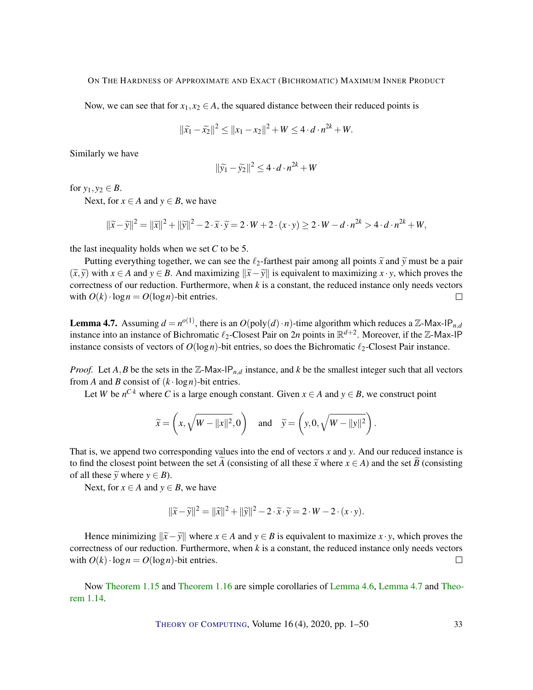Now, we can see that for  $x_1, x_2 \in A$ , the squared distance between their reduced points is

$$
\|\tilde{x_1} - \tilde{x_2}\|^2 \le \|x_1 - x_2\|^2 + W \le 4 \cdot d \cdot n^{2k} + W.
$$

Similarly we have

$$
\|\widetilde{y}_1 - \widetilde{y}_2\|^2 \le 4 \cdot d \cdot n^{2k} + W
$$

for  $y_1, y_2 \in B$ .

Next, for  $x \in A$  and  $y \in B$ , we have

 $||\tilde{x} - \tilde{y}||^2 = ||\tilde{x}||^2 + ||\tilde{y}||^2 - 2 \cdot \tilde{x} \cdot \tilde{y} = 2 \cdot W + 2 \cdot (x \cdot y) \ge 2 \cdot W - d \cdot n^{2k} > 4 \cdot d \cdot n^{2k} + W$ ,

the last inequality holds when we set *C* to be 5.

Putting everything together, we can see the  $\ell_2$ -farthest pair among all points  $\tilde{x}$  and  $\tilde{y}$  must be a pair  $(\tilde{x}, \tilde{y})$  with *x* ∈ *A* and *y* ∈ *B*. And maximizing  $\|\tilde{x} - \tilde{y}\|$  is equivalent to maximizing *x* · *y*, which proves the correctness of our reduction. Furthermore, when *k* is a constant, the reduced instance only needs vectors with  $O(k) \cdot \log n = O(\log n)$ -bit entries.  $\Box$ 

<span id="page-32-0"></span>**Lemma 4.7.** Assuming  $d = n^{o(1)}$ , there is an  $O(\text{poly}(d) \cdot n)$ -time algorithm which reduces a Z-Max-IP<sub>*n,d*</sub> instance into an instance of Bichromatic  $\ell_2$ -Closest Pair on 2*n* points in  $\mathbb{R}^{d+2}$ . Moreover, if the Z-Max-IP instance consists of vectors of  $O(\log n)$ -bit entries, so does the Bichromatic  $\ell_2$ -Closest Pair instance.

*Proof.* Let *A*, *B* be the sets in the Z-Max-IP<sub>n,*d*</sub> instance, and *k* be the smallest integer such that all vectors from *A* and *B* consist of  $(k \cdot \log n)$ -bit entries.

Let *W* be  $n^{C \cdot k}$  where *C* is a large enough constant. Given  $x \in A$  and  $y \in B$ , we construct point

$$
\widetilde{x} = \left(x, \sqrt{W - ||x||^2}, 0\right)
$$
 and  $\widetilde{y} = \left(y, 0, \sqrt{W - ||y||^2}\right).$ 

That is, we append two corresponding values into the end of vectors *x* and *y*. And our reduced instance is to find the closest point between the set *A* (consisting of all these  $\tilde{x}$  where  $x \in A$ ) and the set *B* (consisting of all these  $\widetilde{y}$  where  $y \in B$ ).

Next, for  $x \in A$  and  $y \in B$ , we have

$$
\|\widetilde{x}-\widetilde{y}\|^2 = \|\widetilde{x}\|^2 + \|\widetilde{y}\|^2 - 2 \cdot \widetilde{x} \cdot \widetilde{y} = 2 \cdot W - 2 \cdot (x \cdot y).
$$

Hence minimizing  $\|\tilde{x} - \tilde{y}\|$  where  $x \in A$  and  $y \in B$  is equivalent to maximize  $x \cdot y$ , which proves the correctness of our reduction. Furthermore, when *k* is a constant, the reduced instance only needs vectors with  $O(k) \cdot \log n = O(\log n)$ -bit entries.  $\Box$ 

Now [Theorem](#page-8-2) [1.15](#page-8-2) and [Theorem](#page-8-3) [1.16](#page-8-3) are simple corollaries of [Lemma](#page-31-0) [4.6,](#page-31-0) [Lemma](#page-32-0) [4.7](#page-32-0) and [Theo](#page-7-1)rem [1.14.](#page-7-1)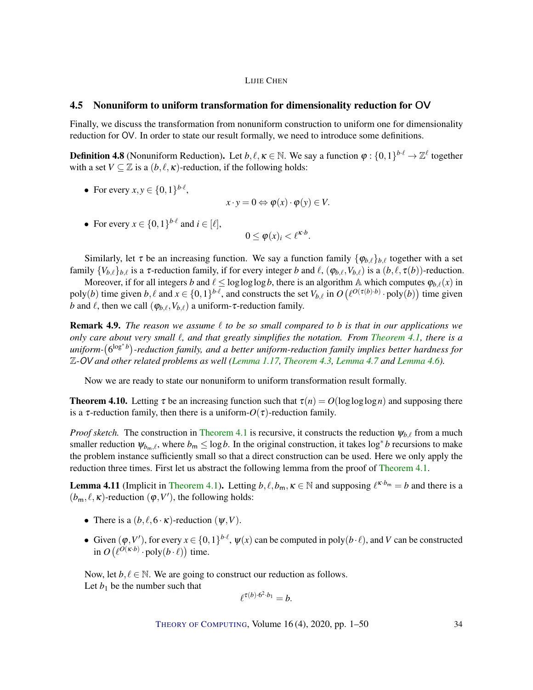#### <span id="page-33-0"></span>4.5 Nonuniform to uniform transformation for dimensionality reduction for OV

Finally, we discuss the transformation from nonuniform construction to uniform one for dimensionality reduction for OV. In order to state our result formally, we need to introduce some definitions.

**Definition 4.8** (Nonuniform Reduction). Let  $b, l, \kappa \in \mathbb{N}$ . We say a function  $\varphi : \{0,1\}^{b \cdot l} \to \mathbb{Z}^l$  together with a set  $V \subseteq \mathbb{Z}$  is a  $(b, \ell, \kappa)$ -reduction, if the following holds:

• For every 
$$
x, y \in \{0, 1\}^{b \cdot \ell}
$$
,

$$
x \cdot y = 0 \Leftrightarrow \varphi(x) \cdot \varphi(y) \in V.
$$

• For every  $x \in \{0,1\}^{b \cdot \ell}$  and  $i \in [\ell],$ 

$$
0 \leq \varphi(x)_i < \ell^{\kappa \cdot b}.
$$

Similarly, let  $\tau$  be an increasing function. We say a function family  $\{\varphi_{b,\ell}\}_{{b,\ell}}$  together with a set family  ${V_{b,\ell}}_{b,\ell}$  is a  $\tau$ -reduction family, if for every integer *b* and  $\ell$ ,  $(\varphi_{b,\ell}, V_{b,\ell})$  is a  $(b,\ell, \tau(b))$ -reduction.

Moreover, if for all integers *b* and  $\ell \leq \log \log \log b$ , there is an algorithm A which computes  $\varphi_{b,\ell}(x)$  in poly(*b*) time given  $b, \ell$  and  $x \in \{0, 1\}^{b \cdot \ell}$ , and constructs the set  $V_{b,\ell}$  in  $O(\ell^{O(\tau(b) \cdot b)} \cdot \text{poly}(b))$  time given *b* and  $\ell$ , then we call  $(\varphi_{b,\ell}, V_{b,\ell})$  a uniform-τ-reduction family.

**Remark 4.9.** *The reason we assume*  $\ell$  *to be so small compared to b is that in our applications we only care about very small*  $\ell$ , and that greatly simplifies the notation. From [Theorem](#page-25-1) [4.1,](#page-25-1) there is a *uniform-*(6<sup>log∗b</sup>)-reduction family, and a better uniform-reduction family implies better hardness for Z-OV *and other related problems as well [\(Lemma](#page-8-0) [1.17,](#page-8-0) [Theorem](#page-30-1) [4.3,](#page-30-1) [Lemma](#page-32-0) [4.7](#page-32-0) and [Lemma](#page-31-0) [4.6\)](#page-31-0).*

Now we are ready to state our nonuniform to uniform transformation result formally.

<span id="page-33-2"></span>**Theorem 4.10.** Letting  $\tau$  be an increasing function such that  $\tau(n) = O(\log \log \log n)$  and supposing there is a  $\tau$ -reduction family, then there is a uniform- $O(\tau)$ -reduction family.

*Proof sketch.* The construction in [Theorem](#page-25-1) [4.1](#page-25-1) is recursive, it constructs the reduction  $\psi_{b,\ell}$  from a much smaller reduction  $\psi_{b_m,\ell}$ , where  $b_m \leq \log b$ . In the original construction, it takes  $\log^* b$  recursions to make the problem instance sufficiently small so that a direct construction can be used. Here we only apply the reduction three times. First let us abstract the following lemma from the proof of [Theorem](#page-25-1) [4.1.](#page-25-1)

<span id="page-33-1"></span>**Lemma 4.11** (Implicit in [Theorem](#page-25-1) [4.1\)](#page-25-1). Letting  $b, l, b_m, \kappa \in \mathbb{N}$  and supposing  $l^{\kappa \cdot b_m} = b$  and there is a  $(b_m, \ell, \kappa)$ -reduction  $(\varphi, V')$ , the following holds:

- There is a  $(b, \ell, 6 \cdot \kappa)$ -reduction  $(\psi, V)$ .
- Given  $(\varphi, V')$ , for every  $x \in \{0,1\}^{b \cdot \ell}$ ,  $\psi(x)$  can be computed in poly $(b \cdot \ell)$ , and *V* can be constructed in  $O(\ell^{O(\kappa \cdot b)} \cdot \text{poly}(b \cdot \ell))$  time.

Now, let  $b, \ell \in \mathbb{N}$ . We are going to construct our reduction as follows. Let  $b_1$  be the number such that

$$
\ell^{\tau(b)\cdot 6^2\cdot b_1} = b.
$$

THEORY OF C[OMPUTING](http://dx.doi.org/10.4086/toc), Volume 16 (4), 2020, pp. 1–50 34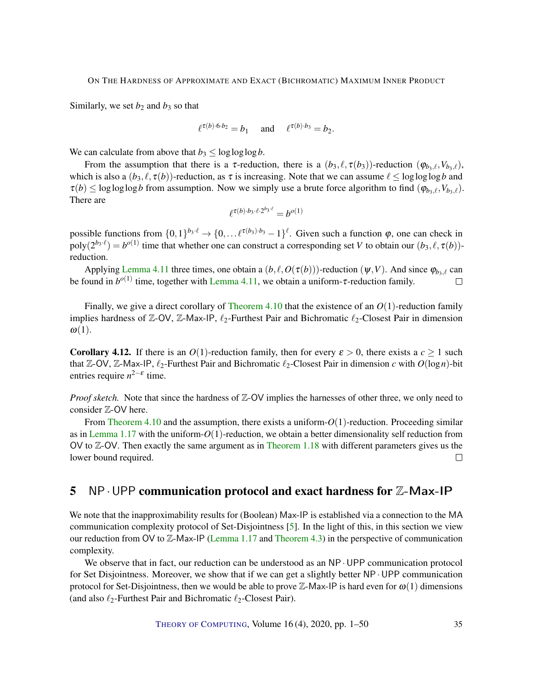<span id="page-34-1"></span>Similarly, we set  $b_2$  and  $b_3$  so that

$$
\ell^{\tau(b)\cdot 6\cdot b_2} = b_1 \quad \text{and} \quad \ell^{\tau(b)\cdot b_3} = b_2.
$$

We can calculate from above that  $b_3 \le \log \log \log b$ .

From the assumption that there is a  $\tau$ -reduction, there is a  $(b_3, \ell, \tau(b_3))$ -reduction  $(\varphi_{b_3}, \ell, V_{b_3}, \ell)$ , which is also a  $(b_3, \ell, \tau(b))$ -reduction, as  $\tau$  is increasing. Note that we can assume  $\ell \le \log \log \log b$  and  $\tau(b) \leq \log \log \log b$  from assumption. Now we simply use a brute force algorithm to find  $(\varphi_{b_3,\ell}, V_{b_3,\ell})$ . There are

$$
\ell^{\tau(b)\cdot b_3\cdot \ell\cdot 2^{b_3\cdot \ell}}=b^{o(1)}
$$

possible functions from  $\{0,1\}^{b_3 \cdot \ell} \to \{0,\ldots \ell^{\tau(b_3)\cdot b_3} - 1\}^{\ell}$ . Given such a function  $\varphi$ , one can check in  $poly(2^{b_3 \cdot \ell}) = b^{o(1)}$  time that whether one can construct a corresponding set *V* to obtain our  $(b_3, \ell, \tau(b))$ reduction.

Applying [Lemma](#page-33-1) [4.11](#page-33-1) three times, one obtain a  $(b, \ell, O(\tau(b)))$ -reduction  $(\psi, V)$ . And since  $\varphi_{b_3,\ell}$  can be found in  $b^{o(1)}$  time, together with [Lemma](#page-33-1) [4.11,](#page-33-1) we obtain a uniform- $\tau$ -reduction family.  $\Box$ 

Finally, we give a direct corollary of [Theorem](#page-33-2) [4.10](#page-33-2) that the existence of an *O*(1)-reduction family implies hardness of Z-OV, Z-Max-IP,  $\ell_2$ -Furthest Pair and Bichromatic  $\ell_2$ -Closest Pair in dimension  $\omega(1)$ .

**Corollary 4.12.** If there is an  $O(1)$ -reduction family, then for every  $\varepsilon > 0$ , there exists a  $c \ge 1$  such that Z-OV, Z-Max-IP,  $\ell_2$ -Furthest Pair and Bichromatic  $\ell_2$ -Closest Pair in dimension *c* with  $O(\log n)$ -bit entries require  $n^{2-\epsilon}$  time.

*Proof sketch.* Note that since the hardness of Z-OV implies the harnesses of other three, we only need to consider  $\mathbb{Z}$ -OV here.

From [Theorem](#page-33-2) [4.10](#page-33-2) and the assumption, there exists a uniform- $O(1)$ -reduction. Proceeding similar as in [Lemma](#page-8-0) [1.17](#page-8-0) with the uniform-*O*(1)-reduction, we obtain a better dimensionality self reduction from OV to Z-OV. Then exactly the same argument as in [Theorem](#page-8-1) [1.18](#page-8-1) with different parameters gives us the lower bound required.  $\Box$ 

# <span id="page-34-0"></span>5 NP  $\cdot$  UPP communication protocol and exact hardness for  $\mathbb{Z}-$ Max-IP

We note that the inapproximability results for (Boolean) Max-IP is established via a connection to the MA communication complexity protocol of Set-Disjointness [\[5\]](#page-43-1). In the light of this, in this section we view our reduction from OV to Z-Max-IP [\(Lemma](#page-8-0) [1.17](#page-8-0) and [Theorem](#page-30-1) [4.3\)](#page-30-1) in the perspective of communication complexity.

We observe that in fact, our reduction can be understood as an NP  $\cdot$  UPP communication protocol for Set Disjointness. Moreover, we show that if we can get a slightly better  $NP \cdot UPP$  communication protocol for Set-Disjointness, then we would be able to prove Z-Max-IP is hard even for  $\omega(1)$  dimensions (and also  $\ell_2$ -Furthest Pair and Bichromatic  $\ell_2$ -Closest Pair).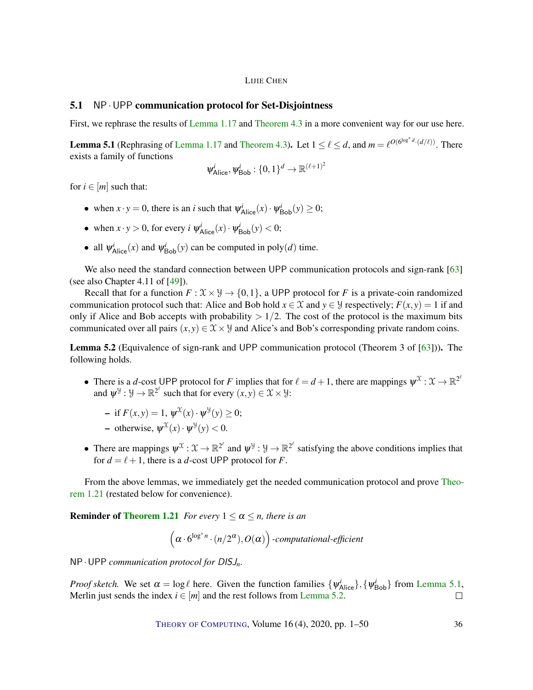# <span id="page-35-2"></span>5.1 NP·UPP communication protocol for Set-Disjointness

First, we rephrase the results of [Lemma](#page-8-0) [1.17](#page-8-0) and [Theorem](#page-30-1) [4.3](#page-30-1) in a more convenient way for our use here.

<span id="page-35-0"></span>**[Lemma](#page-8-0) 5.1** (Rephrasing of Lemma [1.17](#page-8-0) and [Theorem](#page-30-1) [4.3\)](#page-30-1). Let  $1 \leq \ell \leq d$ , and  $m = \ell^{O(6^{\log^* d} \cdot (d/\ell))}$ . There exists a family of functions

$$
\psi^i_\text{Alice}, \psi^i_\text{Bob}: \{0, 1\}^d \to \mathbb{R}^{(\ell+1)^2}
$$

for  $i \in [m]$  such that:

- when  $x \cdot y = 0$ , there is an *i* such that  $\psi^i_{\text{Alice}}(x) \cdot \psi^i_{\text{Bob}}(y) \ge 0$ ;
- when  $x \cdot y > 0$ , for every  $i \psi_{Alice}^i(x) \cdot \psi_{Bob}^i(y) < 0$ ;
- all  $\psi^i_{\text{Alice}}(x)$  and  $\psi^i_{\text{Bob}}(y)$  can be computed in poly(*d*) time.

We also need the standard connection between UPP communication protocols and sign-rank [\[63\]](#page-48-8) (see also Chapter 4.11 of [\[49\]](#page-47-11)).

Recall that for a function  $F: \mathcal{X} \times \mathcal{Y} \to \{0,1\}$ , a UPP protocol for *F* is a private-coin randomized communication protocol such that: Alice and Bob hold  $x \in \mathcal{X}$  and  $y \in \mathcal{Y}$  respectively;  $F(x, y) = 1$  if and only if Alice and Bob accepts with probability  $> 1/2$ . The cost of the protocol is the maximum bits communicated over all pairs  $(x, y) \in \mathcal{X} \times \mathcal{Y}$  and Alice's and Bob's corresponding private random coins.

<span id="page-35-1"></span>Lemma 5.2 (Equivalence of sign-rank and UPP communication protocol (Theorem 3 of [\[63\]](#page-48-8))). The following holds.

• There is a *d*-cost UPP protocol for *F* implies that for  $\ell = d + 1$ , there are mappings  $\psi^{\mathfrak{X}} : \mathfrak{X} \to \mathbb{R}^{2^{\ell}}$ and  $\psi^{\mathcal{Y}} : \mathcal{Y} \to \mathbb{R}^{2^{\ell}}$  such that for every  $(x, y) \in \mathcal{X} \times \mathcal{Y}$ :

$$
- \text{ if } F(x, y) = 1, \ \psi^{\mathfrak{X}}(x) \cdot \psi^{\mathfrak{Y}}(y) \ge 0;
$$

- otherwise, 
$$
\psi^{\mathfrak{X}}(x) \cdot \psi^{\mathfrak{Y}}(y) < 0
$$
.

• There are mappings  $\psi^{\mathfrak{X}} : \mathfrak{X} \to \mathbb{R}^{2^{\ell}}$  and  $\psi^{\mathfrak{Y}} : \mathfrak{Y} \to \mathbb{R}^{2^{\ell}}$  satisfying the above conditions implies that for  $d = \ell + 1$ , there is a *d*-cost UPP protocol for *F*.

From the above lemmas, we immediately get the needed communication protocol and prove [Theo](#page-9-0)rem [1.21](#page-9-0) (restated below for convenience).

**Reminder of [Theorem](#page-9-0) [1.21](#page-9-0)** *For every*  $1 \leq \alpha \leq n$ *, there is an* 

$$
(\alpha \cdot 6^{\log^* n} \cdot (n/2^{\alpha}), O(\alpha))
$$
 *computational-efficient*

NP·UPP *communication protocol for* DISJ*n.*

*Proof sketch.* We set  $\alpha = \log \ell$  here. Given the function families  $\{\psi_{Alice}^i\}, \{\psi_{Bob}^i\}$  from [Lemma](#page-35-0) [5.1,](#page-35-0) Merlin just sends the index  $i \in [m]$  and the rest follows from [Lemma](#page-35-1) [5.2.](#page-35-1)  $\Box$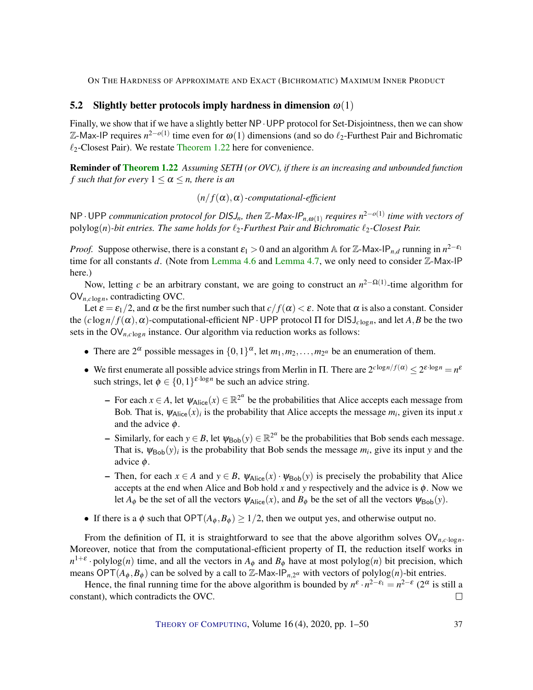#### 5.2 Slightly better protocols imply hardness in dimension  $\omega(1)$

Finally, we show that if we have a slightly better NP  $\cdot$  UPP protocol for Set-Disjointness, then we can show Z-Max-IP requires *n* 2−*o*(1) time even for ω(1) dimensions (and so do `2-Furthest Pair and Bichromatic  $\ell_2$ -Closest Pair). We restate [Theorem](#page-9-1) [1.22](#page-9-1) here for convenience.

Reminder of [Theorem](#page-9-1) [1.22](#page-9-1) *Assuming SETH (or OVC), if there is an increasing and unbounded function f* such that for every  $1 \leq \alpha \leq n$ , there is an

 $(n/f(\alpha), \alpha)$ -computational-efficient

NP·UPP *communication protocol for* DISJ*n, then* <sup>Z</sup>-Max-IP*n*,ω(1) *requires n* 2−*o*(1) *time with vectors of* polylog(*n*)-bit entries. The same holds for  $\ell_2$ -Furthest Pair and Bichromatic  $\ell_2$ -Closest Pair.

*Proof.* Suppose otherwise, there is a constant  $\varepsilon_1 > 0$  and an algorithm A for Z-Max-IP<sub>n,d</sub> running in  $n^{2-\varepsilon_1}$ time for all constants *d*. (Note from [Lemma](#page-32-0) [4.6](#page-31-0) and Lemma [4.7,](#page-32-0) we only need to consider Z-Max-IP here.)

Now, letting *c* be an arbitrary constant, we are going to construct an *n*<sup>2−Ω(1)</sup>-time algorithm for OV*n*,*<sup>c</sup>* log*n*, contradicting OVC.

Let  $\varepsilon = \varepsilon_1/2$ , and  $\alpha$  be the first number such that  $c/f(\alpha) < \varepsilon$ . Note that  $\alpha$  is also a constant. Consider the  $(c \log n / f(\alpha), \alpha)$ -computational-efficient NP · UPP protocol  $\Pi$  for  $DISJ_{c \log n}$ , and let *A*, *B* be the two sets in the  $\text{OV}_{n, c \log n}$  instance. Our algorithm via reduction works as follows:

- There are  $2^{\alpha}$  possible messages in  $\{0,1\}^{\alpha}$ , let  $m_1, m_2, \ldots, m_{2^{\alpha}}$  be an enumeration of them.
- We first enumerate all possible advice strings from Merlin in  $\Pi$ . There are  $2^{c \log n/f(\alpha)} \leq 2^{c \cdot \log n} = n^{\varepsilon}$ such strings, let  $\phi \in \{0,1\}^{\varepsilon \cdot \log n}$  be such an advice string.
	- $\text{–}$  For each *x* ∈ *A*, let  $\psi_{\text{Alice}}(x) \in \mathbb{R}^{2^{\alpha}}$  be the probabilities that Alice accepts each message from Bob. That is,  $\psi_{\text{Alice}}(x)$  is the probability that Alice accepts the message  $m_i$ , given its input x and the advice  $\phi$ .
	- $\blacksquare$  Similarly, for each *y* ∈ *B*, let  $\psi_{\text{Bob}}(y) \in \mathbb{R}^{2^{\alpha}}$  be the probabilities that Bob sends each message. That is,  $\psi_{\text{Bob}}(y)$  is the probability that Bob sends the message  $m_i$ , give its input y and the advice φ.
	- Then, for each  $x \in A$  and  $y \in B$ ,  $\psi_{\text{Alice}}(x) \cdot \psi_{\text{Bob}}(y)$  is precisely the probability that Alice accepts at the end when Alice and Bob hold  $x$  and  $y$  respectively and the advice is  $\phi$ . Now we let  $A_{\phi}$  be the set of all the vectors  $\psi_{\text{Alice}}(x)$ , and  $B_{\phi}$  be the set of all the vectors  $\psi_{\text{Bob}}(y)$ .
- If there is a  $\phi$  such that  $\mathsf{OPT}(A_{\phi}, B_{\phi}) \geq 1/2$ , then we output yes, and otherwise output no.

From the definition of Π, it is straightforward to see that the above algorithm solves OV*n*,*c*·log*n*. Moreover, notice that from the computational-efficient property of Π, the reduction itself works in  $n^{1+\varepsilon}$  · polylog(*n*) time, and all the vectors in  $A_{\phi}$  and  $B_{\phi}$  have at most polylog(*n*) bit precision, which means  $\text{OPT}(A_{\phi}, B_{\phi})$  can be solved by a call to  $\mathbb{Z}$ -Max-IP<sub>n,2</sub><sup> $\alpha$ </sup> with vectors of polylog(*n*)-bit entries.

Hence, the final running time for the above algorithm is bounded by  $n^{\varepsilon} \cdot n^{2-\varepsilon_1} = n^{2-\varepsilon} (2^{\alpha}$  is still a constant), which contradicts the OVC.  $\Box$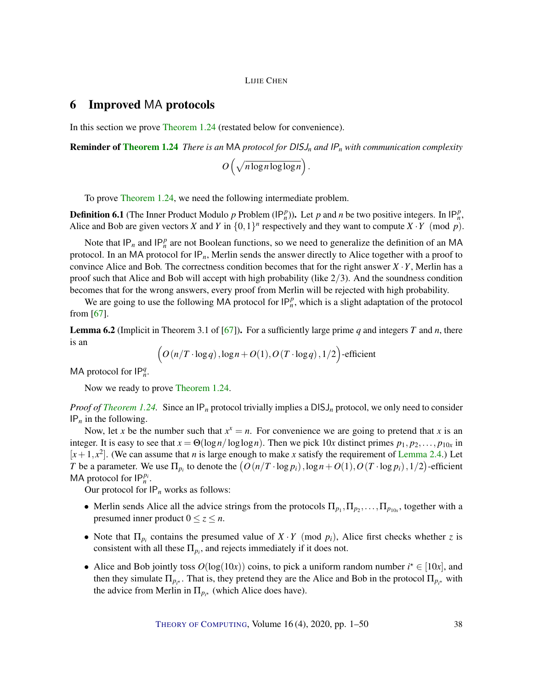# <span id="page-37-1"></span><span id="page-37-0"></span>6 Improved MA protocols

In this section we prove [Theorem](#page-10-0) [1.24](#page-10-0) (restated below for convenience).

Reminder of [Theorem](#page-10-0) [1.24](#page-10-0) *There is an* MA *protocol for* DISJ*<sup>n</sup> and* IP*<sup>n</sup> with communication complexity*

 $O\left(\sqrt{n \log n \log \log n}\right)$ .

To prove [Theorem](#page-10-0) [1.24,](#page-10-0) we need the following intermediate problem.

**Definition 6.1** (The Inner Product Modulo *p* Problem  $(\mathsf{IP}_n^p)$ ). Let *p* and *n* be two positive integers. In  $\mathsf{IP}_n^p$ , Alice and Bob are given vectors *X* and *Y* in  $\{0,1\}^n$  respectively and they want to compute  $X \cdot Y$  (mod *p*).

Note that  $IP_n$  and  $IP_n^p$  are not Boolean functions, so we need to generalize the definition of an MA protocol. In an MA protocol for IP*n*, Merlin sends the answer directly to Alice together with a proof to convince Alice and Bob. The correctness condition becomes that for the right answer  $X \cdot Y$ , Merlin has a proof such that Alice and Bob will accept with high probability (like 2/3). And the soundness condition becomes that for the wrong answers, every proof from Merlin will be rejected with high probability.

We are going to use the following MA protocol for  $IP_n^p$ , which is a slight adaptation of the protocol from [\[67\]](#page-48-7).

**Lemma 6.2** (Implicit in Theorem 3.1 of [\[67\]](#page-48-7)). For a sufficiently large prime q and integers T and n, there is an

$$
(O(n/T \cdot \log q), \log n + O(1), O(T \cdot \log q), 1/2)-\text{efficient}
$$

MA protocol for  $IP_n^q$ .

Now we ready to prove [Theorem](#page-10-0) [1.24.](#page-10-0)

*Proof of [Theorem](#page-10-0) [1.24.](#page-10-0)* Since an  $IP_n$  protocol trivially implies a DISJ<sub>n</sub> protocol, we only need to consider IP*<sup>n</sup>* in the following.

Now, let *x* be the number such that  $x^x = n$ . For convenience we are going to pretend that *x* is an integer. It is easy to see that  $x = \Theta(\log n / \log \log n)$ . Then we pick  $10x$  distinct primes  $p_1, p_2, \ldots, p_{10x}$  in  $[x+1, x^2]$ . (We can assume that *n* is large enough to make *x* satisfy the requirement of [Lemma](#page-14-1) [2.4.](#page-14-1)) Let *T* be a parameter. We use  $\Pi_{p_i}$  to denote the  $\big(O(n/T \cdot \log p_i), \log n + O(1), O(T \cdot \log p_i), 1/2\big)$ -efficient MA protocol for  $IP_n^{p_i}$ .

Our protocol for IP*<sup>n</sup>* works as follows:

- Merlin sends Alice all the advice strings from the protocols  $\Pi_{p_1}, \Pi_{p_2}, \ldots, \Pi_{p_{10x}}$ , together with a presumed inner product  $0 \le z \le n$ .
- Note that  $\Pi_{p_i}$  contains the presumed value of  $X \cdot Y$  (mod  $p_i$ ), Alice first checks whether *z* is consistent with all these  $\Pi_{p_i}$ , and rejects immediately if it does not.
- Alice and Bob jointly toss  $O(log(10x))$  coins, to pick a uniform random number  $i^* \in [10x]$ , and then they simulate  $\Pi_{p_i}$ . That is, they pretend they are the Alice and Bob in the protocol  $\Pi_{p_i}$  with the advice from Merlin in  $\Pi_{p_i^*}$  (which Alice does have).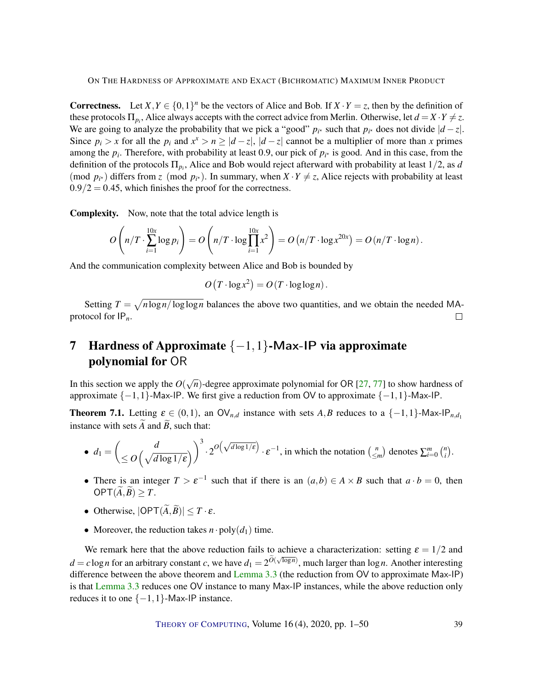<span id="page-38-1"></span>**Correctness.** Let  $X, Y \in \{0, 1\}^n$  be the vectors of Alice and Bob. If  $X \cdot Y = z$ , then by the definition of these protocols  $\Pi_{p_i}$ , Alice always accepts with the correct advice from Merlin. Otherwise, let  $d = X \cdot Y \neq z$ . We are going to analyze the probability that we pick a "good"  $p_i$ <sup>\*</sup> such that  $p_i$ <sup>\*</sup> does not divide  $|d - z|$ . Since  $p_i > x$  for all the  $p_i$  and  $x^x > n \ge |d - z|$ ,  $|d - z|$  cannot be a multiplier of more than *x* primes among the  $p_i$ . Therefore, with probability at least 0.9, our pick of  $p_i$ <sup>\*</sup> is good. And in this case, from the definition of the protocols  $\Pi_{p_i}$ , Alice and Bob would reject afterward with probability at least  $1/2$ , as *d* (mod  $p_{i^*}$ ) differs from *z* (mod  $p_{i^*}$ ). In summary, when  $X \cdot Y \neq z$ , Alice rejects with probability at least  $0.9/2 = 0.45$ , which finishes the proof for the correctness.

Complexity. Now, note that the total advice length is

$$
O\left(n/T \cdot \sum_{i=1}^{10x} \log p_i\right) = O\left(n/T \cdot \log \prod_{i=1}^{10x} x^2\right) = O\left(n/T \cdot \log x^{20x}\right) = O\left(n/T \cdot \log n\right).
$$

And the communication complexity between Alice and Bob is bounded by

 $O(T \cdot \log x^2) = O(T \cdot \log \log n)$ .

Setting  $T = \sqrt{n \log n / \log \log n}$  balances the above two quantities, and we obtain the needed MAprotocol for IP*n*.  $\Box$ 

# 7 Hardness of Approximate  $\{-1,1\}$ -Max-IP via approximate polynomial for OR

In this section we apply the  $O(\sqrt{n})$ -degree approximate polynomial for OR [\[27,](#page-45-3) [77\]](#page-49-6) to show hardness of approximate  $\{-1,1\}$ -Max-IP. We first give a reduction from OV to approximate  $\{-1,1\}$ -Max-IP.

<span id="page-38-0"></span>**Theorem 7.1.** Letting  $\varepsilon \in (0,1)$ , an  $\mathsf{OV}_{n,d}$  instance with sets *A,B* reduces to a  $\{-1,1\}$ -Max-IP<sub>*n,d*1</sub> instance with sets  $\widetilde{A}$  and  $\widetilde{B}$ , such that:

• 
$$
d_1 = \left(\frac{d}{\leq O\left(\sqrt{d \log 1/\epsilon}}\right)\right)^3 \cdot 2^{O\left(\sqrt{d \log 1/\epsilon}\right)} \cdot \epsilon^{-1}
$$
, in which the notation  $\begin{pmatrix} n \\ \leq m \end{pmatrix}$  denotes  $\sum_{i=0}^m {n \choose i}$ .

- There is an integer  $T > \varepsilon^{-1}$  such that if there is an  $(a,b) \in A \times B$  such that  $a \cdot b = 0$ , then  $OPT(\widetilde{A}, \widetilde{B}) > T$ .
- Otherwise,  $|OPT(\widetilde{A}, \widetilde{B})| < T \cdot \varepsilon$ .
- Moreover, the reduction takes  $n \cdot \text{poly}(d_1)$  time.

We remark here that the above reduction fails to achieve a characterization: setting  $\varepsilon = 1/2$  and *d* = *c* log*n* for an arbitrary constant *c*, we have  $d_1 = 2^{\tilde{O}(\sqrt{\log n}})$ , much larger than log*n*. Another interesting difference between the above theorem and [Lemma](#page-19-1) [3.3](#page-19-1) (the reduction from OV to approximate Max-IP) is that [Lemma](#page-19-1) [3.3](#page-19-1) reduces one OV instance to many Max-IP instances, while the above reduction only reduces it to one  $\{-1,1\}$ -Max-IP instance.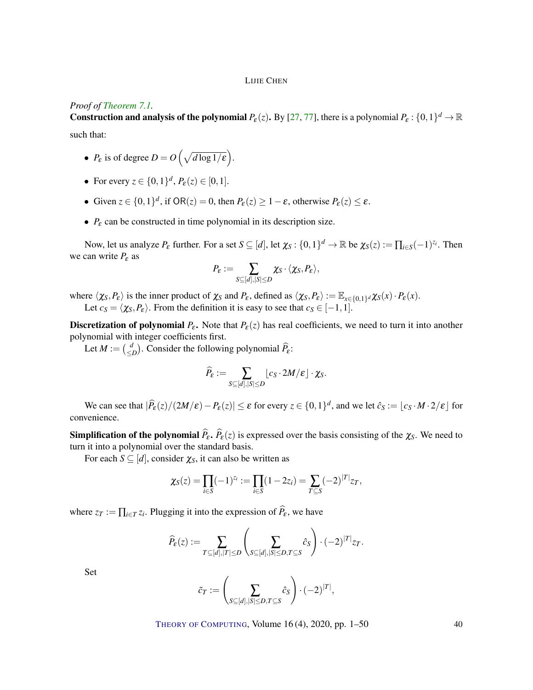#### <span id="page-39-0"></span>*Proof of [Theorem](#page-38-0) [7.1.](#page-38-0)*

**Construction and analysis of the polynomial**  $P_{\varepsilon}(z)$ **.** By [\[27,](#page-45-3) [77\]](#page-49-6), there is a polynomial  $P_{\varepsilon}: \{0,1\}^d \to \mathbb{R}$ such that:

- $P_{\varepsilon}$  is of degree  $D = O\left(\sqrt{d \log 1/\varepsilon}\right)$ .
- For every  $z \in \{0, 1\}^d$ ,  $P_{\varepsilon}(z) \in [0, 1]$ .
- Given  $z \in \{0,1\}^d$ , if  $OR(z) = 0$ , then  $P_{\varepsilon}(z) \ge 1 \varepsilon$ , otherwise  $P_{\varepsilon}(z) \le \varepsilon$ .
- *P*<sup>ε</sup> can be constructed in time polynomial in its description size.

Now, let us analyze  $P_{\varepsilon}$  further. For a set  $S \subseteq [d]$ , let  $\chi_S : \{0,1\}^d \to \mathbb{R}$  be  $\chi_S(z) := \prod_{i \in S} (-1)^{z_i}$ . Then we can write  $P_{\varepsilon}$  as

$$
P_{\varepsilon} := \sum_{S \subseteq [d], |S| \leq D} \chi_S \cdot \langle \chi_S, P_{\varepsilon} \rangle,
$$

where  $\langle \chi_S, P_\varepsilon \rangle$  is the inner product of  $\chi_S$  and  $P_\varepsilon$ , defined as  $\langle \chi_S, P_\varepsilon \rangle := \mathbb{E}_{x \in \{0,1\}^d} \chi_S(x) \cdot P_\varepsilon(x)$ . Let  $c_S = \langle \chi_S, P_\varepsilon \rangle$ . From the definition it is easy to see that  $c_S \in [-1,1]$ .

**Discretization of polynomial**  $P_{\varepsilon}$ **.** Note that  $P_{\varepsilon}(z)$  has real coefficients, we need to turn it into another polynomial with integer coefficients first.

Let  $M := \begin{pmatrix} d \\ d \end{pmatrix}$  $\binom{d}{\leq D}$ . Consider the following polynomial  $\widehat{P}_{\epsilon}$ :

$$
\widehat{P}_{\boldsymbol{\varepsilon}} := \sum_{S \subseteq [d], |S| \leq D} \lfloor c_S \cdot 2M/\boldsymbol{\varepsilon} \rfloor \cdot \chi_S.
$$

We can see that  $|\widehat{P}_{\varepsilon}(z)/(2M/\varepsilon) - P_{\varepsilon}(z)| \leq \varepsilon$  for every  $z \in \{0,1\}^d$ , and we let  $\widehat{c}_S := \lfloor c_S \cdot M \cdot 2/\varepsilon \rfloor$  for convenience.

**Simplification of the polynomial**  $\hat{P}_{\epsilon}$ ,  $\hat{P}_{\epsilon}(z)$  is expressed over the basis consisting of the  $\chi_S$ . We need to turn it into a polynomial over the standard basis.

For each  $S \subseteq [d]$ , consider  $\chi_S$ , it can also be written as

$$
\chi_S(z) = \prod_{i \in S} (-1)^{z_i} := \prod_{i \in S} (1 - 2z_i) = \sum_{T \subseteq S} (-2)^{|T|} z_T,
$$

where  $z_T := \prod_{i \in T} z_i$ . Plugging it into the expression of  $P_{\varepsilon}$ , we have

$$
\widehat{P}_{\varepsilon}(z) := \sum_{T \subseteq [d], |T| \le D} \left( \sum_{S \subseteq [d], |S| \le D, T \subseteq S} \widehat{c}_S \right) \cdot (-2)^{|T|} z_T.
$$

Set

$$
\tilde{c}_T := \left(\sum_{S \subseteq [d], |S| \leq D, T \subseteq S} \hat{c}_S\right) \cdot (-2)^{|T|},
$$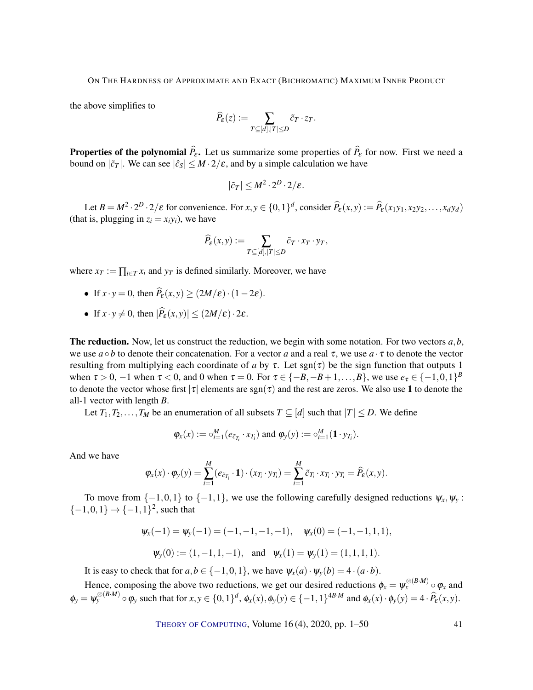the above simplifies to

$$
\widehat{P}_{\varepsilon}(z) := \sum_{T \subseteq [d], |T| \le D} \tilde{c}_T \cdot z_T.
$$

**Properties of the polynomial**  $\hat{P}_{\epsilon}$ **.** Let us summarize some properties of  $\hat{P}_{\epsilon}$  for now. First we need a bound on  $|\tilde{c}_T|$ . We can see  $|\hat{c}_S| \leq M \cdot 2/\varepsilon$ , and by a simple calculation we have

$$
|\tilde{c}_T| \le M^2 \cdot 2^D \cdot 2/\varepsilon.
$$

Let  $B = M^2 \cdot 2^D \cdot 2/\varepsilon$  for convenience. For  $x, y \in \{0, 1\}^d$ , consider  $\widehat{P}_{\varepsilon}(x, y) := \widehat{P}_{\varepsilon}(x_1y_1, x_2y_2, \dots, x_dy_d)$ (that is, plugging in  $z_i = x_i y_i$ ), we have

$$
\widehat{P}_{\varepsilon}(x,y) := \sum_{T \subseteq [d], |T| \le D} \tilde{c}_T \cdot x_T \cdot y_T,
$$

where  $x_T := \prod_{i \in T} x_i$  and  $y_T$  is defined similarly. Moreover, we have

- If  $x \cdot y = 0$ , then  $\widehat{P}_{\varepsilon}(x, y) > (2M/\varepsilon) \cdot (1-2\varepsilon)$ .
- If  $x \cdot y \neq 0$ , then  $|\widehat{P}_{\varepsilon}(x, y)| \leq (2M/\varepsilon) \cdot 2\varepsilon$ .

The reduction. Now, let us construct the reduction, we begin with some notation. For two vectors *a*,*b*, we use  $a \circ b$  to denote their concatenation. For a vector *a* and a real  $\tau$ , we use  $a \cdot \tau$  to denote the vector resulting from multiplying each coordinate of *a* by  $\tau$ . Let sgn( $\tau$ ) be the sign function that outputs 1 when  $\tau > 0$ ,  $-1$  when  $\tau < 0$ , and 0 when  $\tau = 0$ . For  $\tau \in \{-B, -B + 1, \ldots, B\}$ , we use  $e_{\tau} \in \{-1, 0, 1\}^B$ to denote the vector whose first  $|\tau|$  elements are sgn( $\tau$ ) and the rest are zeros. We also use 1 to denote the all-1 vector with length *B*.

Let  $T_1, T_2, \ldots, T_M$  be an enumeration of all subsets  $T \subseteq [d]$  such that  $|T| \le D$ . We define

$$
\varphi_x(x) := \circ_{i=1}^M (e_{\tilde{c}_{T_i}} \cdot x_{T_i})
$$
 and  $\varphi_y(y) := \circ_{i=1}^M (\mathbf{1} \cdot y_{T_i}).$ 

And we have

$$
\varphi_x(x)\cdot \varphi_y(y)=\sum_{i=1}^M(e_{\tilde{c}_{T_i}}\cdot \mathbf{1})\cdot (x_{T_i}\cdot y_{T_i})=\sum_{i=1}^M \tilde{c}_{T_i}\cdot x_{T_i}\cdot y_{T_i}=\widehat{P}_{\varepsilon}(x,y).
$$

To move from  $\{-1,0,1\}$  to  $\{-1,1\}$ , we use the following carefully designed reductions  $\psi_x, \psi_y$ :  $\{-1,0,1\} \rightarrow \{-1,1\}^2$ , such that

$$
\psi_x(-1) = \psi_y(-1) = (-1, -1, -1, -1), \quad \psi_x(0) = (-1, -1, 1, 1),
$$
  
\n $\psi_y(0) := (1, -1, 1, -1), \quad \text{and} \quad \psi_x(1) = \psi_y(1) = (1, 1, 1, 1).$ 

It is easy to check that for  $a, b \in \{-1, 0, 1\}$ , we have  $\psi_x(a) \cdot \psi_y(b) = 4 \cdot (a \cdot b)$ .

Hence, composing the above two reductions, we get our desired reductions  $\phi_x = \psi_x^{\otimes (B \cdot M)} \circ \phi_x$  and  $\phi_y = \psi_y^{\otimes (B \cdot M)} \circ \phi_y$  such that for  $x, y \in \{0, 1\}^d$ ,  $\phi_x(x), \phi_y(y) \in \{-1, 1\}^{4B \cdot M}$  and  $\phi_x(x) \cdot \phi_y(y) = 4 \cdot \widehat{P}_\varepsilon(x, y)$ .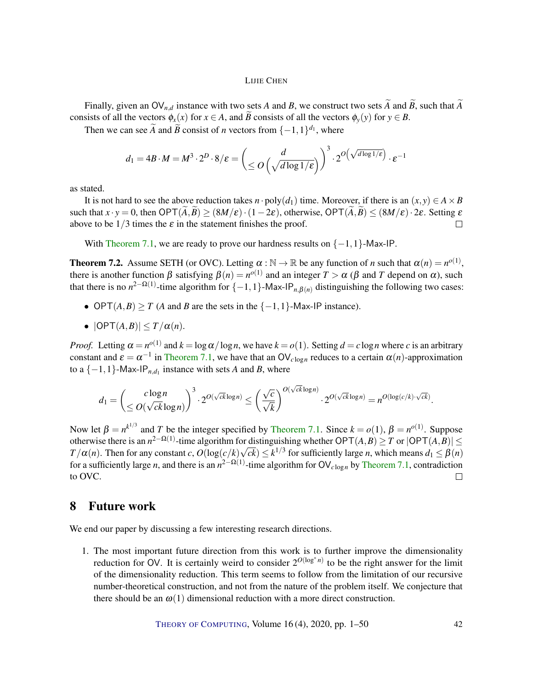Finally, given an  $\mathsf{OV}_{n,d}$  instance with two sets *A* and *B*, we construct two sets  $\widetilde{A}$  and  $\widetilde{B}$ , such that  $\widetilde{A}$ consists of all the vectors  $\phi_x(x)$  for  $x \in A$ , and  $\overline{B}$  consists of all the vectors  $\phi_y(y)$  for  $y \in B$ .

Then we can see  $\widetilde{A}$  and  $\widetilde{B}$  consist of *n* vectors from  $\{-1,1\}^{d_1}$ , where

$$
d_1 = 4B \cdot M = M^3 \cdot 2^D \cdot 8/\varepsilon = \left(\frac{d}{\leq O\left(\sqrt{d \log 1/\varepsilon}\right)}\right)^3 \cdot 2^{O\left(\sqrt{d \log 1/\varepsilon}\right)} \cdot \varepsilon^{-1}
$$

as stated.

It is not hard to see the above reduction takes *n* · poly( $d_1$ ) time. Moreover, if there is an  $(x, y) \in A \times B$ such that  $x \cdot y = 0$ , then  $\text{OPT}(A, \overline{B}) \ge (8M/\varepsilon) \cdot (1-2\varepsilon)$ , otherwise,  $\text{OPT}(A, \overline{B}) \le (8M/\varepsilon) \cdot 2\varepsilon$ . Setting  $\varepsilon$  above to be 1/3 times the  $\varepsilon$  in the statement finishes the proof. above to be  $1/3$  times the  $\varepsilon$  in the statement finishes the proof.

With [Theorem](#page-38-0) [7.1,](#page-38-0) we are ready to prove our hardness results on  $\{-1,1\}$ -Max-IP.

<span id="page-41-0"></span>**Theorem 7.2.** Assume SETH (or OVC). Letting  $\alpha : \mathbb{N} \to \mathbb{R}$  be any function of *n* such that  $\alpha(n) = n^{o(1)}$ , there is another function  $\beta$  satisfying  $\beta(n) = n^{o(1)}$  and an integer  $T > \alpha$  ( $\beta$  and  $T$  depend on  $\alpha$ ), such that there is no  $n^{2-\Omega(1)}$ -time algorithm for  $\{-1,1\}$ -Max-IP<sub>*n*, $\beta(n)$ </sub> distinguishing the following two cases:

- OPT $(A, B) \geq T$  (*A* and *B* are the sets in the  $\{-1, 1\}$ -Max-IP instance).
- $|OPT(A, B)| \leq T/\alpha(n)$ .

*Proof.* Letting  $\alpha = n^{o(1)}$  and  $k = \log \alpha / \log n$ , we have  $k = o(1)$ . Setting  $d = c \log n$  where *c* is an arbitrary constant and  $\varepsilon = \alpha^{-1}$  in [Theorem](#page-38-0) [7.1,](#page-38-0) we have that an  $\mathsf{OV}_{c \log n}$  reduces to a certain  $\alpha(n)$ -approximation to a  $\{-1, 1\}$ -Max-IP<sub>*n*, $d_1$ </sub> instance with sets *A* and *B*, where

$$
d_1 = \left(\frac{c \log n}{\leq O(\sqrt{ck} \log n)}\right)^3 \cdot 2^{O(\sqrt{ck} \log n)} \leq \left(\frac{\sqrt{c}}{\sqrt{k}}\right)^{O(\sqrt{ck} \log n)} \cdot 2^{O(\sqrt{ck} \log n)} = n^{O(\log(c/k) \cdot \sqrt{ck})}.
$$

Now let  $\beta = n^{k^{1/3}}$  and *T* be the integer specified by [Theorem](#page-38-0) [7.1.](#page-38-0) Since  $k = o(1)$ ,  $\beta = n^{o(1)}$ . Suppose otherwise there is an  $n^{2-\Omega(1)}$ -time algorithm for distinguishing whether  $\mathsf{OPT}(A,B) \geq T$  or  $|\mathsf{OPT}(A,B)| \leq$ *T*/ $\alpha$ (*n*). Then for any constant *c*,  $O(\log(c/k)\sqrt{ck}) \le k^{1/3}$  for sufficiently large *n*, which means  $d_1 \le \beta(n)$ for a sufficiently large *n*, and there is an  $n^{2-\Omega(1)}$ -time algorithm for  $\text{OV}_{c \log n}$  by [Theorem](#page-38-0) [7.1,](#page-38-0) contradiction to OVC.  $\Box$ 

# 8 Future work

We end our paper by discussing a few interesting research directions.

1. The most important future direction from this work is to further improve the dimensionality reduction for OV. It is certainly weird to consider  $2^{O(\log^* n)}$  to be the right answer for the limit of the dimensionality reduction. This term seems to follow from the limitation of our recursive number-theoretical construction, and not from the nature of the problem itself. We conjecture that there should be an  $\omega(1)$  dimensional reduction with a more direct construction.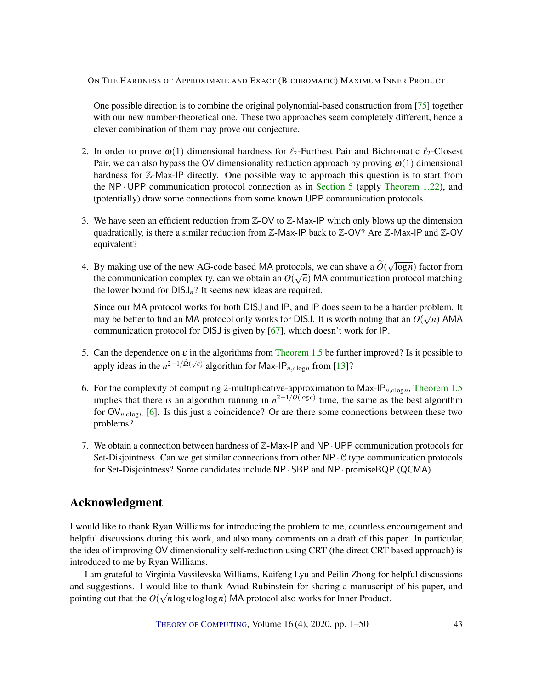<span id="page-42-0"></span>One possible direction is to combine the original polynomial-based construction from [\[75\]](#page-49-2) together with our new number-theoretical one. These two approaches seem completely different, hence a clever combination of them may prove our conjecture.

- 2. In order to prove  $\omega(1)$  dimensional hardness for  $\ell_2$ -Furthest Pair and Bichromatic  $\ell_2$ -Closest Pair, we can also bypass the OV dimensionality reduction approach by proving  $\omega(1)$  dimensional hardness for Z-Max-IP directly. One possible way to approach this question is to start from the  $NP \cdot UPP$  communication protocol connection as in [Section](#page-34-0) [5](#page-34-0) (apply [Theorem](#page-9-1) [1.22\)](#page-9-1), and (potentially) draw some connections from some known UPP communication protocols.
- 3. We have seen an efficient reduction from  $\mathbb{Z}-\text{OV}$  to  $\mathbb{Z}-\text{Max-IP}$  which only blows up the dimension quadratically, is there a similar reduction from  $\mathbb{Z}-Max-IP$  back to  $\mathbb{Z}-OV$ ? Are  $\mathbb{Z}-Max-IP$  and  $\mathbb{Z}-OV$ equivalent?
- 4. By making use of the new AG-code based MA protocols, we can shave a  $O(\sqrt{2})$ √ locols, we can shave a  $O(\sqrt{\log n})$  factor from the communication complexity, can we obtain an  $O(\sqrt{n})$  MA communication protocol matching the lower bound for  $DISJ_n$ ? It seems new ideas are required.

Since our MA protocol works for both DISJ and IP, and IP does seem to be a harder problem. It may be better to find an MA protocol only works for DISJ. It is worth noting that an  $O(\sqrt{n})$  AMA communication protocol for DISJ is given by [\[67\]](#page-48-7), which doesn't work for IP.

- 5. Can the dependence on  $\varepsilon$  in the algorithms from [Theorem](#page-4-0) [1.5](#page-4-0) be further improved? Is it possible to apply ideas in the  $n^{2-1/\tilde{\Omega}(\sqrt{c})}$  algorithm for Max-IP<sub>*n*,*c*log<sub>n</sub></sub> from [\[13\]](#page-44-5)?
- 6. For the complexity of computing 2-multiplicative-approximation to Max-IP*n*,*<sup>c</sup>* log*n*, [Theorem](#page-4-0) [1.5](#page-4-0) implies that there is an algorithm running in  $n^{2-1/O(\log c)}$  time, the same as the best algorithm for  $\mathsf{OV}_{n, c \log n}$  [\[6\]](#page-43-5). Is this just a coincidence? Or are there some connections between these two problems?
- 7. We obtain a connection between hardness of  $\mathbb{Z}$ -Max-IP and NP · UPP communication protocols for Set-Disjointness. Can we get similar connections from other  $NP \cdot C$  type communication protocols for Set-Disjointness? Some candidates include NP· SBP and NP· promiseBQP (QCMA).

# Acknowledgment

I would like to thank Ryan Williams for introducing the problem to me, countless encouragement and helpful discussions during this work, and also many comments on a draft of this paper. In particular, the idea of improving OV dimensionality self-reduction using CRT (the direct CRT based approach) is introduced to me by Ryan Williams.

I am grateful to Virginia Vassilevska Williams, Kaifeng Lyu and Peilin Zhong for helpful discussions and suggestions. I would like to thank Aviad Rubinstein for sharing a manuscript of his paper, and pointing out that the  $O(\sqrt{n \log n \log \log n})$  MA protocol also works for Inner Product.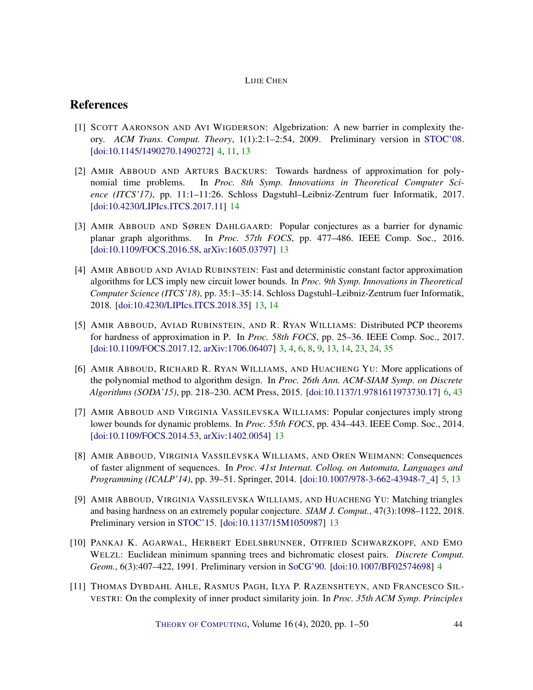# References

- <span id="page-43-3"></span>[1] SCOTT AARONSON AND AVI WIGDERSON: Algebrization: A new barrier in complexity theory. *ACM Trans. Comput. Theory*, 1(1):2:1–2:54, 2009. Preliminary version in [STOC'08.](http://doi.org/10.1145/1374376.1374481) [\[doi:10.1145/1490270.1490272\]](http://dx.doi.org/10.1145/1490270.1490272) [4,](#page-3-0) [11,](#page-10-1) [13](#page-12-0)
- <span id="page-43-10"></span>[2] AMIR ABBOUD AND ARTURS BACKURS: Towards hardness of approximation for polynomial time problems. In *Proc. 8th Symp. Innovations in Theoretical Computer Science (ITCS'17)*, pp. 11:1–11:26. Schloss Dagstuhl–Leibniz-Zentrum fuer Informatik, 2017. [\[doi:10.4230/LIPIcs.ITCS.2017.11\]](http://dx.doi.org/10.4230/LIPIcs.ITCS.2017.11) [14](#page-13-3)
- <span id="page-43-7"></span>[3] AMIR ABBOUD AND SØREN DAHLGAARD: Popular conjectures as a barrier for dynamic planar graph algorithms. In *Proc. 57th FOCS*, pp. 477–486. IEEE Comp. Soc., 2016. [\[doi:10.1109/FOCS.2016.58,](http://dx.doi.org/10.1109/FOCS.2016.58) [arXiv:1605.03797\]](http://arxiv.org/abs/1605.03797) [13](#page-12-0)
- <span id="page-43-9"></span>[4] AMIR ABBOUD AND AVIAD RUBINSTEIN: Fast and deterministic constant factor approximation algorithms for LCS imply new circuit lower bounds. In *Proc. 9th Symp. Innovations in Theoretical Computer Science (ITCS'18)*, pp. 35:1–35:14. Schloss Dagstuhl–Leibniz-Zentrum fuer Informatik, 2018. [\[doi:10.4230/LIPIcs.ITCS.2018.35\]](http://dx.doi.org/10.4230/LIPIcs.ITCS.2018.35) [13,](#page-12-0) [14](#page-13-3)
- <span id="page-43-1"></span>[5] AMIR ABBOUD, AVIAD RUBINSTEIN, AND R. RYAN WILLIAMS: Distributed PCP theorems for hardness of approximation in P. In *Proc. 58th FOCS*, pp. 25–36. IEEE Comp. Soc., 2017. [\[doi:10.1109/FOCS.2017.12,](http://dx.doi.org/10.1109/FOCS.2017.12) [arXiv:1706.06407\]](http://arxiv.org/abs/1706.06407) [3,](#page-2-3) [4,](#page-3-0) [6,](#page-5-0) [8,](#page-7-2) [9,](#page-8-4) [13,](#page-12-0) [14,](#page-13-3) [23,](#page-22-4) [24,](#page-23-0) [35](#page-34-1)
- <span id="page-43-5"></span>[6] AMIR ABBOUD, RICHARD R. RYAN WILLIAMS, AND HUACHENG YU: More applications of the polynomial method to algorithm design. In *Proc. 26th Ann. ACM-SIAM Symp. on Discrete Algorithms (SODA'15)*, pp. 218–230. ACM Press, 2015. [\[doi:10.1137/1.9781611973730.17\]](http://dx.doi.org/10.1137/1.9781611973730.17) [6,](#page-5-0) [43](#page-42-0)
- <span id="page-43-6"></span>[7] AMIR ABBOUD AND VIRGINIA VASSILEVSKA WILLIAMS: Popular conjectures imply strong lower bounds for dynamic problems. In *Proc. 55th FOCS*, pp. 434–443. IEEE Comp. Soc., 2014. [\[doi:10.1109/FOCS.2014.53,](http://dx.doi.org/10.1109/FOCS.2014.53) [arXiv:1402.0054\]](http://arxiv.org/abs/1402.0054) [13](#page-12-0)
- <span id="page-43-4"></span>[8] AMIR ABBOUD, VIRGINIA VASSILEVSKA WILLIAMS, AND OREN WEIMANN: Consequences of faster alignment of sequences. In *Proc. 41st Internat. Colloq. on Automata, Languages and Programming (ICALP'14)*, pp. 39–51. Springer, 2014. [\[doi:10.1007/978-3-662-43948-7\\_4\]](http://dx.doi.org/10.1007/978-3-662-43948-7_4) [5,](#page-4-1) [13](#page-12-0)
- <span id="page-43-8"></span>[9] AMIR ABBOUD, VIRGINIA VASSILEVSKA WILLIAMS, AND HUACHENG YU: Matching triangles and basing hardness on an extremely popular conjecture. *SIAM J. Comput.*, 47(3):1098–1122, 2018. Preliminary version in [STOC'15.](https://doi.org/10.1145/2746539.2746594) [\[doi:10.1137/15M1050987\]](http://dx.doi.org/10.1137/15M1050987) [13](#page-12-0)
- <span id="page-43-2"></span>[10] PANKAJ K. AGARWAL, HERBERT EDELSBRUNNER, OTFRIED SCHWARZKOPF, AND EMO WELZL: Euclidean minimum spanning trees and bichromatic closest pairs. *Discrete Comput. Geom.*, 6(3):407–422, 1991. Preliminary version in [SoCG'90.](https://doi.org/10.1145/98524.98567) [\[doi:10.1007/BF02574698\]](http://dx.doi.org/10.1007/BF02574698) [4](#page-3-0)
- <span id="page-43-0"></span>[11] THOMAS DYBDAHL AHLE, RASMUS PAGH, ILYA P. RAZENSHTEYN, AND FRANCESCO SIL-VESTRI: On the complexity of inner product similarity join. In *Proc. 35th ACM Symp. Principles*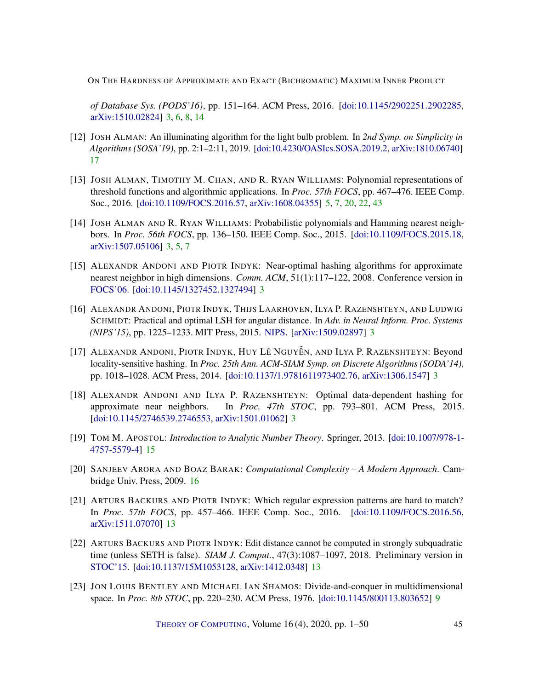*of Database Sys. (PODS'16)*, pp. 151–164. ACM Press, 2016. [\[doi:10.1145/2902251.2902285,](http://dx.doi.org/10.1145/2902251.2902285) [arXiv:1510.02824\]](http://arxiv.org/abs/1510.02824) [3,](#page-2-3) [6,](#page-5-0) [8,](#page-7-2) [14](#page-13-3)

- <span id="page-44-11"></span>[12] JOSH ALMAN: An illuminating algorithm for the light bulb problem. In *2nd Symp. on Simplicity in Algorithms (SOSA'19)*, pp. 2:1–2:11, 2019. [\[doi:10.4230/OASIcs.SOSA.2019.2,](http://dx.doi.org/10.4230/OASIcs.SOSA.2019.2) [arXiv:1810.06740\]](http://arxiv.org/abs/1810.06740) [17](#page-16-1)
- <span id="page-44-5"></span>[13] JOSH ALMAN, TIMOTHY M. CHAN, AND R. RYAN WILLIAMS: Polynomial representations of threshold functions and algorithmic applications. In *Proc. 57th FOCS*, pp. 467–476. IEEE Comp. Soc., 2016. [\[doi:10.1109/FOCS.2016.57,](http://dx.doi.org/10.1109/FOCS.2016.57) [arXiv:1608.04355\]](http://arxiv.org/abs/1608.04355) [5,](#page-4-1) [7,](#page-6-2) [20,](#page-19-3) [22,](#page-21-1) [43](#page-42-0)
- <span id="page-44-4"></span>[14] JOSH ALMAN AND R. RYAN WILLIAMS: Probabilistic polynomials and Hamming nearest neighbors. In *Proc. 56th FOCS*, pp. 136–150. IEEE Comp. Soc., 2015. [\[doi:10.1109/FOCS.2015.18,](http://dx.doi.org/10.1109/FOCS.2015.18) [arXiv:1507.05106\]](http://arxiv.org/abs/1507.05106) [3,](#page-2-3) [5,](#page-4-1) [7](#page-6-2)
- <span id="page-44-0"></span>[15] ALEXANDR ANDONI AND PIOTR INDYK: Near-optimal hashing algorithms for approximate nearest neighbor in high dimensions. *Comm. ACM*, 51(1):117–122, 2008. Conference version in [FOCS'06.](https://doi.org/10.1109/FOCS.2006.49) [\[doi:10.1145/1327452.1327494\]](http://dx.doi.org/10.1145/1327452.1327494) [3](#page-2-3)
- <span id="page-44-2"></span>[16] ALEXANDR ANDONI, PIOTR INDYK, THIJS LAARHOVEN, ILYA P. RAZENSHTEYN, AND LUDWIG SCHMIDT: Practical and optimal LSH for angular distance. In *Adv. in Neural Inform. Proc. Systems (NIPS'15)*, pp. 1225–1233. MIT Press, 2015. [NIPS.](http://papers.nips.cc/paper/5893-practical-and-optimal-lsh-for-angular-distance) [\[arXiv:1509.02897\]](http://arxiv.org/abs/1509.02897) [3](#page-2-3)
- <span id="page-44-1"></span>[17] ALEXANDR ANDONI, PIOTR INDYK, HUY LÊ NGUYỄN, AND ILYA P. RAZENSHTEYN: Beyond locality-sensitive hashing. In *Proc. 25th Ann. ACM-SIAM Symp. on Discrete Algorithms (SODA'14)*, pp. 1018–1028. ACM Press, 2014. [\[doi:10.1137/1.9781611973402.76,](http://dx.doi.org/10.1137/1.9781611973402.76) [arXiv:1306.1547\]](http://arxiv.org/abs/1306.1547) [3](#page-2-3)
- <span id="page-44-3"></span>[18] ALEXANDR ANDONI AND ILYA P. RAZENSHTEYN: Optimal data-dependent hashing for approximate near neighbors. In *Proc. 47th STOC*, pp. 793–801. ACM Press, 2015. [\[doi:10.1145/2746539.2746553,](http://dx.doi.org/10.1145/2746539.2746553) [arXiv:1501.01062\]](http://arxiv.org/abs/1501.01062) [3](#page-2-3)
- <span id="page-44-9"></span>[19] TOM M. APOSTOL: *Introduction to Analytic Number Theory*. Springer, 2013. [\[doi:10.1007/978-1-](http://dx.doi.org/10.1007/978-1-4757-5579-4) [4757-5579-4\]](http://dx.doi.org/10.1007/978-1-4757-5579-4) [15](#page-14-2)
- <span id="page-44-10"></span>[20] SANJEEV ARORA AND BOAZ BARAK: *Computational Complexity – A Modern Approach*. Cambridge Univ. Press, 2009. [16](#page-15-3)
- <span id="page-44-8"></span>[21] ARTURS BACKURS AND PIOTR INDYK: Which regular expression patterns are hard to match? In *Proc. 57th FOCS*, pp. 457–466. IEEE Comp. Soc., 2016. [\[doi:10.1109/FOCS.2016.56,](http://dx.doi.org/10.1109/FOCS.2016.56) [arXiv:1511.07070\]](http://arxiv.org/abs/1511.07070) [13](#page-12-0)
- <span id="page-44-7"></span>[22] ARTURS BACKURS AND PIOTR INDYK: Edit distance cannot be computed in strongly subquadratic time (unless SETH is false). *SIAM J. Comput.*, 47(3):1087–1097, 2018. Preliminary version in [STOC'15.](https://doi.org/10.1145/2746539.2746612) [\[doi:10.1137/15M1053128,](http://dx.doi.org/10.1137/15M1053128) [arXiv:1412.0348\]](http://arxiv.org/abs/1412.0348) [13](#page-12-0)
- <span id="page-44-6"></span>[23] JON LOUIS BENTLEY AND MICHAEL IAN SHAMOS: Divide-and-conquer in multidimensional space. In *Proc. 8th STOC*, pp. 220–230. ACM Press, 1976. [\[doi:10.1145/800113.803652\]](http://dx.doi.org/10.1145/800113.803652) [9](#page-8-4)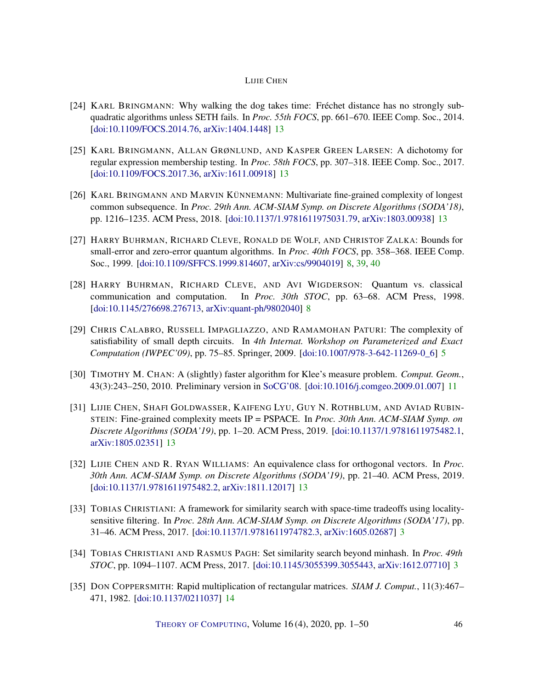- <span id="page-45-6"></span>[24] KARL BRINGMANN: Why walking the dog takes time: Fréchet distance has no strongly subquadratic algorithms unless SETH fails. In *Proc. 55th FOCS*, pp. 661–670. IEEE Comp. Soc., 2014. [\[doi:10.1109/FOCS.2014.76,](http://dx.doi.org/10.1109/FOCS.2014.76) [arXiv:1404.1448\]](http://arxiv.org/abs/1404.1448) [13](#page-12-0)
- <span id="page-45-7"></span>[25] KARL BRINGMANN, ALLAN GRØNLUND, AND KASPER GREEN LARSEN: A dichotomy for regular expression membership testing. In *Proc. 58th FOCS*, pp. 307–318. IEEE Comp. Soc., 2017. [\[doi:10.1109/FOCS.2017.36,](http://dx.doi.org/10.1109/FOCS.2017.36) [arXiv:1611.00918\]](http://arxiv.org/abs/1611.00918) [13](#page-12-0)
- <span id="page-45-8"></span>[26] KARL BRINGMANN AND MARVIN KÜNNEMANN: Multivariate fine-grained complexity of longest common subsequence. In *Proc. 29th Ann. ACM-SIAM Symp. on Discrete Algorithms (SODA'18)*, pp. 1216–1235. ACM Press, 2018. [\[doi:10.1137/1.9781611975031.79,](http://dx.doi.org/10.1137/1.9781611975031.79) [arXiv:1803.00938\]](http://arxiv.org/abs/1803.00938) [13](#page-12-0)
- <span id="page-45-3"></span>[27] HARRY BUHRMAN, RICHARD CLEVE, RONALD DE WOLF, AND CHRISTOF ZALKA: Bounds for small-error and zero-error quantum algorithms. In *Proc. 40th FOCS*, pp. 358–368. IEEE Comp. Soc., 1999. [\[doi:10.1109/SFFCS.1999.814607,](http://dx.doi.org/10.1109/SFFCS.1999.814607) [arXiv:cs/9904019\]](http://arxiv.org/abs/cs/9904019) [8,](#page-7-2) [39,](#page-38-1) [40](#page-39-0)
- <span id="page-45-4"></span>[28] HARRY BUHRMAN, RICHARD CLEVE, AND AVI WIGDERSON: Quantum vs. classical communication and computation. In *Proc. 30th STOC*, pp. 63–68. ACM Press, 1998. [\[doi:10.1145/276698.276713,](http://dx.doi.org/10.1145/276698.276713) [arXiv:quant-ph/9802040\]](http://arxiv.org/abs/quant-ph/9802040) [8](#page-7-2)
- <span id="page-45-2"></span>[29] CHRIS CALABRO, RUSSELL IMPAGLIAZZO, AND RAMAMOHAN PATURI: The complexity of satisfiability of small depth circuits. In *4th Internat. Workshop on Parameterized and Exact Computation (IWPEC'09)*, pp. 75–85. Springer, 2009. [\[doi:10.1007/978-3-642-11269-0\\_6\]](http://dx.doi.org/10.1007/978-3-642-11269-0_6) [5](#page-4-1)
- <span id="page-45-5"></span>[30] TIMOTHY M. CHAN: A (slightly) faster algorithm for Klee's measure problem. *Comput. Geom.*, 43(3):243–250, 2010. Preliminary version in [SoCG'08.](https://doi.org/10.1145/1377676.1377693) [\[doi:10.1016/j.comgeo.2009.01.007\]](http://dx.doi.org/10.1016/j.comgeo.2009.01.007) [11](#page-10-1)
- <span id="page-45-9"></span>[31] LIJIE CHEN, SHAFI GOLDWASSER, KAIFENG LYU, GUY N. ROTHBLUM, AND AVIAD RUBIN-STEIN: Fine-grained complexity meets IP = PSPACE. In *Proc. 30th Ann. ACM-SIAM Symp. on Discrete Algorithms (SODA'19)*, pp. 1–20. ACM Press, 2019. [\[doi:10.1137/1.9781611975482.1,](http://dx.doi.org/10.1137/1.9781611975482.1) [arXiv:1805.02351\]](http://arxiv.org/abs/1805.02351) [13](#page-12-0)
- <span id="page-45-10"></span>[32] LIJIE CHEN AND R. RYAN WILLIAMS: An equivalence class for orthogonal vectors. In *Proc. 30th Ann. ACM-SIAM Symp. on Discrete Algorithms (SODA'19)*, pp. 21–40. ACM Press, 2019. [\[doi:10.1137/1.9781611975482.2,](http://dx.doi.org/10.1137/1.9781611975482.2) [arXiv:1811.12017\]](http://arxiv.org/abs/1811.12017) [13](#page-12-0)
- <span id="page-45-1"></span>[33] TOBIAS CHRISTIANI: A framework for similarity search with space-time tradeoffs using localitysensitive filtering. In *Proc. 28th Ann. ACM-SIAM Symp. on Discrete Algorithms (SODA'17)*, pp. 31–46. ACM Press, 2017. [\[doi:10.1137/1.9781611974782.3,](http://dx.doi.org/10.1137/1.9781611974782.3) [arXiv:1605.02687\]](http://arxiv.org/abs/1605.02687) [3](#page-2-3)
- <span id="page-45-0"></span>[34] TOBIAS CHRISTIANI AND RASMUS PAGH: Set similarity search beyond minhash. In *Proc. 49th STOC*, pp. 1094–1107. ACM Press, 2017. [\[doi:10.1145/3055399.3055443,](http://dx.doi.org/10.1145/3055399.3055443) [arXiv:1612.07710\]](http://arxiv.org/abs/1612.07710) [3](#page-2-3)
- <span id="page-45-11"></span>[35] DON COPPERSMITH: Rapid multiplication of rectangular matrices. *SIAM J. Comput.*, 11(3):467– 471, 1982. [\[doi:10.1137/0211037\]](http://dx.doi.org/10.1137/0211037) [14](#page-13-3)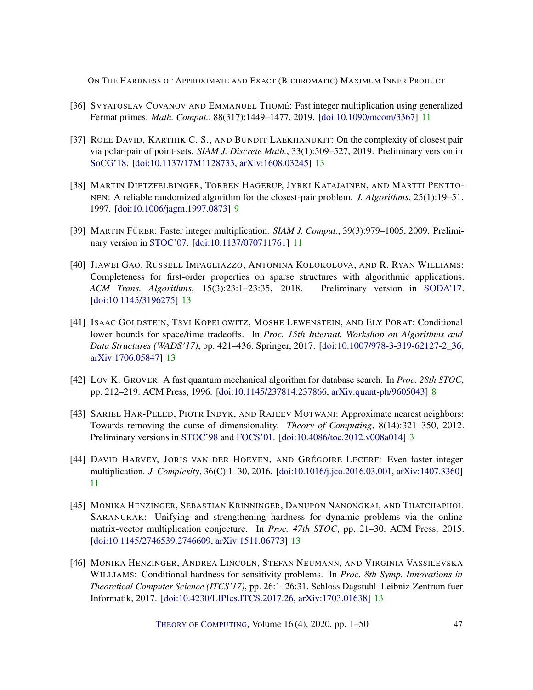- <span id="page-46-4"></span>[36] SVYATOSLAV COVANOV AND EMMANUEL THOMÉ: Fast integer multiplication using generalized Fermat primes. *Math. Comput.*, 88(317):1449–1477, 2019. [\[doi:10.1090/mcom/3367\]](http://dx.doi.org/10.1090/mcom/3367) [11](#page-10-1)
- <span id="page-46-9"></span>[37] ROEE DAVID, KARTHIK C. S., AND BUNDIT LAEKHANUKIT: On the complexity of closest pair via polar-pair of point-sets. *SIAM J. Discrete Math.*, 33(1):509–527, 2019. Preliminary version in [SoCG'18.](https://doi.org/10.4230/LIPIcs.SCG.2018.28) [\[doi:10.1137/17M1128733,](http://dx.doi.org/10.1137/17M1128733) [arXiv:1608.03245\]](http://arxiv.org/abs/1608.03245) [13](#page-12-0)
- <span id="page-46-2"></span>[38] MARTIN DIETZFELBINGER, TORBEN HAGERUP, JYRKI KATAJAINEN, AND MARTTI PENTTO-NEN: A reliable randomized algorithm for the closest-pair problem. *J. Algorithms*, 25(1):19–51, 1997. [\[doi:10.1006/jagm.1997.0873\]](http://dx.doi.org/10.1006/jagm.1997.0873) [9](#page-8-4)
- <span id="page-46-3"></span>[39] MARTIN FÜRER: Faster integer multiplication. *SIAM J. Comput.*, 39(3):979–1005, 2009. Preliminary version in [STOC'07.](https://doi.org/10.1145/1250790.1250800) [\[doi:10.1137/070711761\]](http://dx.doi.org/10.1137/070711761) [11](#page-10-1)
- <span id="page-46-10"></span>[40] JIAWEI GAO, RUSSELL IMPAGLIAZZO, ANTONINA KOLOKOLOVA, AND R. RYAN WILLIAMS: Completeness for first-order properties on sparse structures with algorithmic applications. *ACM Trans. Algorithms*, 15(3):23:1–23:35, 2018. Preliminary version in [SODA'17.](https://doi.org/10.1137/1.9781611974782.141) [\[doi:10.1145/3196275\]](http://dx.doi.org/10.1145/3196275) [13](#page-12-0)
- <span id="page-46-8"></span>[41] ISAAC GOLDSTEIN, TSVI KOPELOWITZ, MOSHE LEWENSTEIN, AND ELY PORAT: Conditional lower bounds for space/time tradeoffs. In *Proc. 15th Internat. Workshop on Algorithms and Data Structures (WADS'17)*, pp. 421–436. Springer, 2017. [\[doi:10.1007/978-3-319-62127-2\\_36,](http://dx.doi.org/10.1007/978-3-319-62127-2_36) [arXiv:1706.05847\]](http://arxiv.org/abs/1706.05847) [13](#page-12-0)
- <span id="page-46-1"></span>[42] LOV K. GROVER: A fast quantum mechanical algorithm for database search. In *Proc. 28th STOC*, pp. 212–219. ACM Press, 1996. [\[doi:10.1145/237814.237866,](http://dx.doi.org/10.1145/237814.237866) [arXiv:quant-ph/9605043\]](http://arxiv.org/abs/quant-ph/9605043) [8](#page-7-2)
- <span id="page-46-0"></span>[43] SARIEL HAR-PELED, PIOTR INDYK, AND RAJEEV MOTWANI: Approximate nearest neighbors: Towards removing the curse of dimensionality. *Theory of Computing*, 8(14):321–350, 2012. Preliminary versions in [STOC'98](http://doi.org/10.1145/276698.276876) and [FOCS'01.](http://doi.org/10.1109/SFCS.2001.959884) [\[doi:10.4086/toc.2012.v008a014\]](http://dx.doi.org/10.4086/toc.2012.v008a014) [3](#page-2-3)
- <span id="page-46-5"></span>[44] DAVID HARVEY, JORIS VAN DER HOEVEN, AND GRÉGOIRE LECERF: Even faster integer multiplication. *J. Complexity*, 36(C):1–30, 2016. [\[doi:10.1016/j.jco.2016.03.001,](http://dx.doi.org/10.1016/j.jco.2016.03.001) [arXiv:1407.3360\]](http://arxiv.org/abs/1407.3360) [11](#page-10-1)
- <span id="page-46-6"></span>[45] MONIKA HENZINGER, SEBASTIAN KRINNINGER, DANUPON NANONGKAI, AND THATCHAPHOL SARANURAK: Unifying and strengthening hardness for dynamic problems via the online matrix-vector multiplication conjecture. In *Proc. 47th STOC*, pp. 21–30. ACM Press, 2015. [\[doi:10.1145/2746539.2746609,](http://dx.doi.org/10.1145/2746539.2746609) [arXiv:1511.06773\]](http://arxiv.org/abs/1511.06773) [13](#page-12-0)
- <span id="page-46-7"></span>[46] MONIKA HENZINGER, ANDREA LINCOLN, STEFAN NEUMANN, AND VIRGINIA VASSILEVSKA WILLIAMS: Conditional hardness for sensitivity problems. In *Proc. 8th Symp. Innovations in Theoretical Computer Science (ITCS'17)*, pp. 26:1–26:31. Schloss Dagstuhl–Leibniz-Zentrum fuer Informatik, 2017. [\[doi:10.4230/LIPIcs.ITCS.2017.26,](http://dx.doi.org/10.4230/LIPIcs.ITCS.2017.26) [arXiv:1703.01638\]](http://arxiv.org/abs/1703.01638) [13](#page-12-0)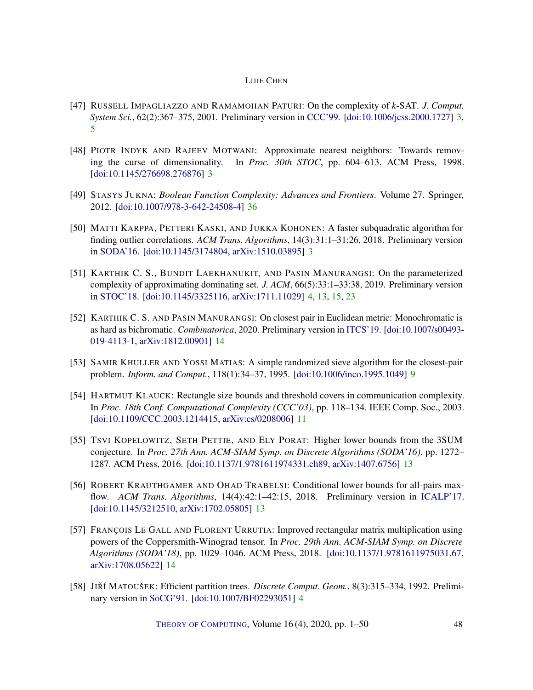- <span id="page-47-2"></span>[47] RUSSELL IMPAGLIAZZO AND RAMAMOHAN PATURI: On the complexity of *k*-SAT. *J. Comput. System Sci.*, 62(2):367–375, 2001. Preliminary version in [CCC'99.](https://doi.org/10.1109/CCC.1999.766282) [\[doi:10.1006/jcss.2000.1727\]](http://dx.doi.org/10.1006/jcss.2000.1727) [3,](#page-2-3) [5](#page-4-1)
- <span id="page-47-0"></span>[48] PIOTR INDYK AND RAJEEV MOTWANI: Approximate nearest neighbors: Towards removing the curse of dimensionality. In *Proc. 30th STOC*, pp. 604–613. ACM Press, 1998. [\[doi:10.1145/276698.276876\]](http://dx.doi.org/10.1145/276698.276876) [3](#page-2-3)
- <span id="page-47-11"></span>[49] STASYS JUKNA: *Boolean Function Complexity: Advances and Frontiers*. Volume 27. Springer, 2012. [\[doi:10.1007/978-3-642-24508-4\]](http://dx.doi.org/10.1007/978-3-642-24508-4) [36](#page-35-2)
- <span id="page-47-1"></span>[50] MATTI KARPPA, PETTERI KASKI, AND JUKKA KOHONEN: A faster subquadratic algorithm for finding outlier correlations. *ACM Trans. Algorithms*, 14(3):31:1–31:26, 2018. Preliminary version in [SODA'16.](https://doi.org/10.1137/1.9781611974331.ch90) [\[doi:10.1145/3174804,](http://dx.doi.org/10.1145/3174804) [arXiv:1510.03895\]](http://arxiv.org/abs/1510.03895) [3](#page-2-3)
- <span id="page-47-4"></span>[51] KARTHIK C. S., BUNDIT LAEKHANUKIT, AND PASIN MANURANGSI: On the parameterized complexity of approximating dominating set. *J. ACM*, 66(5):33:1–33:38, 2019. Preliminary version in [STOC'18.](https://doi.org/10.1145/3188745.3188896) [\[doi:10.1145/3325116,](http://dx.doi.org/10.1145/3325116) [arXiv:1711.11029\]](http://arxiv.org/abs/1711.11029) [4,](#page-3-0) [13,](#page-12-0) [15,](#page-14-2) [23](#page-22-4)
- <span id="page-47-9"></span>[52] KARTHIK C. S. AND PASIN MANURANGSI: On closest pair in Euclidean metric: Monochromatic is as hard as bichromatic. *Combinatorica*, 2020. Preliminary version in [ITCS'19.](https://doi.org/10.4230/LIPIcs.ITCS.2019.17) [\[doi:10.1007/s00493-](http://dx.doi.org/10.1007/s00493-019-4113-1) [019-4113-1,](http://dx.doi.org/10.1007/s00493-019-4113-1) [arXiv:1812.00901\]](http://arxiv.org/abs/1812.00901) [14](#page-13-3)
- <span id="page-47-5"></span>[53] SAMIR KHULLER AND YOSSI MATIAS: A simple randomized sieve algorithm for the closest-pair problem. *Inform. and Comput.*, 118(1):34–37, 1995. [\[doi:10.1006/inco.1995.1049\]](http://dx.doi.org/10.1006/inco.1995.1049) [9](#page-8-4)
- <span id="page-47-6"></span>[54] HARTMUT KLAUCK: Rectangle size bounds and threshold covers in communication complexity. In *Proc. 18th Conf. Computational Complexity (CCC'03)*, pp. 118–134. IEEE Comp. Soc., 2003. [\[doi:10.1109/CCC.2003.1214415,](http://dx.doi.org/10.1109/CCC.2003.1214415) [arXiv:cs/0208006\]](http://arxiv.org/abs/cs/0208006) [11](#page-10-1)
- <span id="page-47-7"></span>[55] TSVI KOPELOWITZ, SETH PETTIE, AND ELY PORAT: Higher lower bounds from the 3SUM conjecture. In *Proc. 27th Ann. ACM-SIAM Symp. on Discrete Algorithms (SODA'16)*, pp. 1272– 1287. ACM Press, 2016. [\[doi:10.1137/1.9781611974331.ch89,](http://dx.doi.org/10.1137/1.9781611974331.ch89) [arXiv:1407.6756\]](http://arxiv.org/abs/1407.6756) [13](#page-12-0)
- <span id="page-47-8"></span>[56] ROBERT KRAUTHGAMER AND OHAD TRABELSI: Conditional lower bounds for all-pairs maxflow. *ACM Trans. Algorithms*, 14(4):42:1–42:15, 2018. Preliminary version in [ICALP'17.](http://doi.org/10.4230/LIPIcs.ICALP.2017.20) [\[doi:10.1145/3212510,](http://dx.doi.org/10.1145/3212510) [arXiv:1702.05805\]](http://arxiv.org/abs/1702.05805) [13](#page-12-0)
- <span id="page-47-10"></span>[57] FRANÇOIS LE GALL AND FLORENT URRUTIA: Improved rectangular matrix multiplication using powers of the Coppersmith-Winograd tensor. In *Proc. 29th Ann. ACM-SIAM Symp. on Discrete Algorithms (SODA'18)*, pp. 1029–1046. ACM Press, 2018. [\[doi:10.1137/1.9781611975031.67,](http://dx.doi.org/10.1137/1.9781611975031.67) [arXiv:1708.05622\]](http://arxiv.org/abs/1708.05622) [14](#page-13-3)
- <span id="page-47-3"></span>[58] JIŘÍ MATOUŠEK: Efficient partition trees. *Discrete Comput. Geom.*, 8(3):315–334, 1992. Preliminary version in [SoCG'91.](https://doi.org/10.1145/109648.109649) [\[doi:10.1007/BF02293051\]](http://dx.doi.org/10.1007/BF02293051) [4](#page-3-0)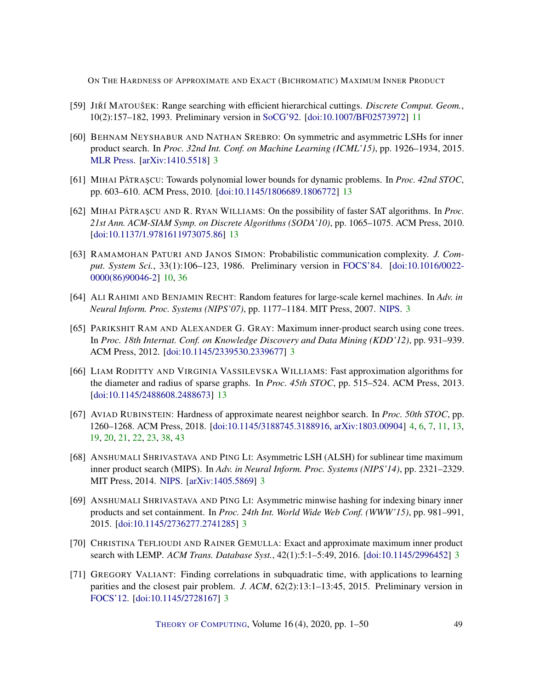- <span id="page-48-9"></span>[59] JIŘÍ MATOUŠEK: Range searching with efficient hierarchical cuttings. *Discrete Comput. Geom.*, 10(2):157–182, 1993. Preliminary version in [SoCG'92.](https://doi.org/10.1145/142675.142732) [\[doi:10.1007/BF02573972\]](http://dx.doi.org/10.1007/BF02573972) [11](#page-10-1)
- <span id="page-48-3"></span>[60] BEHNAM NEYSHABUR AND NATHAN SREBRO: On symmetric and asymmetric LSHs for inner product search. In *Proc. 32nd Int. Conf. on Machine Learning (ICML'15)*, pp. 1926–1934, 2015. [MLR Press.](http://proceedings.mlr.press/v37/neyshabur15.pdf) [\[arXiv:1410.5518\]](http://arxiv.org/abs/1410.5518) [3](#page-2-3)
- <span id="page-48-10"></span>[61] MIHAI PĂTRAȘCU: Towards polynomial lower bounds for dynamic problems. In *Proc. 42nd STOC*, pp. 603–610. ACM Press, 2010. [\[doi:10.1145/1806689.1806772\]](http://dx.doi.org/10.1145/1806689.1806772) [13](#page-12-0)
- <span id="page-48-12"></span>[62] MIHAI PĂTRAȘCU AND R. RYAN WILLIAMS: On the possibility of faster SAT algorithms. In *Proc. 21st Ann. ACM-SIAM Symp. on Discrete Algorithms (SODA'10)*, pp. 1065–1075. ACM Press, 2010. [\[doi:10.1137/1.9781611973075.86\]](http://dx.doi.org/10.1137/1.9781611973075.86) [13](#page-12-0)
- <span id="page-48-8"></span>[63] RAMAMOHAN PATURI AND JANOS SIMON: Probabilistic communication complexity. *J. Comput. System Sci.*, 33(1):106–123, 1986. Preliminary version in [FOCS'84.](https://doi.org/10.1109/SFCS.1984.715908) [\[doi:10.1016/0022-](http://dx.doi.org/10.1016/0022-0000(86)90046-2) [0000\(86\)90046-2\]](http://dx.doi.org/10.1016/0022-0000(86)90046-2) [10,](#page-9-2) [36](#page-35-2)
- <span id="page-48-0"></span>[64] ALI RAHIMI AND BENJAMIN RECHT: Random features for large-scale kernel machines. In *Adv. in Neural Inform. Proc. Systems (NIPS'07)*, pp. 1177–1184. MIT Press, 2007. [NIPS.](http://papers.nips.cc/paper/3182-random-features-for-large-scale-kernel-machines) [3](#page-2-3)
- <span id="page-48-1"></span>[65] PARIKSHIT RAM AND ALEXANDER G. GRAY: Maximum inner-product search using cone trees. In *Proc. 18th Internat. Conf. on Knowledge Discovery and Data Mining (KDD'12)*, pp. 931–939. ACM Press, 2012. [\[doi:10.1145/2339530.2339677\]](http://dx.doi.org/10.1145/2339530.2339677) [3](#page-2-3)
- <span id="page-48-11"></span>[66] LIAM RODITTY AND VIRGINIA VASSILEVSKA WILLIAMS: Fast approximation algorithms for the diameter and radius of sparse graphs. In *Proc. 45th STOC*, pp. 515–524. ACM Press, 2013. [\[doi:10.1145/2488608.2488673\]](http://dx.doi.org/10.1145/2488608.2488673) [13](#page-12-0)
- <span id="page-48-7"></span>[67] AVIAD RUBINSTEIN: Hardness of approximate nearest neighbor search. In *Proc. 50th STOC*, pp. 1260–1268. ACM Press, 2018. [\[doi:10.1145/3188745.3188916,](http://dx.doi.org/10.1145/3188745.3188916) [arXiv:1803.00904\]](http://arxiv.org/abs/1803.00904) [4,](#page-3-0) [6,](#page-5-0) [7,](#page-6-2) [11,](#page-10-1) [13,](#page-12-0) [19,](#page-18-0) [20,](#page-19-3) [21,](#page-20-1) [22,](#page-21-1) [23,](#page-22-4) [38,](#page-37-1) [43](#page-42-0)
- <span id="page-48-2"></span>[68] ANSHUMALI SHRIVASTAVA AND PING LI: Asymmetric LSH (ALSH) for sublinear time maximum inner product search (MIPS). In *Adv. in Neural Inform. Proc. Systems (NIPS'14)*, pp. 2321–2329. MIT Press, 2014. [NIPS.](http://papers.nips.cc/paper/5329-asymmetric-lsh-alsh-for-sublinear-time-maximum-inner-product-search-mips) [\[arXiv:1405.5869\]](http://arxiv.org/abs/1405.5869) [3](#page-2-3)
- <span id="page-48-4"></span>[69] ANSHUMALI SHRIVASTAVA AND PING LI: Asymmetric minwise hashing for indexing binary inner products and set containment. In *Proc. 24th Int. World Wide Web Conf. (WWW'15)*, pp. 981–991, 2015. [\[doi:10.1145/2736277.2741285\]](http://dx.doi.org/10.1145/2736277.2741285) [3](#page-2-3)
- <span id="page-48-6"></span>[70] CHRISTINA TEFLIOUDI AND RAINER GEMULLA: Exact and approximate maximum inner product search with LEMP. *ACM Trans. Database Syst.*, 42(1):5:1–5:49, 2016. [\[doi:10.1145/2996452\]](http://dx.doi.org/10.1145/2996452) [3](#page-2-3)
- <span id="page-48-5"></span>[71] GREGORY VALIANT: Finding correlations in subquadratic time, with applications to learning parities and the closest pair problem. *J. ACM*, 62(2):13:1–13:45, 2015. Preliminary version in [FOCS'12.](https://doi.org/10.1109/FOCS.2012.27) [\[doi:10.1145/2728167\]](http://dx.doi.org/10.1145/2728167) [3](#page-2-3)